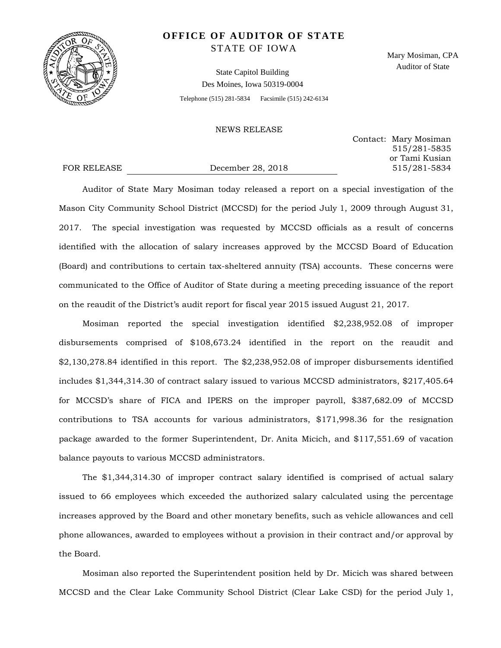

# **OFFICE OF AUDITOR OF STATE** STATE OF IOWA

State Capitol Building Des Moines, Iowa 50319-0004 Telephone (515) 281-5834 Facsimile (515) 242-6134 Mary Mosiman, CPA Auditor of State

### NEWS RELEASE

Contact: Mary Mosiman 515/281-5835 or Tami Kusian FOR RELEASE December 28, 2018 515/281-5834

Auditor of State Mary Mosiman today released a report on a special investigation of the Mason City Community School District (MCCSD) for the period July 1, 2009 through August 31, 2017. The special investigation was requested by MCCSD officials as a result of concerns identified with the allocation of salary increases approved by the MCCSD Board of Education (Board) and contributions to certain tax-sheltered annuity (TSA) accounts. These concerns were communicated to the Office of Auditor of State during a meeting preceding issuance of the report on the reaudit of the District's audit report for fiscal year 2015 issued August 21, 2017.

Mosiman reported the special investigation identified \$2,238,952.08 of improper disbursements comprised of \$108,673.24 identified in the report on the reaudit and \$2,130,278.84 identified in this report. The \$2,238,952.08 of improper disbursements identified includes \$1,344,314.30 of contract salary issued to various MCCSD administrators, \$217,405.64 for MCCSD's share of FICA and IPERS on the improper payroll, \$387,682.09 of MCCSD contributions to TSA accounts for various administrators, \$171,998.36 for the resignation package awarded to the former Superintendent, Dr. Anita Micich, and \$117,551.69 of vacation balance payouts to various MCCSD administrators.

The \$1,344,314.30 of improper contract salary identified is comprised of actual salary issued to 66 employees which exceeded the authorized salary calculated using the percentage increases approved by the Board and other monetary benefits, such as vehicle allowances and cell phone allowances, awarded to employees without a provision in their contract and/or approval by the Board.

Mosiman also reported the Superintendent position held by Dr. Micich was shared between MCCSD and the Clear Lake Community School District (Clear Lake CSD) for the period July 1,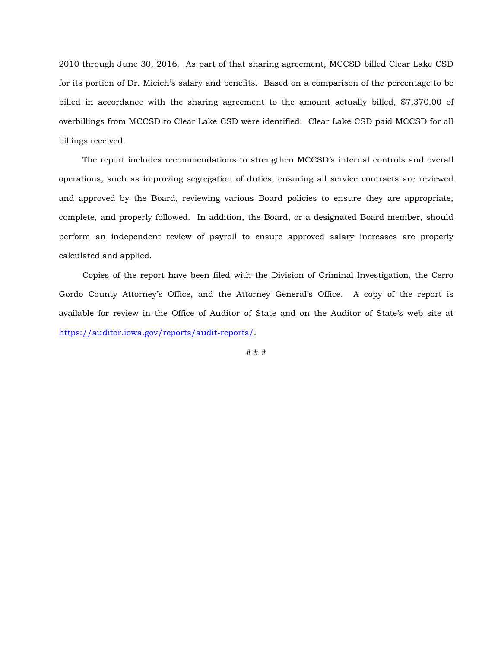2010 through June 30, 2016. As part of that sharing agreement, MCCSD billed Clear Lake CSD for its portion of Dr. Micich's salary and benefits. Based on a comparison of the percentage to be billed in accordance with the sharing agreement to the amount actually billed, \$7,370.00 of overbillings from MCCSD to Clear Lake CSD were identified. Clear Lake CSD paid MCCSD for all billings received.

The report includes recommendations to strengthen MCCSD's internal controls and overall operations, such as improving segregation of duties, ensuring all service contracts are reviewed and approved by the Board, reviewing various Board policies to ensure they are appropriate, complete, and properly followed. In addition, the Board, or a designated Board member, should perform an independent review of payroll to ensure approved salary increases are properly calculated and applied.

Copies of the report have been filed with the Division of Criminal Investigation, the Cerro Gordo County Attorney's Office, and the Attorney General's Office. A copy of the report is available for review in the Office of Auditor of State and on the Auditor of State's web site at [https://auditor.iowa.gov/reports/audit-reports/.](https://auditor.iowa.gov/reports/audit-reports/)

# # #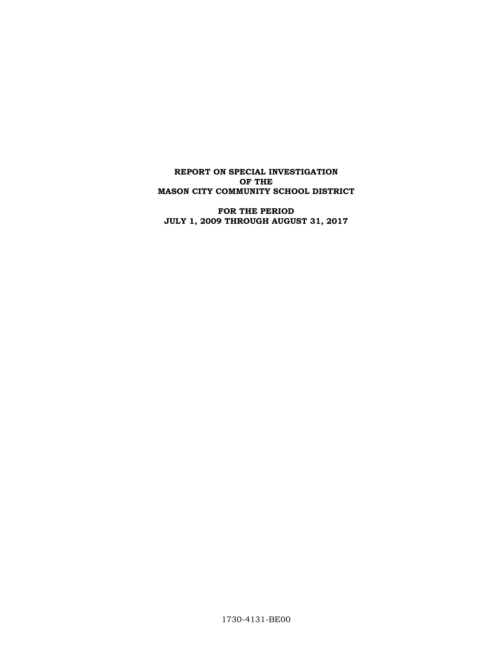**REPORT ON SPECIAL INVESTIGATION OF THE MASON CITY COMMUNITY SCHOOL DISTRICT**

**FOR THE PERIOD JULY 1, 2009 THROUGH AUGUST 31, 2017**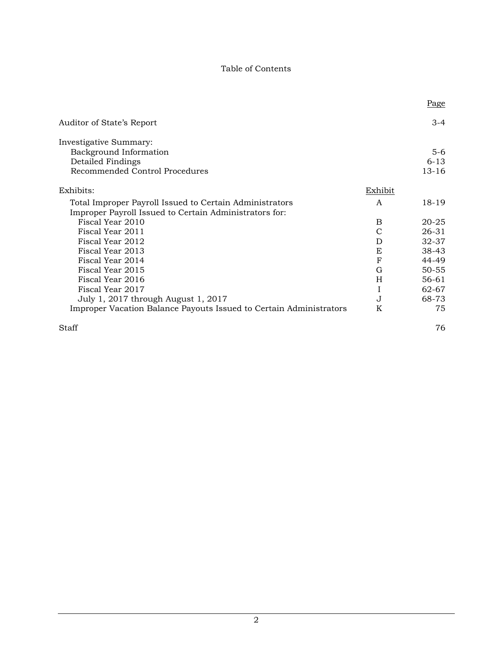# Table of Contents

|                                                                                                                   |         | Page      |
|-------------------------------------------------------------------------------------------------------------------|---------|-----------|
| Auditor of State's Report                                                                                         |         | $3 - 4$   |
| Investigative Summary:                                                                                            |         |           |
| Background Information                                                                                            |         | $5-6$     |
| Detailed Findings                                                                                                 |         | $6 - 13$  |
| Recommended Control Procedures                                                                                    |         | $13 - 16$ |
| Exhibits:                                                                                                         | Exhibit |           |
| Total Improper Payroll Issued to Certain Administrators<br>Improper Payroll Issued to Certain Administrators for: | A       | 18-19     |
| Fiscal Year 2010                                                                                                  | B       | $20 - 25$ |
| Fiscal Year 2011                                                                                                  | C       | 26-31     |
| Fiscal Year 2012                                                                                                  | D       | 32-37     |
| Fiscal Year 2013                                                                                                  | E       | 38-43     |
| Fiscal Year 2014                                                                                                  | F       | 44-49     |
| Fiscal Year 2015                                                                                                  | G       | $50 - 55$ |
| Fiscal Year 2016                                                                                                  | H       | $56-61$   |
| Fiscal Year 2017                                                                                                  | I       | 62-67     |
| July 1, 2017 through August 1, 2017                                                                               | J       | 68-73     |
| Improper Vacation Balance Payouts Issued to Certain Administrators                                                | K       | 75        |
| Staff                                                                                                             |         | 76        |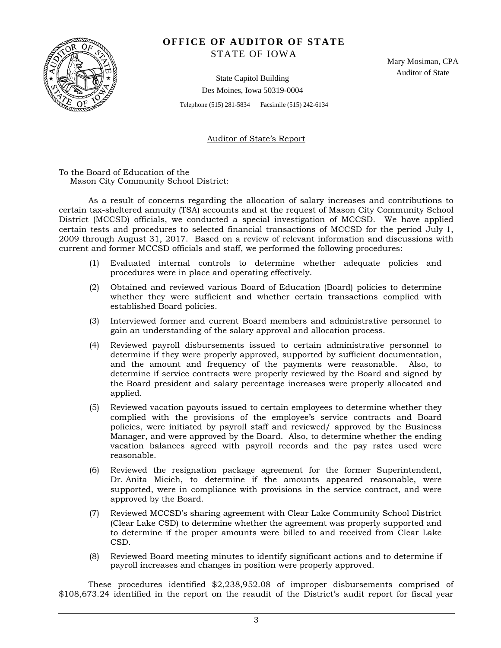

# **OFFICE OF AUDITOR OF STATE** STATE OF IOWA

Mary Mosiman, CPA Auditor of State

State Capitol Building Des Moines, Iowa 50319-0004

Telephone (515) 281-5834 Facsimile (515) 242-6134

Auditor of State's Report

To the Board of Education of the Mason City Community School District:

As a result of concerns regarding the allocation of salary increases and contributions to certain tax-sheltered annuity (TSA) accounts and at the request of Mason City Community School District (MCCSD) officials, we conducted a special investigation of MCCSD. We have applied certain tests and procedures to selected financial transactions of MCCSD for the period July 1, 2009 through August 31, 2017. Based on a review of relevant information and discussions with current and former MCCSD officials and staff, we performed the following procedures:

- (1) Evaluated internal controls to determine whether adequate policies and procedures were in place and operating effectively.
- (2) Obtained and reviewed various Board of Education (Board) policies to determine whether they were sufficient and whether certain transactions complied with established Board policies.
- (3) Interviewed former and current Board members and administrative personnel to gain an understanding of the salary approval and allocation process.
- (4) Reviewed payroll disbursements issued to certain administrative personnel to determine if they were properly approved, supported by sufficient documentation, and the amount and frequency of the payments were reasonable. Also, to determine if service contracts were properly reviewed by the Board and signed by the Board president and salary percentage increases were properly allocated and applied.
- (5) Reviewed vacation payouts issued to certain employees to determine whether they complied with the provisions of the employee's service contracts and Board policies, were initiated by payroll staff and reviewed/ approved by the Business Manager, and were approved by the Board. Also, to determine whether the ending vacation balances agreed with payroll records and the pay rates used were reasonable.
- (6) Reviewed the resignation package agreement for the former Superintendent, Dr. Anita Micich, to determine if the amounts appeared reasonable, were supported, were in compliance with provisions in the service contract, and were approved by the Board.
- (7) Reviewed MCCSD's sharing agreement with Clear Lake Community School District (Clear Lake CSD) to determine whether the agreement was properly supported and to determine if the proper amounts were billed to and received from Clear Lake CSD.
- (8) Reviewed Board meeting minutes to identify significant actions and to determine if payroll increases and changes in position were properly approved.

These procedures identified \$2,238,952.08 of improper disbursements comprised of \$108,673.24 identified in the report on the reaudit of the District's audit report for fiscal year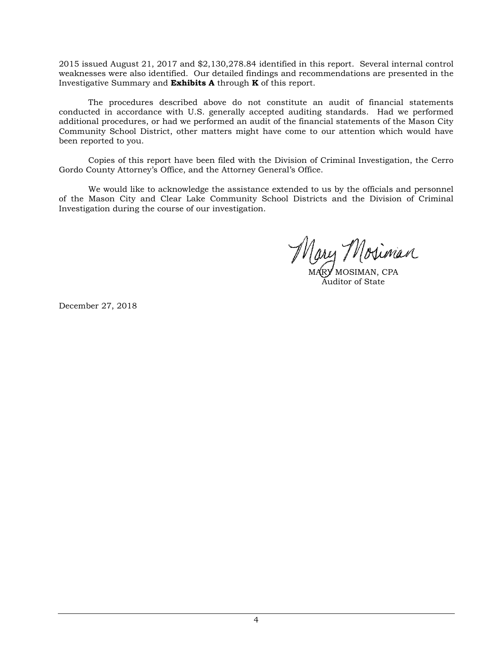2015 issued August 21, 2017 and \$2,130,278.84 identified in this report. Several internal control weaknesses were also identified. Our detailed findings and recommendations are presented in the Investigative Summary and **Exhibits A** through **K** of this report.

The procedures described above do not constitute an audit of financial statements conducted in accordance with U.S. generally accepted auditing standards. Had we performed additional procedures, or had we performed an audit of the financial statements of the Mason City Community School District, other matters might have come to our attention which would have been reported to you.

Copies of this report have been filed with the Division of Criminal Investigation, the Cerro Gordo County Attorney's Office, and the Attorney General's Office.

We would like to acknowledge the assistance extended to us by the officials and personnel of the Mason City and Clear Lake Community School Districts and the Division of Criminal Investigation during the course of our investigation.

MARY MOSIMAN, CPA Auditor of State

December 27, 2018.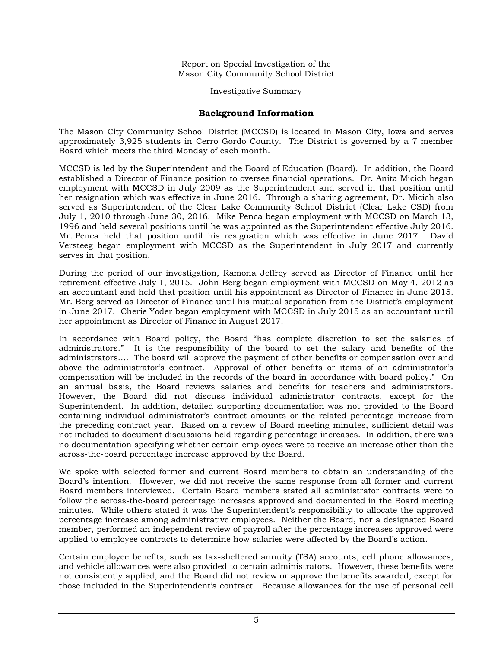Investigative Summary

## **Background Information**

The Mason City Community School District (MCCSD) is located in Mason City, Iowa and serves approximately 3,925 students in Cerro Gordo County. The District is governed by a 7 member Board which meets the third Monday of each month.

MCCSD is led by the Superintendent and the Board of Education (Board). In addition, the Board established a Director of Finance position to oversee financial operations. Dr. Anita Micich began employment with MCCSD in July 2009 as the Superintendent and served in that position until her resignation which was effective in June 2016. Through a sharing agreement, Dr. Micich also served as Superintendent of the Clear Lake Community School District (Clear Lake CSD) from July 1, 2010 through June 30, 2016. Mike Penca began employment with MCCSD on March 13, 1996 and held several positions until he was appointed as the Superintendent effective July 2016. Mr. Penca held that position until his resignation which was effective in June 2017. David Versteeg began employment with MCCSD as the Superintendent in July 2017 and currently serves in that position.

During the period of our investigation, Ramona Jeffrey served as Director of Finance until her retirement effective July 1, 2015. John Berg began employment with MCCSD on May 4, 2012 as an accountant and held that position until his appointment as Director of Finance in June 2015. Mr. Berg served as Director of Finance until his mutual separation from the District's employment in June 2017. Cherie Yoder began employment with MCCSD in July 2015 as an accountant until her appointment as Director of Finance in August 2017.

In accordance with Board policy, the Board "has complete discretion to set the salaries of administrators." It is the responsibility of the board to set the salary and benefits of the administrators.… The board will approve the payment of other benefits or compensation over and above the administrator's contract. Approval of other benefits or items of an administrator's compensation will be included in the records of the board in accordance with board policy." On an annual basis, the Board reviews salaries and benefits for teachers and administrators. However, the Board did not discuss individual administrator contracts, except for the Superintendent. In addition, detailed supporting documentation was not provided to the Board containing individual administrator's contract amounts or the related percentage increase from the preceding contract year. Based on a review of Board meeting minutes, sufficient detail was not included to document discussions held regarding percentage increases. In addition, there was no documentation specifying whether certain employees were to receive an increase other than the across-the-board percentage increase approved by the Board.

We spoke with selected former and current Board members to obtain an understanding of the Board's intention. However, we did not receive the same response from all former and current Board members interviewed. Certain Board members stated all administrator contracts were to follow the across-the-board percentage increases approved and documented in the Board meeting minutes. While others stated it was the Superintendent's responsibility to allocate the approved percentage increase among administrative employees. Neither the Board, nor a designated Board member, performed an independent review of payroll after the percentage increases approved were applied to employee contracts to determine how salaries were affected by the Board's action.

Certain employee benefits, such as tax-sheltered annuity (TSA) accounts, cell phone allowances, and vehicle allowances were also provided to certain administrators. However, these benefits were not consistently applied, and the Board did not review or approve the benefits awarded, except for those included in the Superintendent's contract. Because allowances for the use of personal cell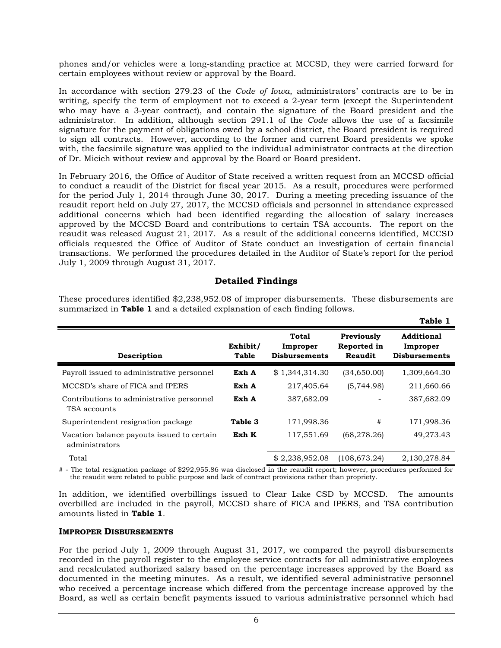phones and/or vehicles were a long-standing practice at MCCSD, they were carried forward for certain employees without review or approval by the Board.

In accordance with section 279.23 of the *Code of Iowa*, administrators' contracts are to be in writing, specify the term of employment not to exceed a 2-year term (except the Superintendent who may have a 3-year contract), and contain the signature of the Board president and the administrator. In addition, although section 291.1 of the *Code* allows the use of a facsimile signature for the payment of obligations owed by a school district, the Board president is required to sign all contracts. However, according to the former and current Board presidents we spoke with, the facsimile signature was applied to the individual administrator contracts at the direction of Dr. Micich without review and approval by the Board or Board president.

In February 2016, the Office of Auditor of State received a written request from an MCCSD official to conduct a reaudit of the District for fiscal year 2015. As a result, procedures were performed for the period July 1, 2014 through June 30, 2017. During a meeting preceding issuance of the reaudit report held on July 27, 2017, the MCCSD officials and personnel in attendance expressed additional concerns which had been identified regarding the allocation of salary increases approved by the MCCSD Board and contributions to certain TSA accounts. The report on the reaudit was released August 21, 2017. As a result of the additional concerns identified, MCCSD officials requested the Office of Auditor of State conduct an investigation of certain financial transactions. We performed the procedures detailed in the Auditor of State's report for the period July 1, 2009 through August 31, 2017.

## **Detailed Findings**

These procedures identified \$2,238,952.08 of improper disbursements. These disbursements are summarized in **Table 1** and a detailed explanation of each finding follows.

**Table 1**

|                                                              |                   |                                           |                                      | rapic r                                               |
|--------------------------------------------------------------|-------------------|-------------------------------------------|--------------------------------------|-------------------------------------------------------|
| Description                                                  | Exhibit/<br>Table | Total<br>Improper<br><b>Disbursements</b> | Previously<br>Reported in<br>Reaudit | <b>Additional</b><br>Improper<br><b>Disbursements</b> |
| Payroll issued to administrative personnel                   | Exh A             | \$1,344,314.30                            | (34, 650.00)                         | 1,309,664.30                                          |
| MCCSD's share of FICA and IPERS                              | Exh A             | 217,405.64                                | (5,744.98)                           | 211,660.66                                            |
| Contributions to administrative personnel<br>TSA accounts    | Exh A             | 387,682.09                                |                                      | 387,682.09                                            |
| Superintendent resignation package                           | Table 3           | 171,998.36                                | #                                    | 171,998.36                                            |
| Vacation balance payouts issued to certain<br>administrators | Exh K             | 117,551.69                                | (68, 278.26)                         | 49,273.43                                             |
| Total                                                        |                   | \$2,238,952.08                            | (108, 673.24)                        | 2,130,278.84                                          |

# - The total resignation package of \$292,955.86 was disclosed in the reaudit report; however, procedures performed for the reaudit were related to public purpose and lack of contract provisions rather than propriety.

In addition, we identified overbillings issued to Clear Lake CSD by MCCSD. The amounts overbilled are included in the payroll, MCCSD share of FICA and IPERS, and TSA contribution amounts listed in **Table 1**.

#### **IMPROPER DISBURSEMENTS**

For the period July 1, 2009 through August 31, 2017, we compared the payroll disbursements recorded in the payroll register to the employee service contracts for all administrative employees and recalculated authorized salary based on the percentage increases approved by the Board as documented in the meeting minutes. As a result, we identified several administrative personnel who received a percentage increase which differed from the percentage increase approved by the Board, as well as certain benefit payments issued to various administrative personnel which had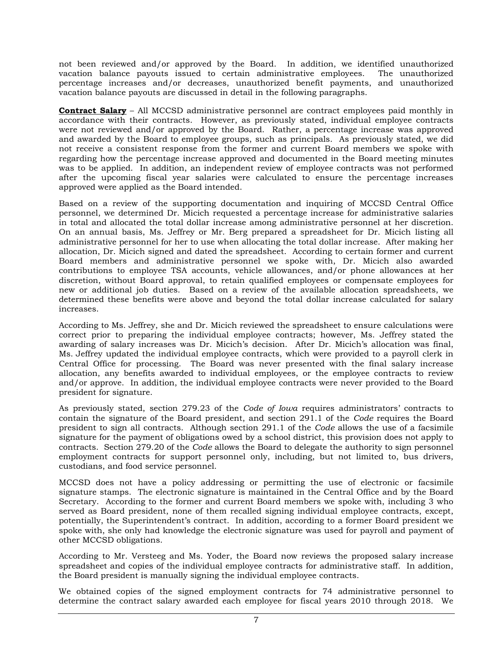not been reviewed and/or approved by the Board. In addition, we identified unauthorized vacation balance payouts issued to certain administrative employees. The unauthorized percentage increases and/or decreases, unauthorized benefit payments, and unauthorized vacation balance payouts are discussed in detail in the following paragraphs.

**Contract Salary** – All MCCSD administrative personnel are contract employees paid monthly in accordance with their contracts. However, as previously stated, individual employee contracts were not reviewed and/or approved by the Board. Rather, a percentage increase was approved and awarded by the Board to employee groups, such as principals. As previously stated, we did not receive a consistent response from the former and current Board members we spoke with regarding how the percentage increase approved and documented in the Board meeting minutes was to be applied. In addition, an independent review of employee contracts was not performed after the upcoming fiscal year salaries were calculated to ensure the percentage increases approved were applied as the Board intended.

Based on a review of the supporting documentation and inquiring of MCCSD Central Office personnel, we determined Dr. Micich requested a percentage increase for administrative salaries in total and allocated the total dollar increase among administrative personnel at her discretion. On an annual basis, Ms. Jeffrey or Mr. Berg prepared a spreadsheet for Dr. Micich listing all administrative personnel for her to use when allocating the total dollar increase. After making her allocation, Dr. Micich signed and dated the spreadsheet. According to certain former and current Board members and administrative personnel we spoke with, Dr. Micich also awarded contributions to employee TSA accounts, vehicle allowances, and/or phone allowances at her discretion, without Board approval, to retain qualified employees or compensate employees for new or additional job duties. Based on a review of the available allocation spreadsheets, we determined these benefits were above and beyond the total dollar increase calculated for salary increases.

According to Ms. Jeffrey, she and Dr. Micich reviewed the spreadsheet to ensure calculations were correct prior to preparing the individual employee contracts; however, Ms. Jeffrey stated the awarding of salary increases was Dr. Micich's decision. After Dr. Micich's allocation was final, Ms. Jeffrey updated the individual employee contracts, which were provided to a payroll clerk in Central Office for processing. The Board was never presented with the final salary increase allocation, any benefits awarded to individual employees, or the employee contracts to review and/or approve. In addition, the individual employee contracts were never provided to the Board president for signature.

As previously stated, section 279.23 of the *Code of Iowa* requires administrators' contracts to contain the signature of the Board president, and section 291.1 of the *Code* requires the Board president to sign all contracts. Although section 291.1 of the *Code* allows the use of a facsimile signature for the payment of obligations owed by a school district, this provision does not apply to contracts. Section 279.20 of the *Code* allows the Board to delegate the authority to sign personnel employment contracts for support personnel only, including, but not limited to, bus drivers, custodians, and food service personnel.

MCCSD does not have a policy addressing or permitting the use of electronic or facsimile signature stamps. The electronic signature is maintained in the Central Office and by the Board Secretary. According to the former and current Board members we spoke with, including 3 who served as Board president, none of them recalled signing individual employee contracts, except, potentially, the Superintendent's contract. In addition, according to a former Board president we spoke with, she only had knowledge the electronic signature was used for payroll and payment of other MCCSD obligations.

According to Mr. Versteeg and Ms. Yoder, the Board now reviews the proposed salary increase spreadsheet and copies of the individual employee contracts for administrative staff. In addition, the Board president is manually signing the individual employee contracts.

We obtained copies of the signed employment contracts for 74 administrative personnel to determine the contract salary awarded each employee for fiscal years 2010 through 2018. We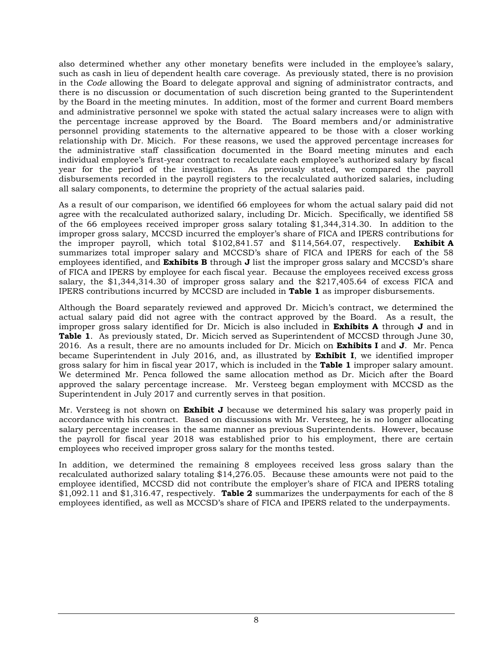also determined whether any other monetary benefits were included in the employee's salary, such as cash in lieu of dependent health care coverage. As previously stated, there is no provision in the *Code* allowing the Board to delegate approval and signing of administrator contracts, and there is no discussion or documentation of such discretion being granted to the Superintendent by the Board in the meeting minutes. In addition, most of the former and current Board members and administrative personnel we spoke with stated the actual salary increases were to align with the percentage increase approved by the Board. The Board members and/or administrative personnel providing statements to the alternative appeared to be those with a closer working relationship with Dr. Micich. For these reasons, we used the approved percentage increases for the administrative staff classification documented in the Board meeting minutes and each individual employee's first-year contract to recalculate each employee's authorized salary by fiscal year for the period of the investigation. As previously stated, we compared the payroll disbursements recorded in the payroll registers to the recalculated authorized salaries, including all salary components, to determine the propriety of the actual salaries paid.

As a result of our comparison, we identified 66 employees for whom the actual salary paid did not agree with the recalculated authorized salary, including Dr. Micich. Specifically, we identified 58 of the 66 employees received improper gross salary totaling \$1,344,314.30. In addition to the improper gross salary, MCCSD incurred the employer's share of FICA and IPERS contributions for the improper payroll, which total \$102,841.57 and \$114,564.07, respectively. **Exhibit A** summarizes total improper salary and MCCSD's share of FICA and IPERS for each of the 58 employees identified, and **Exhibits B** through **J** list the improper gross salary and MCCSD's share of FICA and IPERS by employee for each fiscal year. Because the employees received excess gross salary, the \$1,344,314.30 of improper gross salary and the \$217,405.64 of excess FICA and IPERS contributions incurred by MCCSD are included in **Table 1** as improper disbursements.

Although the Board separately reviewed and approved Dr. Micich's contract, we determined the actual salary paid did not agree with the contract approved by the Board. As a result, the improper gross salary identified for Dr. Micich is also included in **Exhibits A** through **J** and in **Table 1**. As previously stated, Dr. Micich served as Superintendent of MCCSD through June 30, 2016. As a result, there are no amounts included for Dr. Micich on **Exhibits I** and **J**. Mr. Penca became Superintendent in July 2016, and, as illustrated by **Exhibit I**, we identified improper gross salary for him in fiscal year 2017, which is included in the **Table 1** improper salary amount. We determined Mr. Penca followed the same allocation method as Dr. Micich after the Board approved the salary percentage increase. Mr. Versteeg began employment with MCCSD as the Superintendent in July 2017 and currently serves in that position.

Mr. Versteeg is not shown on **Exhibit J** because we determined his salary was properly paid in accordance with his contract. Based on discussions with Mr. Versteeg, he is no longer allocating salary percentage increases in the same manner as previous Superintendents. However, because the payroll for fiscal year 2018 was established prior to his employment, there are certain employees who received improper gross salary for the months tested.

In addition, we determined the remaining 8 employees received less gross salary than the recalculated authorized salary totaling \$14,276.05.Because these amounts were not paid to the employee identified, MCCSD did not contribute the employer's share of FICA and IPERS totaling \$1,092.11 and \$1,316.47, respectively. **Table 2** summarizes the underpayments for each of the 8 employees identified, as well as MCCSD's share of FICA and IPERS related to the underpayments.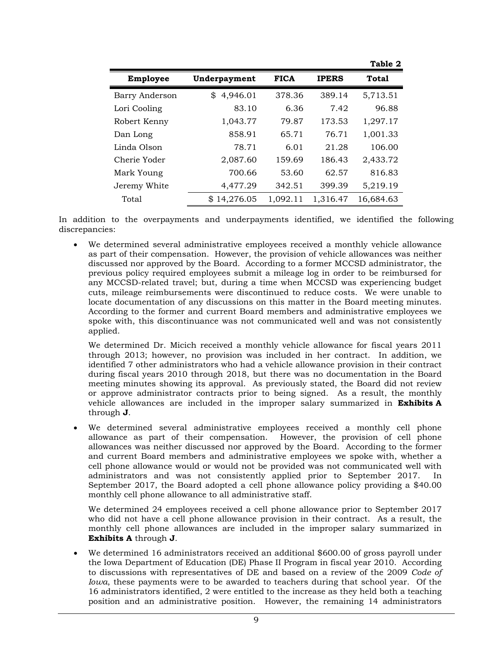| <b>Employee</b> | Underpayment   | <b>FICA</b> | <b>IPERS</b> | <b>Total</b> |
|-----------------|----------------|-------------|--------------|--------------|
| Barry Anderson  | 4,946.01<br>\$ | 378.36      | 389.14       | 5,713.51     |
| Lori Cooling    | 83.10          | 6.36        | 7.42         | 96.88        |
| Robert Kenny    | 1,043.77       | 79.87       | 173.53       | 1,297.17     |
| Dan Long        | 858.91         | 65.71       | 76.71        | 1,001.33     |
| Linda Olson     | 78.71          | 6.01        | 21.28        | 106.00       |
| Cherie Yoder    | 2,087.60       | 159.69      | 186.43       | 2,433.72     |
| Mark Young      | 700.66         | 53.60       | 62.57        | 816.83       |
| Jeremy White    | 4,477.29       | 342.51      | 399.39       | 5,219.19     |
| Total           | \$14,276.05    | 1,092.11    | 1,316.47     | 16,684.63    |

In addition to the overpayments and underpayments identified, we identified the following discrepancies:

• We determined several administrative employees received a monthly vehicle allowance as part of their compensation. However, the provision of vehicle allowances was neither discussed nor approved by the Board. According to a former MCCSD administrator, the previous policy required employees submit a mileage log in order to be reimbursed for any MCCSD-related travel; but, during a time when MCCSD was experiencing budget cuts, mileage reimbursements were discontinued to reduce costs. We were unable to locate documentation of any discussions on this matter in the Board meeting minutes. According to the former and current Board members and administrative employees we spoke with, this discontinuance was not communicated well and was not consistently applied.

We determined Dr. Micich received a monthly vehicle allowance for fiscal years 2011 through 2013; however, no provision was included in her contract. In addition, we identified 7 other administrators who had a vehicle allowance provision in their contract during fiscal years 2010 through 2018, but there was no documentation in the Board meeting minutes showing its approval. As previously stated, the Board did not review or approve administrator contracts prior to being signed. As a result, the monthly vehicle allowances are included in the improper salary summarized in **Exhibits A** through **J**.

• We determined several administrative employees received a monthly cell phone allowance as part of their compensation. However, the provision of cell phone allowances was neither discussed nor approved by the Board. According to the former and current Board members and administrative employees we spoke with, whether a cell phone allowance would or would not be provided was not communicated well with administrators and was not consistently applied prior to September 2017. In September 2017, the Board adopted a cell phone allowance policy providing a \$40.00 monthly cell phone allowance to all administrative staff.

We determined 24 employees received a cell phone allowance prior to September 2017 who did not have a cell phone allowance provision in their contract. As a result, the monthly cell phone allowances are included in the improper salary summarized in **Exhibits A** through **J**.

• We determined 16 administrators received an additional \$600.00 of gross payroll under the Iowa Department of Education (DE) Phase II Program in fiscal year 2010. According to discussions with representatives of DE and based on a review of the 2009 *Code of Iowa*, these payments were to be awarded to teachers during that school year. Of the 16 administrators identified, 2 were entitled to the increase as they held both a teaching position and an administrative position. However, the remaining 14 administrators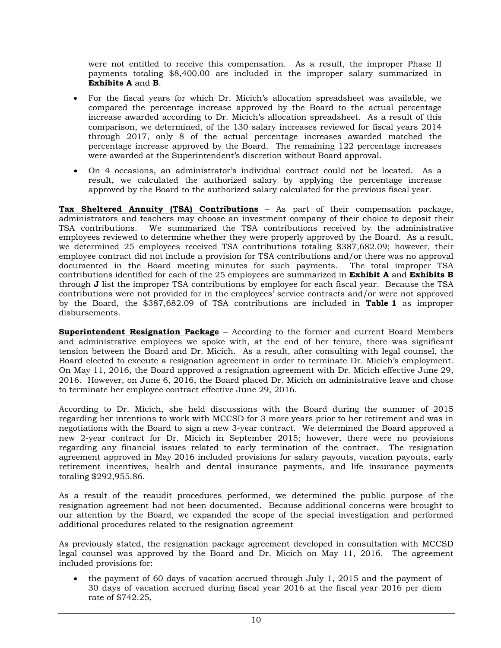were not entitled to receive this compensation. As a result, the improper Phase II payments totaling \$8,400.00 are included in the improper salary summarized in **Exhibits A** and **B**.

- For the fiscal years for which Dr. Micich's allocation spreadsheet was available, we compared the percentage increase approved by the Board to the actual percentage increase awarded according to Dr. Micich's allocation spreadsheet. As a result of this comparison, we determined, of the 130 salary increases reviewed for fiscal years 2014 through 2017, only 8 of the actual percentage increases awarded matched the percentage increase approved by the Board. The remaining 122 percentage increases were awarded at the Superintendent's discretion without Board approval.
- On 4 occasions, an administrator's individual contract could not be located. As a result, we calculated the authorized salary by applying the percentage increase approved by the Board to the authorized salary calculated for the previous fiscal year.

**Tax Sheltered Annuity (TSA) Contributions** – As part of their compensation package, administrators and teachers may choose an investment company of their choice to deposit their TSA contributions. We summarized the TSA contributions received by the administrative employees reviewed to determine whether they were properly approved by the Board. As a result, we determined 25 employees received TSA contributions totaling \$387,682.09; however, their employee contract did not include a provision for TSA contributions and/or there was no approval documented in the Board meeting minutes for such payments. The total improper TSA contributions identified for each of the 25 employees are summarized in **Exhibit A** and **Exhibits B**  through **J** list the improper TSA contributions by employee for each fiscal year. Because the TSA contributions were not provided for in the employees' service contracts and/or were not approved by the Board, the \$387,682.09 of TSA contributions are included in **Table 1** as improper disbursements.

**Superintendent Resignation Package** – According to the former and current Board Members and administrative employees we spoke with, at the end of her tenure, there was significant tension between the Board and Dr. Micich. As a result, after consulting with legal counsel, the Board elected to execute a resignation agreement in order to terminate Dr. Micich's employment. On May 11, 2016, the Board approved a resignation agreement with Dr. Micich effective June 29, 2016. However, on June 6, 2016, the Board placed Dr. Micich on administrative leave and chose to terminate her employee contract effective June 29, 2016.

According to Dr. Micich, she held discussions with the Board during the summer of 2015 regarding her intentions to work with MCCSD for 3 more years prior to her retirement and was in negotiations with the Board to sign a new 3-year contract. We determined the Board approved a new 2-year contract for Dr. Micich in September 2015; however, there were no provisions regarding any financial issues related to early termination of the contract. The resignation agreement approved in May 2016 included provisions for salary payouts, vacation payouts, early retirement incentives, health and dental insurance payments, and life insurance payments totaling \$292,955.86.

As a result of the reaudit procedures performed, we determined the public purpose of the resignation agreement had not been documented. Because additional concerns were brought to our attention by the Board, we expanded the scope of the special investigation and performed additional procedures related to the resignation agreement

As previously stated, the resignation package agreement developed in consultation with MCCSD legal counsel was approved by the Board and Dr. Micich on May 11, 2016. The agreement included provisions for:

• the payment of 60 days of vacation accrued through July 1, 2015 and the payment of 30 days of vacation accrued during fiscal year 2016 at the fiscal year 2016 per diem rate of \$742.25,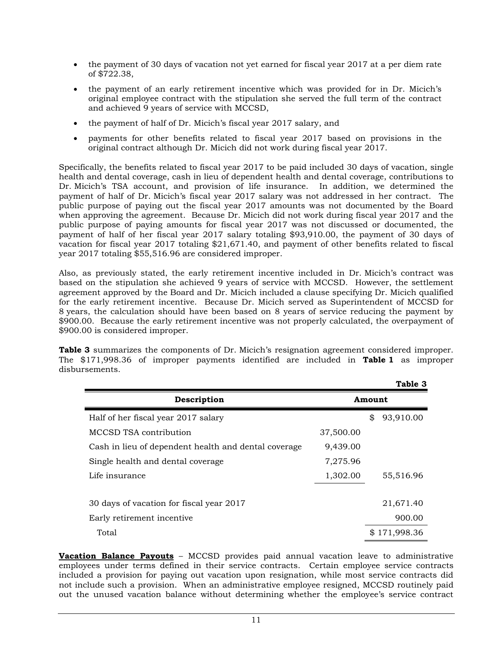- the payment of 30 days of vacation not yet earned for fiscal year 2017 at a per diem rate of \$722.38,
- the payment of an early retirement incentive which was provided for in Dr. Micich's original employee contract with the stipulation she served the full term of the contract and achieved 9 years of service with MCCSD,
- the payment of half of Dr. Micich's fiscal year 2017 salary, and
- payments for other benefits related to fiscal year 2017 based on provisions in the original contract although Dr. Micich did not work during fiscal year 2017.

Specifically, the benefits related to fiscal year 2017 to be paid included 30 days of vacation, single health and dental coverage, cash in lieu of dependent health and dental coverage, contributions to Dr. Micich's TSA account, and provision of life insurance. In addition, we determined the payment of half of Dr. Micich's fiscal year 2017 salary was not addressed in her contract. The public purpose of paying out the fiscal year 2017 amounts was not documented by the Board when approving the agreement. Because Dr. Micich did not work during fiscal year 2017 and the public purpose of paying amounts for fiscal year 2017 was not discussed or documented, the payment of half of her fiscal year 2017 salary totaling \$93,910.00, the payment of 30 days of vacation for fiscal year 2017 totaling \$21,671.40, and payment of other benefits related to fiscal year 2017 totaling \$55,516.96 are considered improper.

Also, as previously stated, the early retirement incentive included in Dr. Micich's contract was based on the stipulation she achieved 9 years of service with MCCSD. However, the settlement agreement approved by the Board and Dr. Micich included a clause specifying Dr. Micich qualified for the early retirement incentive. Because Dr. Micich served as Superintendent of MCCSD for 8 years, the calculation should have been based on 8 years of service reducing the payment by \$900.00. Because the early retirement incentive was not properly calculated, the overpayment of \$900.00 is considered improper.

**Table 3** summarizes the components of Dr. Micich's resignation agreement considered improper. The \$171,998.36 of improper payments identified are included in **Table 1** as improper disbursements.

|                                                      |           |        | Table 3    |
|------------------------------------------------------|-----------|--------|------------|
| Description                                          | Amount    |        |            |
| Half of her fiscal year 2017 salary                  |           | \$     | 93,910.00  |
| MCCSD TSA contribution                               | 37,500.00 |        |            |
| Cash in lieu of dependent health and dental coverage | 9,439.00  |        |            |
| Single health and dental coverage                    | 7,275.96  |        |            |
| Life insurance                                       | 1,302.00  |        | 55,516.96  |
|                                                      |           |        |            |
| 30 days of vacation for fiscal year 2017             |           |        | 21,671.40  |
| Early retirement incentive                           |           | 900.00 |            |
| Total                                                |           | \$     | 171,998.36 |

**Vacation Balance Payouts** – MCCSD provides paid annual vacation leave to administrative employees under terms defined in their service contracts. Certain employee service contracts included a provision for paying out vacation upon resignation, while most service contracts did not include such a provision. When an administrative employee resigned, MCCSD routinely paid out the unused vacation balance without determining whether the employee's service contract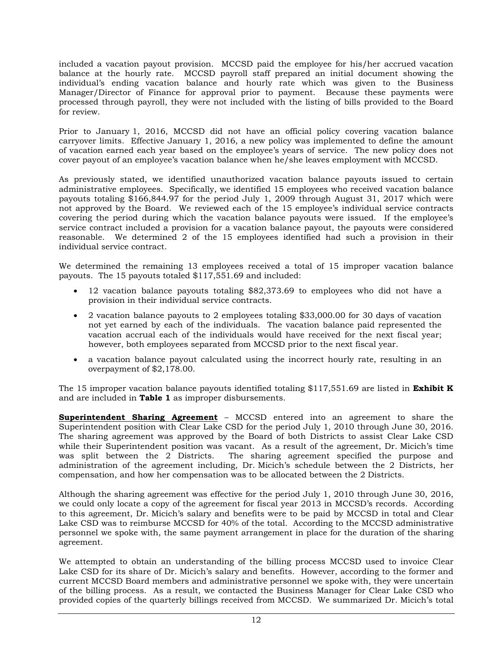included a vacation payout provision. MCCSD paid the employee for his/her accrued vacation balance at the hourly rate. MCCSD payroll staff prepared an initial document showing the individual's ending vacation balance and hourly rate which was given to the Business Manager/Director of Finance for approval prior to payment. Because these payments were processed through payroll, they were not included with the listing of bills provided to the Board for review.

Prior to January 1, 2016, MCCSD did not have an official policy covering vacation balance carryover limits. Effective January 1, 2016, a new policy was implemented to define the amount of vacation earned each year based on the employee's years of service. The new policy does not cover payout of an employee's vacation balance when he/she leaves employment with MCCSD.

As previously stated, we identified unauthorized vacation balance payouts issued to certain administrative employees. Specifically, we identified 15 employees who received vacation balance payouts totaling \$166,844.97 for the period July 1, 2009 through August 31, 2017 which were not approved by the Board.We reviewed each of the 15 employee's individual service contracts covering the period during which the vacation balance payouts were issued. If the employee's service contract included a provision for a vacation balance payout, the payouts were considered reasonable. We determined 2 of the 15 employees identified had such a provision in their individual service contract.

We determined the remaining 13 employees received a total of 15 improper vacation balance payouts. The 15 payouts totaled \$117,551.69 and included:

- 12 vacation balance payouts totaling \$82,373.69 to employees who did not have a provision in their individual service contracts.
- 2 vacation balance payouts to 2 employees totaling \$33,000.00 for 30 days of vacation not yet earned by each of the individuals. The vacation balance paid represented the vacation accrual each of the individuals would have received for the next fiscal year; however, both employees separated from MCCSD prior to the next fiscal year.
- a vacation balance payout calculated using the incorrect hourly rate, resulting in an overpayment of \$2,178.00.

The 15 improper vacation balance payouts identified totaling \$117,551.69 are listed in **Exhibit K**  and are included in **Table 1** as improper disbursements.

**Superintendent Sharing Agreement** – MCCSD entered into an agreement to share the Superintendent position with Clear Lake CSD for the period July 1, 2010 through June 30, 2016. The sharing agreement was approved by the Board of both Districts to assist Clear Lake CSD while their Superintendent position was vacant. As a result of the agreement, Dr. Micich's time was split between the 2 Districts. The sharing agreement specified the purpose and administration of the agreement including, Dr. Micich's schedule between the 2 Districts, her compensation, and how her compensation was to be allocated between the 2 Districts.

Although the sharing agreement was effective for the period July 1, 2010 through June 30, 2016, we could only locate a copy of the agreement for fiscal year 2013 in MCCSD's records. According to this agreement, Dr. Micich's salary and benefits were to be paid by MCCSD in total and Clear Lake CSD was to reimburse MCCSD for 40% of the total. According to the MCCSD administrative personnel we spoke with, the same payment arrangement in place for the duration of the sharing agreement.

We attempted to obtain an understanding of the billing process MCCSD used to invoice Clear Lake CSD for its share of Dr. Micich's salary and benefits. However, according to the former and current MCCSD Board members and administrative personnel we spoke with, they were uncertain of the billing process. As a result, we contacted the Business Manager for Clear Lake CSD who provided copies of the quarterly billings received from MCCSD. We summarized Dr. Micich's total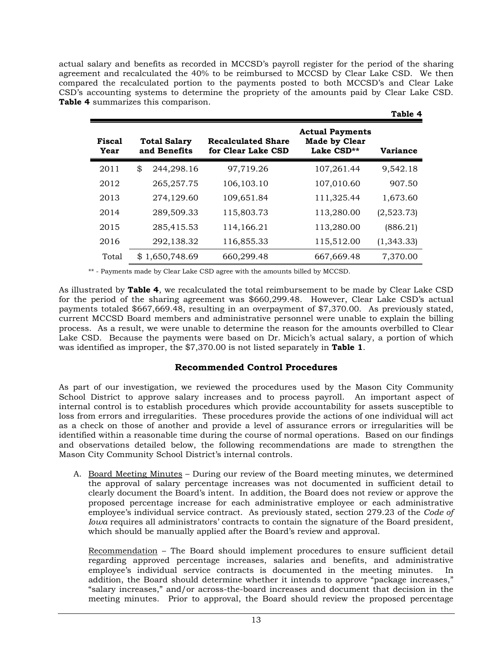actual salary and benefits as recorded in MCCSD's payroll register for the period of the sharing agreement and recalculated the 40% to be reimbursed to MCCSD by Clear Lake CSD. We then compared the recalculated portion to the payments posted to both MCCSD's and Clear Lake CSD's accounting systems to determine the propriety of the amounts paid by Clear Lake CSD. **Table 4** summarizes this comparison.

**Table 4**

|                |                                     |                                                 |                                                              | <b>LADIC</b> T  |
|----------------|-------------------------------------|-------------------------------------------------|--------------------------------------------------------------|-----------------|
| Fiscal<br>Year | <b>Total Salary</b><br>and Benefits | <b>Recalculated Share</b><br>for Clear Lake CSD | <b>Actual Payments</b><br><b>Made by Clear</b><br>Lake CSD** | <b>Variance</b> |
| 2011           | \$<br>244,298.16                    | 97,719.26                                       | 107,261.44                                                   | 9,542.18        |
| 2012           | 265,257.75                          | 106,103.10                                      | 107,010.60                                                   | 907.50          |
| 2013           | 274,129.60                          | 109,651.84                                      | 111,325.44                                                   | 1,673.60        |
| 2014           | 289,509.33                          | 115,803.73                                      | 113,280.00                                                   | (2,523.73)      |
| 2015           | 285,415.53                          | 114,166.21                                      | 113,280.00                                                   | (886.21)        |
| 2016           | 292,138.32                          | 116,855.33                                      | 115,512.00                                                   | (1,343.33)      |
| Total          | \$1,650,748.69                      | 660,299.48                                      | 667,669.48                                                   | 7,370.00        |

\*\* - Payments made by Clear Lake CSD agree with the amounts billed by MCCSD.

As illustrated by **Table 4**, we recalculated the total reimbursement to be made by Clear Lake CSD for the period of the sharing agreement was \$660,299.48. However, Clear Lake CSD's actual payments totaled \$667,669.48, resulting in an overpayment of \$7,370.00. As previously stated, current MCCSD Board members and administrative personnel were unable to explain the billing process. As a result, we were unable to determine the reason for the amounts overbilled to Clear Lake CSD. Because the payments were based on Dr. Micich's actual salary, a portion of which was identified as improper, the \$7,370.00 is not listed separately in **Table 1**.

## **Recommended Control Procedures**

As part of our investigation, we reviewed the procedures used by the Mason City Community School District to approve salary increases and to process payroll. An important aspect of internal control is to establish procedures which provide accountability for assets susceptible to loss from errors and irregularities. These procedures provide the actions of one individual will act as a check on those of another and provide a level of assurance errors or irregularities will be identified within a reasonable time during the course of normal operations. Based on our findings and observations detailed below, the following recommendations are made to strengthen the Mason City Community School District's internal controls.

A. Board Meeting Minutes – During our review of the Board meeting minutes, we determined the approval of salary percentage increases was not documented in sufficient detail to clearly document the Board's intent. In addition, the Board does not review or approve the proposed percentage increase for each administrative employee or each administrative employee's individual service contract. As previously stated, section 279.23 of the *Code of Iowa* requires all administrators' contracts to contain the signature of the Board president, which should be manually applied after the Board's review and approval.

Recommendation – The Board should implement procedures to ensure sufficient detail regarding approved percentage increases, salaries and benefits, and administrative employee's individual service contracts is documented in the meeting minutes. In addition, the Board should determine whether it intends to approve "package increases," "salary increases," and/or across-the-board increases and document that decision in the meeting minutes. Prior to approval, the Board should review the proposed percentage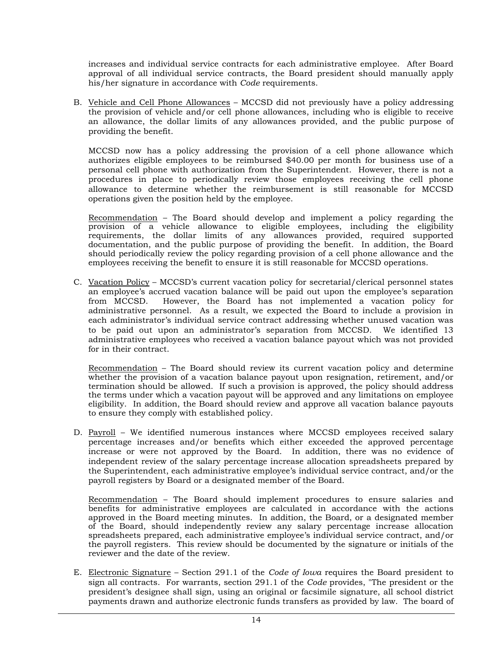increases and individual service contracts for each administrative employee. After Board approval of all individual service contracts, the Board president should manually apply his/her signature in accordance with *Code* requirements.

B. Vehicle and Cell Phone Allowances – MCCSD did not previously have a policy addressing the provision of vehicle and/or cell phone allowances, including who is eligible to receive an allowance, the dollar limits of any allowances provided, and the public purpose of providing the benefit.

MCCSD now has a policy addressing the provision of a cell phone allowance which authorizes eligible employees to be reimbursed \$40.00 per month for business use of a personal cell phone with authorization from the Superintendent. However, there is not a procedures in place to periodically review those employees receiving the cell phone allowance to determine whether the reimbursement is still reasonable for MCCSD operations given the position held by the employee.

Recommendation – The Board should develop and implement a policy regarding the provision of a vehicle allowance to eligible employees, including the eligibility requirements, the dollar limits of any allowances provided, required supported documentation, and the public purpose of providing the benefit. In addition, the Board should periodically review the policy regarding provision of a cell phone allowance and the employees receiving the benefit to ensure it is still reasonable for MCCSD operations.

C. Vacation Policy – MCCSD's current vacation policy for secretarial/clerical personnel states an employee's accrued vacation balance will be paid out upon the employee's separation from MCCSD. However, the Board has not implemented a vacation policy for administrative personnel. As a result, we expected the Board to include a provision in each administrator's individual service contract addressing whether unused vacation was to be paid out upon an administrator's separation from MCCSD. We identified 13 administrative employees who received a vacation balance payout which was not provided for in their contract.

Recommendation – The Board should review its current vacation policy and determine whether the provision of a vacation balance payout upon resignation, retirement, and/or termination should be allowed. If such a provision is approved, the policy should address the terms under which a vacation payout will be approved and any limitations on employee eligibility. In addition, the Board should review and approve all vacation balance payouts to ensure they comply with established policy.

D. Payroll – We identified numerous instances where MCCSD employees received salary percentage increases and/or benefits which either exceeded the approved percentage increase or were not approved by the Board. In addition, there was no evidence of independent review of the salary percentage increase allocation spreadsheets prepared by the Superintendent, each administrative employee's individual service contract, and/or the payroll registers by Board or a designated member of the Board.

Recommendation – The Board should implement procedures to ensure salaries and benefits for administrative employees are calculated in accordance with the actions approved in the Board meeting minutes. In addition, the Board, or a designated member of the Board, should independently review any salary percentage increase allocation spreadsheets prepared, each administrative employee's individual service contract, and/or the payroll registers. This review should be documented by the signature or initials of the reviewer and the date of the review.

E. Electronic Signature – Section 291.1 of the *Code of Iowa* requires the Board president to sign all contracts. For warrants, section 291.1 of the *Code* provides, "The president or the president's designee shall sign, using an original or facsimile signature, all school district payments drawn and authorize electronic funds transfers as provided by law. The board of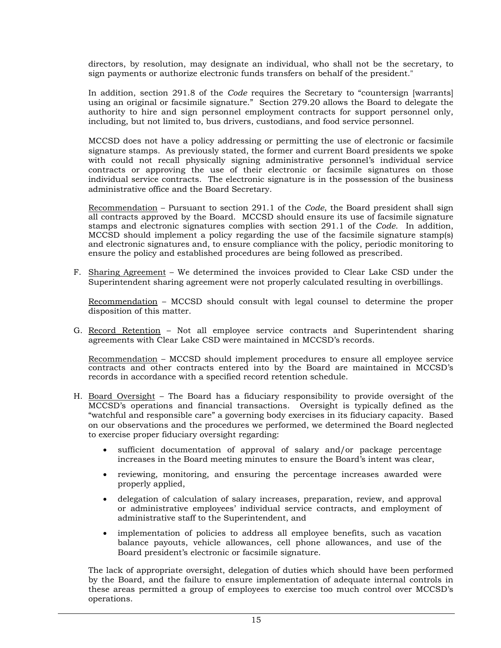directors, by resolution, may designate an individual, who shall not be the secretary, to sign payments or authorize electronic funds transfers on behalf of the president."

In addition, section 291.8 of the *Code* requires the Secretary to "countersign [warrants] using an original or facsimile signature." Section 279.20 allows the Board to delegate the authority to hire and sign personnel employment contracts for support personnel only, including, but not limited to, bus drivers, custodians, and food service personnel.

MCCSD does not have a policy addressing or permitting the use of electronic or facsimile signature stamps. As previously stated, the former and current Board presidents we spoke with could not recall physically signing administrative personnel's individual service contracts or approving the use of their electronic or facsimile signatures on those individual service contracts. The electronic signature is in the possession of the business administrative office and the Board Secretary.

Recommendation – Pursuant to section 291.1 of the *Code*, the Board president shall sign all contracts approved by the Board. MCCSD should ensure its use of facsimile signature stamps and electronic signatures complies with section 291.1 of the *Code*. In addition, MCCSD should implement a policy regarding the use of the facsimile signature stamp(s) and electronic signatures and, to ensure compliance with the policy, periodic monitoring to ensure the policy and established procedures are being followed as prescribed.

F. Sharing Agreement – We determined the invoices provided to Clear Lake CSD under the Superintendent sharing agreement were not properly calculated resulting in overbillings.

Recommendation – MCCSD should consult with legal counsel to determine the proper disposition of this matter.

G. Record Retention – Not all employee service contracts and Superintendent sharing agreements with Clear Lake CSD were maintained in MCCSD's records.

Recommendation – MCCSD should implement procedures to ensure all employee service contracts and other contracts entered into by the Board are maintained in MCCSD's records in accordance with a specified record retention schedule.

- H. Board Oversight The Board has a fiduciary responsibility to provide oversight of the MCCSD's operations and financial transactions. Oversight is typically defined as the "watchful and responsible care" a governing body exercises in its fiduciary capacity. Based on our observations and the procedures we performed, we determined the Board neglected to exercise proper fiduciary oversight regarding:
	- sufficient documentation of approval of salary and/or package percentage increases in the Board meeting minutes to ensure the Board's intent was clear,
	- reviewing, monitoring, and ensuring the percentage increases awarded were properly applied,
	- delegation of calculation of salary increases, preparation, review, and approval or administrative employees' individual service contracts, and employment of administrative staff to the Superintendent, and
	- implementation of policies to address all employee benefits, such as vacation balance payouts, vehicle allowances, cell phone allowances, and use of the Board president's electronic or facsimile signature.

The lack of appropriate oversight, delegation of duties which should have been performed by the Board, and the failure to ensure implementation of adequate internal controls in these areas permitted a group of employees to exercise too much control over MCCSD's operations.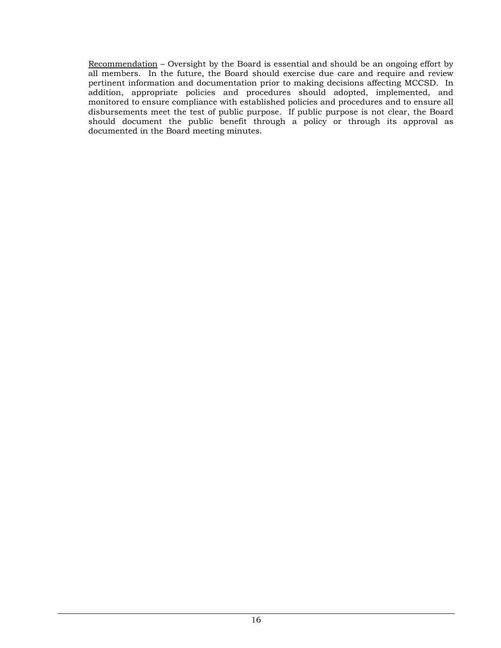Recommendation – Oversight by the Board is essential and should be an ongoing effort by all members. In the future, the Board should exercise due care and require and review pertinent information and documentation prior to making decisions affecting MCCSD. In addition, appropriate policies and procedures should adopted, implemented, and monitored to ensure compliance with established policies and procedures and to ensure all disbursements meet the test of public purpose. If public purpose is not clear, the Board should document the public benefit through a policy or through its approval as documented in the Board meeting minutes.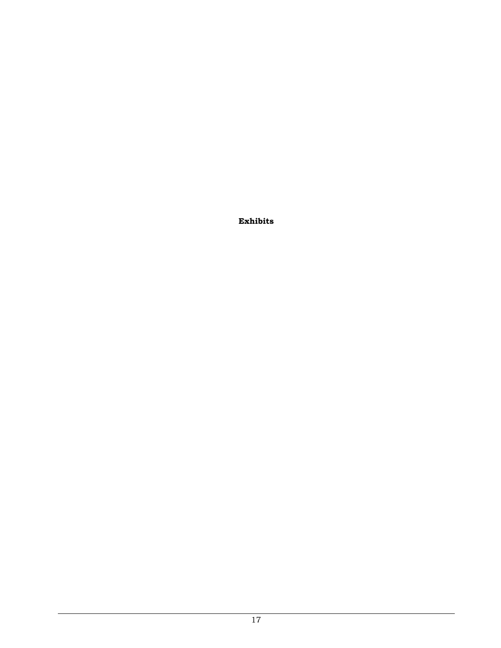**Exhibits**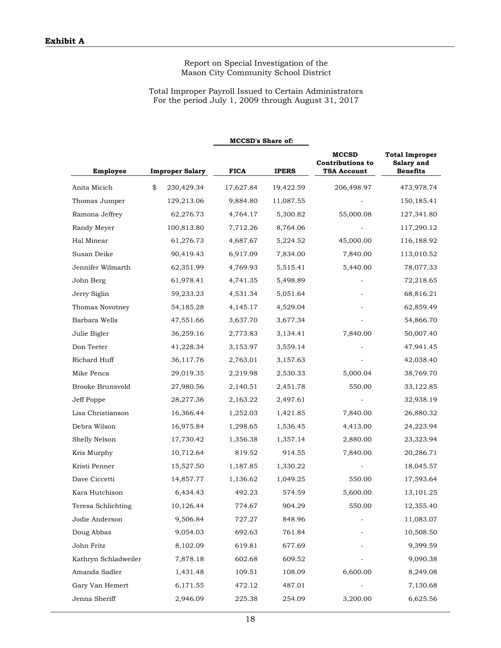### Total Improper Payroll Issued to Certain Administrators For the period July 1, 2009 through August 31, 2017

**MCCSD's Share of:**

| Employee             | <b>Improper Salary</b> | <b>FICA</b> | <b>IPERS</b> | <b>MCCSD</b><br><b>Contributions to</b><br>TSA Account | <b>Total Improper</b><br>Salary and<br><b>Benefits</b> |
|----------------------|------------------------|-------------|--------------|--------------------------------------------------------|--------------------------------------------------------|
| Anita Micich         | \$<br>230,429.34       | 17,627.84   | 19,422.59    | 206,498.97                                             | 473,978.74                                             |
| Thomas Jumper        | 129,213.06             | 9,884.80    | 11,087.55    |                                                        | 150,185.41                                             |
| Ramona Jeffrey       | 62,276.73              | 4,764.17    | 5,300.82     | 55,000.08                                              | 127,341.80                                             |
| Randy Meyer          | 100,813.80             | 7,712.26    | 8,764.06     |                                                        | 117,290.12                                             |
| Hal Minear           | 61,276.73              | 4,687.67    | 5,224.52     | 45,000.00                                              | 116,188.92                                             |
| Susan Deike          | 90,419.43              | 6,917.09    | 7,834.00     | 7,840.00                                               | 113,010.52                                             |
| Jennifer Wilmarth    | 62,351.99              | 4,769.93    | 5,515.41     | 5,440.00                                               | 78,077.33                                              |
| John Berg            | 61,978.41              | 4,741.35    | 5,498.89     |                                                        | 72,218.65                                              |
| Jerry Siglin         | 59,233.23              | 4,531.34    | 5,051.64     |                                                        | 68,816.21                                              |
| Thomas Novotney      | 54,185.28              | 4,145.17    | 4,529.04     |                                                        | 62,859.49                                              |
| Barbara Wells        | 47,551.66              | 3,637.70    | 3,677.34     |                                                        | 54,866.70                                              |
| Julie Bigler         | 36,259.16              | 2,773.83    | 3,134.41     | 7,840.00                                               | 50,007.40                                              |
| Don Teeter           | 41,228.34              | 3,153.97    | 3,559.14     |                                                        | 47,941.45                                              |
| Richard Huff         | 36,117.76              | 2,763.01    | 3,157.63     |                                                        | 42,038.40                                              |
| Mike Penca           | 29,019.35              | 2,219.98    | 2,530.33     | 5,000.04                                               | 38,769.70                                              |
| Brooke Brunsvold     | 27,980.56              | 2,140.51    | 2,451.78     | 550.00                                                 | 33,122.85                                              |
| Jeff Poppe           | 28,277.36              | 2,163.22    | 2,497.61     |                                                        | 32,938.19                                              |
| Lisa Christianson    | 16,366.44              | 1,252.03    | 1,421.85     | 7,840.00                                               | 26,880.32                                              |
| Debra Wilson         | 16,975.84              | 1,298.65    | 1,536.45     | 4,413.00                                               | 24,223.94                                              |
| Shelly Nelson        | 17,730.42              | 1,356.38    | 1,357.14     | 2,880.00                                               | 23,323.94                                              |
| Kris Murphy          | 10,712.64              | 819.52      | 914.55       | 7,840.00                                               | 20,286.71                                              |
| Kristi Penner        | 15,527.50              | 1,187.85    | 1,330.22     |                                                        | 18,045.57                                              |
| Dave Ciccetti        | 14,857.77              | 1,136.62    | 1,049.25     | 550.00                                                 | 17,593.64                                              |
| Kara Hutchison       | 6,434.43               | 492.23      | 574.59       | 5,600.00                                               | 13,101.25                                              |
| Teresa Schlichting   | 10,126.44              | 774.67      | 904.29       | 550.00                                                 | 12,355.40                                              |
| Jodie Anderson       | 9,506.84               | 727.27      | 848.96       |                                                        | 11,083.07                                              |
| Doug Abbas           | 9,054.03               | 692.63      | 761.84       |                                                        | 10,508.50                                              |
| John Fritz           | 8,102.09               | 619.81      | 677.69       |                                                        | 9,399.59                                               |
| Kathryn Schladweiler | 7,878.18               | 602.68      | 609.52       |                                                        | 9,090.38                                               |
| Amanda Sadler        | 1,431.48               | 109.51      | 108.09       | 6,600.00                                               | 8,249.08                                               |
| Gary Van Hemert      | 6,171.55               | 472.12      | 487.01       |                                                        | 7,130.68                                               |
| Jenna Sheriff        | 2,946.09               | 225.38      | 254.09       | 3,200.00                                               | 6,625.56                                               |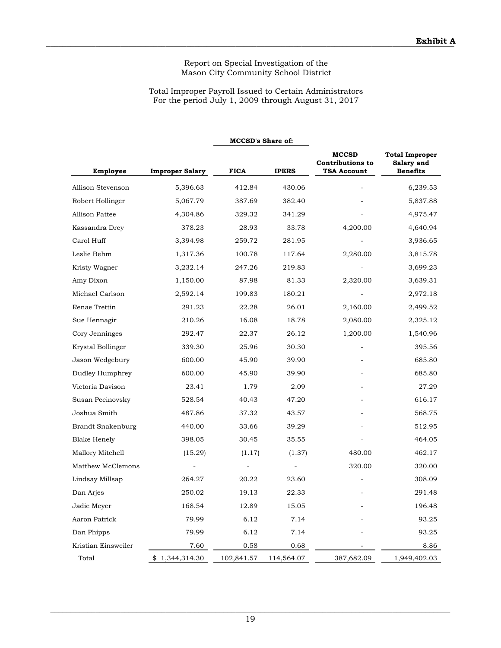### Total Improper Payroll Issued to Certain Administrators For the period July 1, 2009 through August 31, 2017

**MCCSD's Share of:**

| <b>Employee</b>     | <b>Improper Salary</b> | <b>FICA</b> | <b>IPERS</b> | <b>MCCSD</b><br><b>Contributions to</b><br><b>TSA Account</b> | <b>Total Improper</b><br>Salary and<br><b>Benefits</b> |
|---------------------|------------------------|-------------|--------------|---------------------------------------------------------------|--------------------------------------------------------|
| Allison Stevenson   | 5,396.63               | 412.84      | 430.06       |                                                               | 6,239.53                                               |
| Robert Hollinger    | 5,067.79               | 387.69      | 382.40       |                                                               | 5,837.88                                               |
| Allison Pattee      | 4,304.86               | 329.32      | 341.29       |                                                               | 4,975.47                                               |
| Kassandra Drey      | 378.23                 | 28.93       | 33.78        | 4,200.00                                                      | 4,640.94                                               |
| Carol Huff          | 3,394.98               | 259.72      | 281.95       |                                                               | 3,936.65                                               |
| Leslie Behm         | 1,317.36               | 100.78      | 117.64       | 2,280.00                                                      | 3,815.78                                               |
| Kristy Wagner       | 3,232.14               | 247.26      | 219.83       |                                                               | 3,699.23                                               |
| Amy Dixon           | 1,150.00               | 87.98       | 81.33        | 2,320.00                                                      | 3,639.31                                               |
| Michael Carlson     | 2,592.14               | 199.83      | 180.21       |                                                               | 2,972.18                                               |
| Renae Trettin       | 291.23                 | 22.28       | 26.01        | 2,160.00                                                      | 2,499.52                                               |
| Sue Hennagir        | 210.26                 | 16.08       | 18.78        | 2,080.00                                                      | 2,325.12                                               |
| Cory Jenninges      | 292.47                 | 22.37       | 26.12        | 1,200.00                                                      | 1,540.96                                               |
| Krystal Bollinger   | 339.30                 | 25.96       | 30.30        |                                                               | 395.56                                                 |
| Jason Wedgebury     | 600.00                 | 45.90       | 39.90        |                                                               | 685.80                                                 |
| Dudley Humphrey     | 600.00                 | 45.90       | 39.90        |                                                               | 685.80                                                 |
| Victoria Davison    | 23.41                  | 1.79        | 2.09         |                                                               | 27.29                                                  |
| Susan Pecinovsky    | 528.54                 | 40.43       | 47.20        |                                                               | 616.17                                                 |
| Joshua Smith        | 487.86                 | 37.32       | 43.57        |                                                               | 568.75                                                 |
| Brandt Snakenburg   | 440.00                 | 33.66       | 39.29        |                                                               | 512.95                                                 |
| <b>Blake Henely</b> | 398.05                 | 30.45       | 35.55        |                                                               | 464.05                                                 |
| Mallory Mitchell    | (15.29)                | (1.17)      | (1.37)       | 480.00                                                        | 462.17                                                 |
| Matthew McClemons   |                        |             |              | 320.00                                                        | 320.00                                                 |
| Lindsay Millsap     | 264.27                 | 20.22       | 23.60        |                                                               | 308.09                                                 |
| Dan Arjes           | 250.02                 | 19.13       | 22.33        |                                                               | 291.48                                                 |
| Jadie Meyer         | 168.54                 | 12.89       | 15.05        |                                                               | 196.48                                                 |
| Aaron Patrick       | 79.99                  | 6.12        | 7.14         |                                                               | 93.25                                                  |
| Dan Phipps          | 79.99                  | 6.12        | 7.14         |                                                               | 93.25                                                  |
| Kristian Einsweiler | 7.60                   | 0.58        | 0.68         |                                                               | 8.86                                                   |
| Total               | \$1,344,314.30         | 102,841.57  | 114,564.07   | 387,682.09                                                    | 1,949,402.03                                           |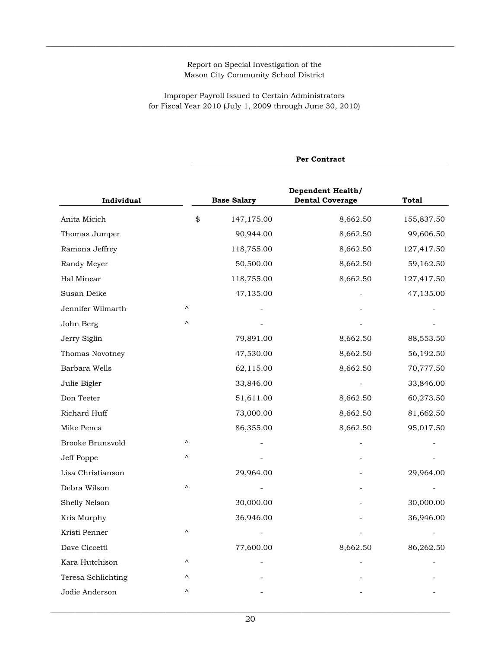$\_$  , and the state of the state of the state of the state of the state of the state of the state of the state of the state of the state of the state of the state of the state of the state of the state of the state of the

Improper Payroll Issued to Certain Administrators for Fiscal Year 2010 (July 1, 2009 through June 30, 2010)

|                    | Per Contract |                    |                                                    |              |  |  |  |  |
|--------------------|--------------|--------------------|----------------------------------------------------|--------------|--|--|--|--|
| Individual         |              | <b>Base Salary</b> | <b>Dependent Health/</b><br><b>Dental Coverage</b> | <b>Total</b> |  |  |  |  |
| Anita Micich       | \$           | 147,175.00         | 8,662.50                                           | 155,837.50   |  |  |  |  |
| Thomas Jumper      |              | 90,944.00          | 8,662.50                                           | 99,606.50    |  |  |  |  |
| Ramona Jeffrey     |              | 118,755.00         | 8,662.50                                           | 127,417.50   |  |  |  |  |
| Randy Meyer        |              | 50,500.00          | 8,662.50                                           | 59,162.50    |  |  |  |  |
| Hal Minear         |              | 118,755.00         | 8,662.50                                           | 127,417.50   |  |  |  |  |
| Susan Deike        |              | 47,135.00          |                                                    | 47,135.00    |  |  |  |  |
| Jennifer Wilmarth  | Λ            |                    |                                                    |              |  |  |  |  |
| John Berg          | Λ            |                    |                                                    |              |  |  |  |  |
| Jerry Siglin       |              | 79,891.00          | 8,662.50                                           | 88,553.50    |  |  |  |  |
| Thomas Novotney    |              | 47,530.00          | 8,662.50                                           | 56,192.50    |  |  |  |  |
| Barbara Wells      |              | 62,115.00          | 8,662.50                                           | 70,777.50    |  |  |  |  |
| Julie Bigler       |              | 33,846.00          |                                                    | 33,846.00    |  |  |  |  |
| Don Teeter         |              | 51,611.00          | 8,662.50                                           | 60,273.50    |  |  |  |  |
| Richard Huff       |              | 73,000.00          | 8,662.50                                           | 81,662.50    |  |  |  |  |
| Mike Penca         |              | 86,355.00          | 8,662.50                                           | 95,017.50    |  |  |  |  |
| Brooke Brunsvold   | Λ            |                    |                                                    |              |  |  |  |  |
| Jeff Poppe         | Λ            |                    |                                                    |              |  |  |  |  |
| Lisa Christianson  |              | 29,964.00          |                                                    | 29,964.00    |  |  |  |  |
| Debra Wilson       | Λ            |                    |                                                    |              |  |  |  |  |
| Shelly Nelson      |              | 30,000.00          |                                                    | 30,000.00    |  |  |  |  |
| Kris Murphy        |              | 36,946.00          |                                                    | 36,946.00    |  |  |  |  |
| Kristi Penner      | Λ            |                    |                                                    |              |  |  |  |  |
| Dave Ciccetti      |              | 77,600.00          | 8,662.50                                           | 86,262.50    |  |  |  |  |
| Kara Hutchison     | Λ            |                    |                                                    |              |  |  |  |  |
| Teresa Schlichting | Λ            |                    |                                                    |              |  |  |  |  |
| Jodie Anderson     | Λ            |                    |                                                    |              |  |  |  |  |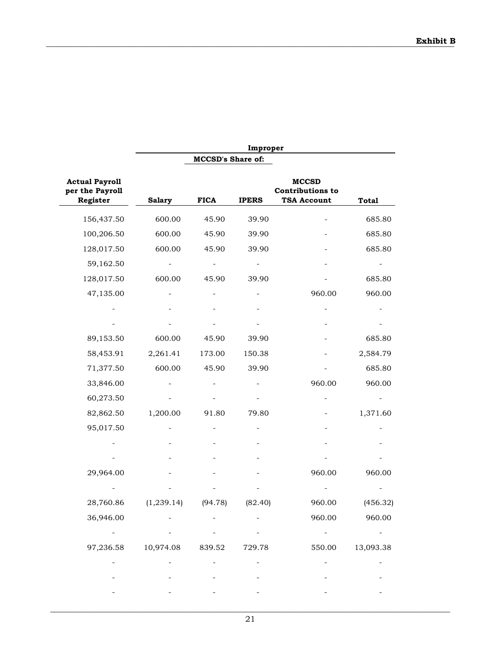|                                                      | Improper         |                          |              |                                                               |              |  |
|------------------------------------------------------|------------------|--------------------------|--------------|---------------------------------------------------------------|--------------|--|
|                                                      |                  | <b>MCCSD's Share of:</b> |              |                                                               |              |  |
| <b>Actual Payroll</b><br>per the Payroll<br>Register | <b>Salary</b>    | <b>FICA</b>              | <b>IPERS</b> | <b>MCCSD</b><br><b>Contributions to</b><br><b>TSA Account</b> | <b>Total</b> |  |
| 156,437.50                                           | 600.00           | 45.90                    | 39.90        |                                                               | 685.80       |  |
| 100,206.50                                           | 600.00           | 45.90                    | 39.90        |                                                               | 685.80       |  |
| 128,017.50                                           | 600.00           | 45.90                    | 39.90        |                                                               | 685.80       |  |
| 59,162.50                                            |                  |                          |              |                                                               |              |  |
| 128,017.50                                           | 600.00           | 45.90                    | 39.90        |                                                               | 685.80       |  |
| 47,135.00                                            |                  |                          |              | 960.00                                                        | 960.00       |  |
|                                                      |                  |                          |              |                                                               |              |  |
|                                                      |                  |                          |              |                                                               |              |  |
| 89,153.50                                            | 600.00           | 45.90                    | 39.90        |                                                               | 685.80       |  |
| 58,453.91                                            | 2,261.41         | 173.00                   | 150.38       |                                                               | 2,584.79     |  |
| 71,377.50                                            | 600.00           | 45.90                    | 39.90        |                                                               | 685.80       |  |
| 33,846.00                                            |                  |                          |              | 960.00                                                        | 960.00       |  |
| 60,273.50                                            |                  |                          |              |                                                               |              |  |
| 82,862.50                                            | 1,200.00         | 91.80                    | 79.80        |                                                               | 1,371.60     |  |
| 95,017.50                                            |                  |                          |              |                                                               |              |  |
|                                                      |                  |                          |              |                                                               |              |  |
|                                                      |                  |                          |              |                                                               |              |  |
| 29,964.00                                            |                  |                          |              | 960.00                                                        | 960.00       |  |
|                                                      |                  |                          |              |                                                               |              |  |
| 28,760.86                                            | (1, 239.14)      | (94.78)                  | (82.40)      | 960.00                                                        | (456.32)     |  |
| 36,946.00                                            |                  |                          |              | 960.00                                                        | 960.00       |  |
|                                                      |                  |                          |              | $\overline{\phantom{a}}$                                      |              |  |
| 97,236.58                                            | 10,974.08 839.52 |                          | 729.78       | 550.00                                                        | 13,093.38    |  |
|                                                      |                  |                          |              |                                                               |              |  |
|                                                      |                  |                          |              |                                                               |              |  |
|                                                      |                  |                          |              |                                                               |              |  |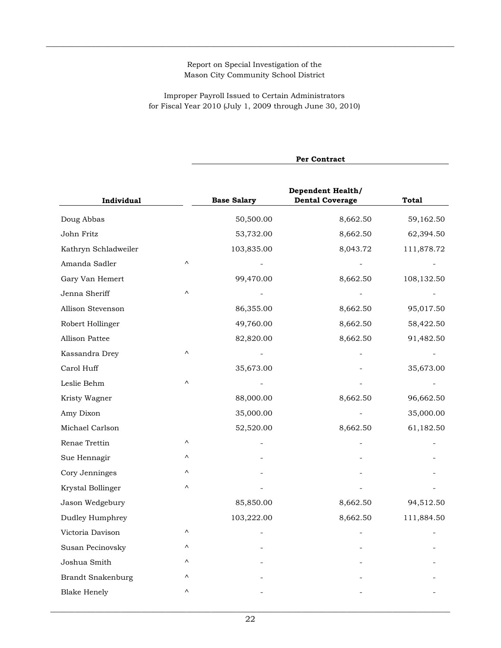$\_$  , and the state of the state of the state of the state of the state of the state of the state of the state of the state of the state of the state of the state of the state of the state of the state of the state of the

Improper Payroll Issued to Certain Administrators for Fiscal Year 2010 (July 1, 2009 through June 30, 2010)

| <b>Dependent Health/</b><br><b>Dental Coverage</b><br>8,662.50 | <b>Total</b> |
|----------------------------------------------------------------|--------------|
|                                                                |              |
|                                                                | 59,162.50    |
| 8,662.50                                                       | 62,394.50    |
| 8,043.72                                                       | 111,878.72   |
|                                                                |              |
| 8,662.50                                                       | 108,132.50   |
|                                                                |              |
| 8,662.50                                                       | 95,017.50    |
| 8,662.50                                                       | 58,422.50    |
| 8,662.50                                                       | 91,482.50    |
|                                                                |              |
|                                                                | 35,673.00    |
|                                                                |              |
| 8,662.50                                                       | 96,662.50    |
|                                                                | 35,000.00    |
| 8,662.50                                                       | 61,182.50    |
|                                                                |              |
|                                                                |              |
|                                                                |              |
|                                                                |              |
| 8,662.50                                                       | 94,512.50    |
| 8,662.50                                                       | 111,884.50   |
|                                                                |              |
|                                                                |              |
|                                                                |              |
|                                                                |              |
|                                                                |              |
|                                                                |              |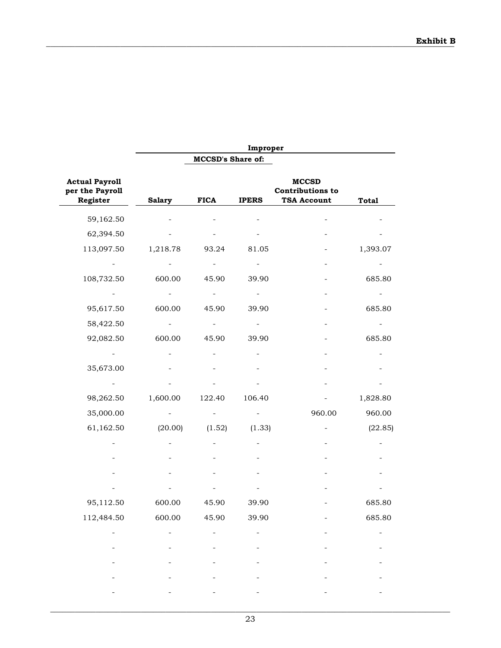|                                                      |               |                          | Improper     |                                                               |              |
|------------------------------------------------------|---------------|--------------------------|--------------|---------------------------------------------------------------|--------------|
|                                                      |               | <b>MCCSD's Share of:</b> |              |                                                               |              |
| <b>Actual Payroll</b><br>per the Payroll<br>Register | <b>Salary</b> | <b>FICA</b>              | <b>IPERS</b> | <b>MCCSD</b><br><b>Contributions to</b><br><b>TSA Account</b> | <b>Total</b> |
| 59,162.50                                            |               |                          |              |                                                               |              |
| 62,394.50                                            |               |                          |              |                                                               |              |
| 113,097.50                                           | 1,218.78      | 93.24                    | 81.05        |                                                               | 1,393.07     |
|                                                      |               |                          |              |                                                               |              |
| 108,732.50                                           | 600.00        | 45.90                    | 39.90        |                                                               | 685.80       |
|                                                      |               |                          |              |                                                               |              |
| 95,617.50                                            | 600.00        | 45.90                    | 39.90        |                                                               | 685.80       |
| 58,422.50                                            |               | ÷                        |              |                                                               |              |
| 92,082.50                                            | 600.00        | 45.90                    | 39.90        |                                                               | 685.80       |
|                                                      |               |                          |              |                                                               |              |
| 35,673.00                                            |               |                          |              |                                                               |              |
|                                                      |               |                          |              |                                                               |              |
| 98,262.50                                            | 1,600.00      | 122.40                   | 106.40       |                                                               | 1,828.80     |
| 35,000.00                                            |               |                          |              | 960.00                                                        | 960.00       |
| 61,162.50                                            | (20.00)       | (1.52)                   | (1.33)       |                                                               | (22.85)      |
|                                                      |               |                          |              |                                                               |              |
|                                                      |               |                          |              |                                                               |              |
|                                                      |               |                          |              |                                                               |              |
|                                                      |               |                          |              |                                                               |              |
| 95,112.50                                            | 600.00        | 45.90                    | 39.90        |                                                               | 685.80       |
| 112,484.50                                           | 600.00        | 45.90                    | 39.90        |                                                               | 685.80       |
|                                                      |               |                          |              |                                                               |              |
|                                                      |               |                          |              |                                                               |              |
|                                                      |               |                          |              |                                                               |              |
|                                                      |               |                          |              |                                                               |              |
|                                                      |               |                          |              |                                                               |              |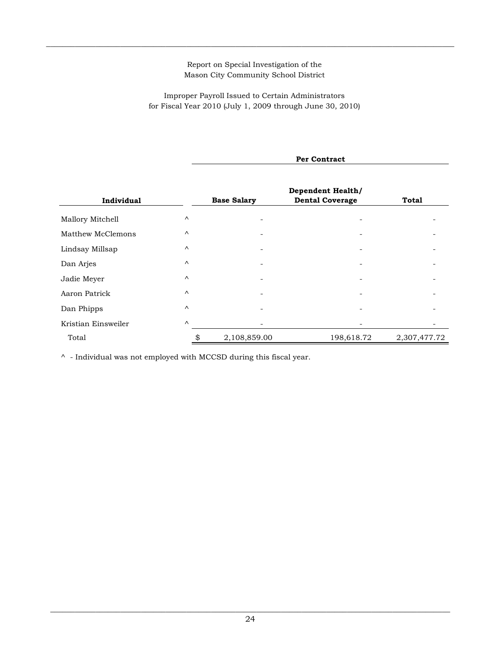$\_$  , and the state of the state of the state of the state of the state of the state of the state of the state of the state of the state of the state of the state of the state of the state of the state of the state of the

Improper Payroll Issued to Certain Administrators for Fiscal Year 2010 (July 1, 2009 through June 30, 2010)

|                     | Per Contract |                    |                                                    |              |  |  |  |
|---------------------|--------------|--------------------|----------------------------------------------------|--------------|--|--|--|
| Individual          |              | <b>Base Salary</b> | <b>Dependent Health/</b><br><b>Dental Coverage</b> | Total        |  |  |  |
| Mallory Mitchell    | $\wedge$     |                    |                                                    |              |  |  |  |
| Matthew McClemons   | $\wedge$     |                    |                                                    |              |  |  |  |
| Lindsay Millsap     | $\wedge$     |                    |                                                    |              |  |  |  |
| Dan Arjes           | $\wedge$     |                    |                                                    |              |  |  |  |
| Jadie Meyer         | $\wedge$     |                    |                                                    |              |  |  |  |
| Aaron Patrick       | $\wedge$     |                    |                                                    |              |  |  |  |
| Dan Phipps          | $\wedge$     |                    |                                                    |              |  |  |  |
| Kristian Einsweiler | $\wedge$     |                    |                                                    |              |  |  |  |
| Total               | \$           | 2,108,859.00       | 198,618.72                                         | 2,307,477.72 |  |  |  |

 $^\wedge\,$  - Individual was not employed with MCCSD during this fiscal year.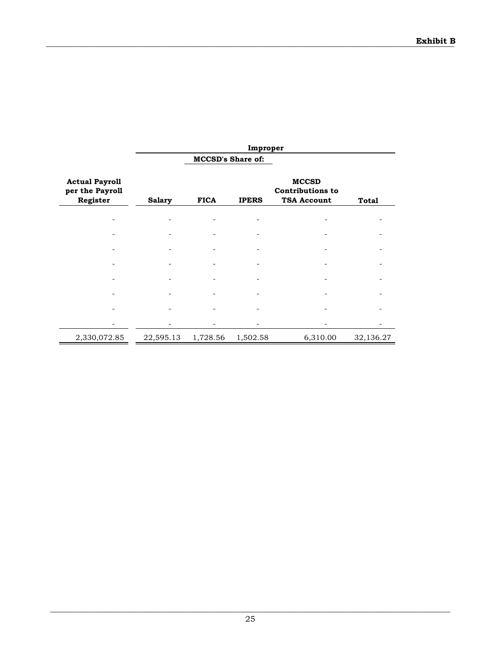|                                                      | Improper      |                          |              |                                                               |           |  |  |  |  |
|------------------------------------------------------|---------------|--------------------------|--------------|---------------------------------------------------------------|-----------|--|--|--|--|
|                                                      |               | <b>MCCSD's Share of:</b> |              |                                                               |           |  |  |  |  |
| <b>Actual Payroll</b><br>per the Payroll<br>Register | <b>Salary</b> | <b>FICA</b>              | <b>IPERS</b> | <b>MCCSD</b><br><b>Contributions to</b><br><b>TSA Account</b> | Total     |  |  |  |  |
|                                                      |               |                          |              |                                                               |           |  |  |  |  |
|                                                      |               |                          |              |                                                               |           |  |  |  |  |
|                                                      |               |                          |              |                                                               |           |  |  |  |  |
|                                                      |               |                          |              |                                                               |           |  |  |  |  |
|                                                      |               |                          |              |                                                               |           |  |  |  |  |
|                                                      |               |                          |              |                                                               |           |  |  |  |  |
|                                                      |               |                          |              |                                                               |           |  |  |  |  |
|                                                      |               |                          |              |                                                               |           |  |  |  |  |
| 2,330,072.85                                         | 22,595.13     | 1,728.56                 | 1,502.58     | 6,310.00                                                      | 32,136.27 |  |  |  |  |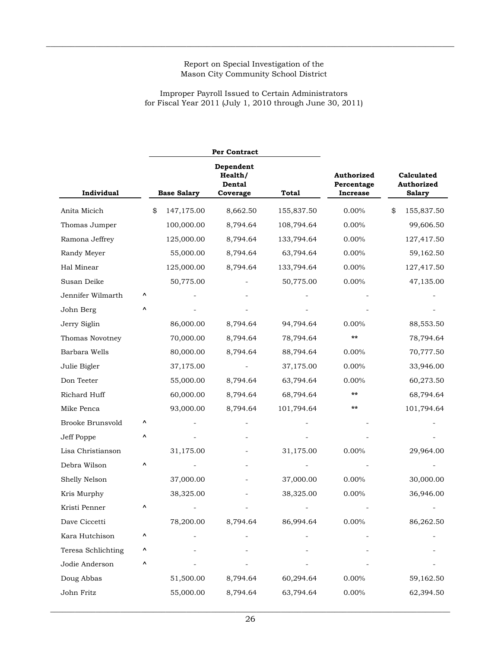$\_$  , and the state of the state of the state of the state of the state of the state of the state of the state of the state of the state of the state of the state of the state of the state of the state of the state of the

Improper Payroll Issued to Certain Administrators for Fiscal Year 2011 (July 1, 2010 through June 30, 2011)

|                    |   |                    | Per Contract                               |              |                                             |                                           |  |
|--------------------|---|--------------------|--------------------------------------------|--------------|---------------------------------------------|-------------------------------------------|--|
| Individual         |   | <b>Base Salary</b> | Dependent<br>Health/<br>Dental<br>Coverage | <b>Total</b> | Authorized<br>Percentage<br><b>Increase</b> | Calculated<br>Authorized<br><b>Salary</b> |  |
| Anita Micich       |   | \$<br>147,175.00   | 8,662.50                                   | 155,837.50   | 0.00%                                       | \$<br>155,837.50                          |  |
| Thomas Jumper      |   | 100,000.00         | 8,794.64                                   | 108,794.64   | 0.00%                                       | 99,606.50                                 |  |
| Ramona Jeffrey     |   | 125,000.00         | 8,794.64                                   | 133,794.64   | $0.00\%$                                    | 127,417.50                                |  |
| Randy Meyer        |   | 55,000.00          | 8,794.64                                   | 63,794.64    | 0.00%                                       | 59,162.50                                 |  |
| Hal Minear         |   | 125,000.00         | 8,794.64                                   | 133,794.64   | 0.00%                                       | 127,417.50                                |  |
| Susan Deike        |   | 50,775.00          |                                            | 50,775.00    | $0.00\%$                                    | 47,135.00                                 |  |
| Jennifer Wilmarth  | ۸ |                    |                                            |              |                                             |                                           |  |
| John Berg          | Λ |                    |                                            |              |                                             |                                           |  |
| Jerry Siglin       |   | 86,000.00          | 8,794.64                                   | 94,794.64    | 0.00%                                       | 88,553.50                                 |  |
| Thomas Novotney    |   | 70,000.00          | 8,794.64                                   | 78,794.64    | **                                          | 78,794.64                                 |  |
| Barbara Wells      |   | 80,000.00          | 8,794.64                                   | 88,794.64    | $0.00\%$                                    | 70,777.50                                 |  |
| Julie Bigler       |   | 37,175.00          |                                            | 37,175.00    | 0.00%                                       | 33,946.00                                 |  |
| Don Teeter         |   | 55,000.00          | 8,794.64                                   | 63,794.64    | 0.00%                                       | 60,273.50                                 |  |
| Richard Huff       |   | 60,000.00          | 8,794.64                                   | 68,794.64    | **                                          | 68,794.64                                 |  |
| Mike Penca         |   | 93,000.00          | 8,794.64                                   | 101,794.64   | **                                          | 101,794.64                                |  |
| Brooke Brunsvold   | ٨ |                    |                                            |              |                                             |                                           |  |
| Jeff Poppe         | ٨ |                    |                                            |              |                                             |                                           |  |
| Lisa Christianson  |   | 31,175.00          |                                            | 31,175.00    | 0.00%                                       | 29,964.00                                 |  |
| Debra Wilson       | ٨ |                    |                                            |              |                                             |                                           |  |
| Shelly Nelson      |   | 37,000.00          |                                            | 37,000.00    | $0.00\%$                                    | 30,000.00                                 |  |
| Kris Murphy        |   | 38,325.00          |                                            | 38,325.00    | 0.00%                                       | 36,946.00                                 |  |
| Kristi Penner      | ۸ |                    |                                            |              |                                             |                                           |  |
| Dave Ciccetti      |   | 78,200.00          | 8,794.64                                   | 86,994.64    | $0.00\%$                                    | 86,262.50                                 |  |
| Kara Hutchison     | ۸ |                    |                                            |              |                                             |                                           |  |
| Teresa Schlichting | ۸ |                    |                                            |              |                                             |                                           |  |
| Jodie Anderson     | ۸ |                    |                                            |              |                                             |                                           |  |
| Doug Abbas         |   | 51,500.00          | 8,794.64                                   | 60,294.64    | $0.00\%$                                    | 59,162.50                                 |  |
| John Fritz         |   | 55,000.00          | 8,794.64                                   | 63,794.64    | $0.00\%$                                    | 62,394.50                                 |  |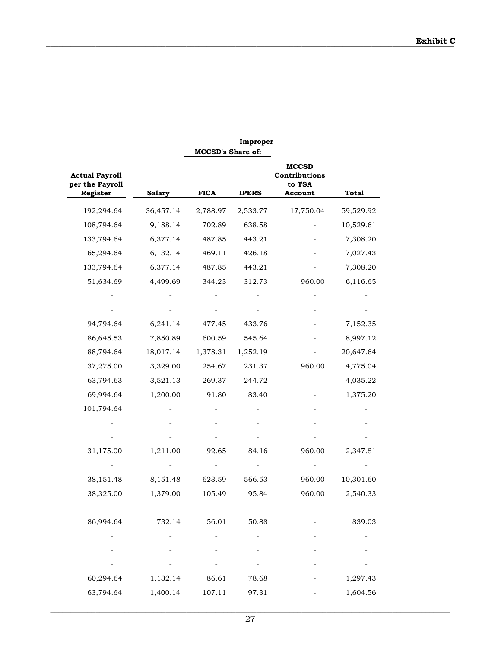|                                                      | Improper      |             |                          |                                                    |              |  |  |  |
|------------------------------------------------------|---------------|-------------|--------------------------|----------------------------------------------------|--------------|--|--|--|
|                                                      |               |             |                          |                                                    |              |  |  |  |
| <b>Actual Payroll</b><br>per the Payroll<br>Register | <b>Salary</b> | <b>FICA</b> | <b>IPERS</b>             | <b>MCCSD</b><br>Contributions<br>to TSA<br>Account | <b>Total</b> |  |  |  |
| 192,294.64                                           | 36,457.14     | 2,788.97    | 2,533.77                 | 17,750.04                                          | 59,529.92    |  |  |  |
| 108,794.64                                           | 9,188.14      | 702.89      | 638.58                   |                                                    | 10,529.61    |  |  |  |
| 133,794.64                                           | 6,377.14      | 487.85      | 443.21                   |                                                    | 7,308.20     |  |  |  |
| 65,294.64                                            | 6,132.14      | 469.11      | 426.18                   |                                                    | 7,027.43     |  |  |  |
| 133,794.64                                           | 6,377.14      | 487.85      | 443.21                   |                                                    | 7,308.20     |  |  |  |
| 51,634.69                                            | 4,499.69      | 344.23      | 312.73                   | 960.00                                             | 6,116.65     |  |  |  |
|                                                      |               |             |                          |                                                    |              |  |  |  |
|                                                      |               |             |                          |                                                    |              |  |  |  |
| 94,794.64                                            | 6,241.14      | 477.45      | 433.76                   |                                                    | 7,152.35     |  |  |  |
| 86,645.53                                            | 7,850.89      | 600.59      | 545.64                   |                                                    | 8,997.12     |  |  |  |
| 88,794.64                                            | 18,017.14     | 1,378.31    | 1,252.19                 |                                                    | 20,647.64    |  |  |  |
| 37,275.00                                            | 3,329.00      | 254.67      | 231.37                   | 960.00                                             | 4,775.04     |  |  |  |
| 63,794.63                                            | 3,521.13      | 269.37      | 244.72                   |                                                    | 4,035.22     |  |  |  |
| 69,994.64                                            | 1,200.00      | 91.80       | 83.40                    |                                                    | 1,375.20     |  |  |  |
| 101,794.64                                           |               |             |                          |                                                    |              |  |  |  |
|                                                      |               |             |                          |                                                    |              |  |  |  |
|                                                      |               |             |                          |                                                    |              |  |  |  |
| 31,175.00                                            | 1,211.00      | 92.65       | 84.16                    | 960.00                                             | 2,347.81     |  |  |  |
|                                                      |               |             |                          |                                                    |              |  |  |  |
| 38,151.48                                            | 8,151.48      | 623.59      | 566.53                   | 960.00                                             | 10,301.60    |  |  |  |
| 38,325.00                                            | 1,379.00      | 105.49      | 95.84                    | 960.00                                             | 2,540.33     |  |  |  |
| $\overline{\phantom{a}}$                             |               |             | $\overline{\phantom{0}}$ |                                                    |              |  |  |  |
| 86,994.64                                            | 732.14        | 56.01       | 50.88                    |                                                    | 839.03       |  |  |  |
|                                                      |               |             |                          |                                                    |              |  |  |  |
|                                                      |               |             |                          |                                                    |              |  |  |  |
|                                                      |               |             |                          |                                                    |              |  |  |  |
| 60,294.64                                            | 1,132.14      | 86.61       | 78.68                    |                                                    | 1,297.43     |  |  |  |
| 63,794.64                                            | 1,400.14      | 107.11      | 97.31                    |                                                    | 1,604.56     |  |  |  |
|                                                      |               |             |                          |                                                    |              |  |  |  |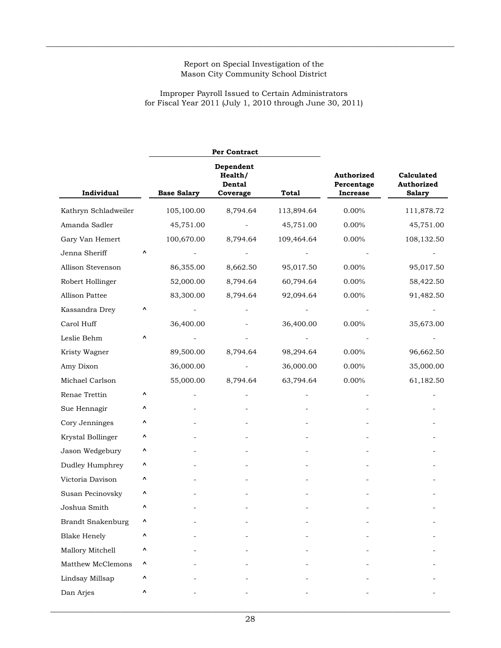$\_$  , and the state of the state of the state of the state of the state of the state of the state of the state of the state of the state of the state of the state of the state of the state of the state of the state of the

Improper Payroll Issued to Certain Administrators for Fiscal Year 2011 (July 1, 2010 through June 30, 2011)

|                          |   |                    | Per Contract                               |              |                                             |                                           |
|--------------------------|---|--------------------|--------------------------------------------|--------------|---------------------------------------------|-------------------------------------------|
| Individual               |   | <b>Base Salary</b> | Dependent<br>Health/<br>Dental<br>Coverage | <b>Total</b> | Authorized<br>Percentage<br><b>Increase</b> | Calculated<br>Authorized<br><b>Salary</b> |
| Kathryn Schladweiler     |   | 105,100.00         | 8,794.64                                   | 113,894.64   | 0.00%                                       | 111,878.72                                |
| Amanda Sadler            |   | 45,751.00          |                                            | 45,751.00    | 0.00%                                       | 45,751.00                                 |
| Gary Van Hemert          |   | 100,670.00         | 8,794.64                                   | 109,464.64   | 0.00%                                       | 108,132.50                                |
| Jenna Sheriff            | Λ |                    |                                            |              |                                             |                                           |
| Allison Stevenson        |   | 86,355.00          | 8,662.50                                   | 95,017.50    | 0.00%                                       | 95,017.50                                 |
| Robert Hollinger         |   | 52,000.00          | 8,794.64                                   | 60,794.64    | 0.00%                                       | 58,422.50                                 |
| Allison Pattee           |   | 83,300.00          | 8,794.64                                   | 92,094.64    | $0.00\%$                                    | 91,482.50                                 |
| Kassandra Drey           | Λ |                    |                                            |              |                                             |                                           |
| Carol Huff               |   | 36,400.00          |                                            | 36,400.00    | 0.00%                                       | 35,673.00                                 |
| Leslie Behm              | Λ |                    |                                            |              |                                             |                                           |
| Kristy Wagner            |   | 89,500.00          | 8,794.64                                   | 98,294.64    | 0.00%                                       | 96,662.50                                 |
| Amy Dixon                |   | 36,000.00          |                                            | 36,000.00    | 0.00%                                       | 35,000.00                                 |
| Michael Carlson          |   | 55,000.00          | 8,794.64                                   | 63,794.64    | 0.00%                                       | 61,182.50                                 |
| Renae Trettin            | Λ |                    |                                            |              |                                             |                                           |
| Sue Hennagir             | Λ |                    |                                            |              |                                             |                                           |
| Cory Jenninges           | Λ |                    |                                            |              |                                             |                                           |
| Krystal Bollinger        | Λ |                    |                                            |              |                                             |                                           |
| Jason Wedgebury          | Λ |                    |                                            |              |                                             |                                           |
| Dudley Humphrey          | Λ |                    |                                            |              |                                             |                                           |
| Victoria Davison         | Λ |                    |                                            |              |                                             |                                           |
| Susan Pecinovsky         | Λ |                    |                                            |              |                                             |                                           |
| Joshua Smith             | Λ |                    |                                            |              |                                             |                                           |
| <b>Brandt Snakenburg</b> | Λ |                    |                                            |              |                                             |                                           |
| <b>Blake Henely</b>      | ۸ |                    |                                            |              |                                             |                                           |
| Mallory Mitchell         | Λ |                    |                                            |              |                                             |                                           |
| Matthew McClemons        | Λ |                    |                                            |              |                                             |                                           |
| Lindsay Millsap          | ۸ |                    |                                            |              |                                             |                                           |
| Dan Arjes                | Λ |                    |                                            |              |                                             |                                           |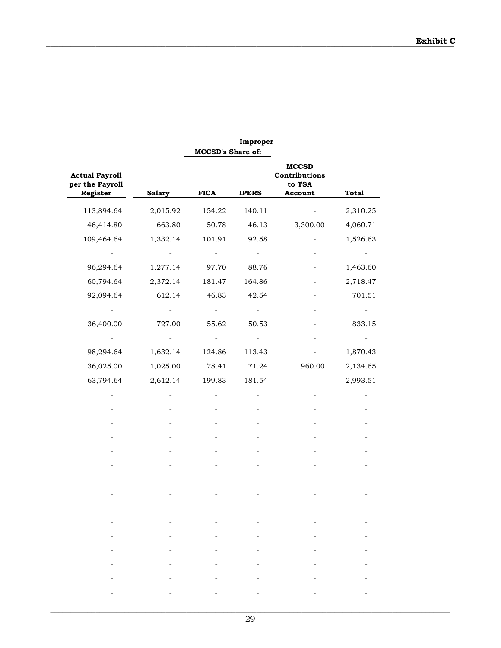|                                                      | Improper                                          |                                                       |                                                                           |                                                                                                      |                                                  |
|------------------------------------------------------|---------------------------------------------------|-------------------------------------------------------|---------------------------------------------------------------------------|------------------------------------------------------------------------------------------------------|--------------------------------------------------|
|                                                      |                                                   | <b>MCCSD's Share of:</b>                              |                                                                           |                                                                                                      |                                                  |
| <b>Actual Payroll</b><br>per the Payroll<br>Register | <b>Salary</b>                                     | <b>FICA</b>                                           | <b>IPERS</b>                                                              | <b>MCCSD</b><br>Contributions<br>to TSA<br>Account                                                   | <b>Total</b>                                     |
| 113,894.64                                           | 2,015.92                                          | 154.22                                                | 140.11                                                                    |                                                                                                      | 2,310.25                                         |
| 46,414.80                                            | 663.80                                            | 50.78                                                 | 46.13                                                                     | 3,300.00                                                                                             | 4,060.71                                         |
| 109,464.64                                           | 1,332.14                                          | 101.91                                                | 92.58                                                                     |                                                                                                      | 1,526.63                                         |
|                                                      |                                                   |                                                       |                                                                           |                                                                                                      |                                                  |
| 96,294.64                                            | 1,277.14                                          | 97.70                                                 | 88.76                                                                     |                                                                                                      | 1,463.60                                         |
| 60,794.64                                            | 2,372.14                                          | 181.47                                                | 164.86                                                                    |                                                                                                      | 2,718.47                                         |
| 92,094.64                                            | 612.14                                            | 46.83                                                 | 42.54                                                                     |                                                                                                      | 701.51                                           |
|                                                      |                                                   |                                                       |                                                                           |                                                                                                      |                                                  |
| 36,400.00                                            | 727.00                                            | 55.62                                                 | 50.53                                                                     |                                                                                                      | 833.15                                           |
|                                                      |                                                   |                                                       |                                                                           |                                                                                                      |                                                  |
| 98,294.64                                            | 1,632.14                                          | 124.86                                                | 113.43                                                                    |                                                                                                      | 1,870.43                                         |
| 36,025.00                                            | 1,025.00                                          | 78.41                                                 | 71.24                                                                     | 960.00                                                                                               | 2,134.65                                         |
| 63,794.64                                            | 2,612.14                                          | 199.83                                                | 181.54                                                                    |                                                                                                      | 2,993.51                                         |
|                                                      |                                                   |                                                       |                                                                           |                                                                                                      |                                                  |
|                                                      |                                                   |                                                       |                                                                           |                                                                                                      |                                                  |
|                                                      |                                                   |                                                       |                                                                           |                                                                                                      |                                                  |
|                                                      |                                                   |                                                       |                                                                           |                                                                                                      |                                                  |
|                                                      |                                                   |                                                       |                                                                           |                                                                                                      |                                                  |
|                                                      |                                                   |                                                       |                                                                           |                                                                                                      |                                                  |
|                                                      |                                                   |                                                       |                                                                           |                                                                                                      |                                                  |
|                                                      |                                                   |                                                       |                                                                           |                                                                                                      |                                                  |
|                                                      |                                                   |                                                       |                                                                           |                                                                                                      |                                                  |
| $\sim$                                               | $\frac{1}{2}$ and $\frac{1}{2}$ and $\frac{1}{2}$ | $\frac{1}{2}$ and $\frac{1}{2}$ and $\frac{1}{2}$     |                                                                           | $\omega_{\rm{max}}$<br>$\frac{1}{2}$ , and $\frac{1}{2}$ , and $\frac{1}{2}$                         |                                                  |
| $\frac{1}{2}$ and $\frac{1}{2}$ and $\frac{1}{2}$    | and the state of the state                        |                                                       | $\frac{1}{2}$ , and $\frac{1}{2}$ , and $\frac{1}{2}$ , and $\frac{1}{2}$ | where the contract of the                                                                            | where the control of<br>$\overline{\phantom{0}}$ |
| $\frac{1}{2}$ and $\frac{1}{2}$ and $\frac{1}{2}$    | <b>All Contracts</b>                              | $\frac{1}{2}$ , and $\frac{1}{2}$ , and $\frac{1}{2}$ |                                                                           | $\omega_{\rm{max}}$<br>$\frac{1}{2}$ , $\frac{1}{2}$ , $\frac{1}{2}$ , $\frac{1}{2}$ , $\frac{1}{2}$ |                                                  |
| $\sim$                                               | $\frac{1}{2}$ and $\frac{1}{2}$ and $\frac{1}{2}$ |                                                       | $\omega_{\rm{max}}$ and $\omega_{\rm{max}}$                               | $\sim$ $-$                                                                                           |                                                  |
|                                                      |                                                   |                                                       |                                                                           |                                                                                                      |                                                  |
|                                                      |                                                   |                                                       |                                                                           |                                                                                                      |                                                  |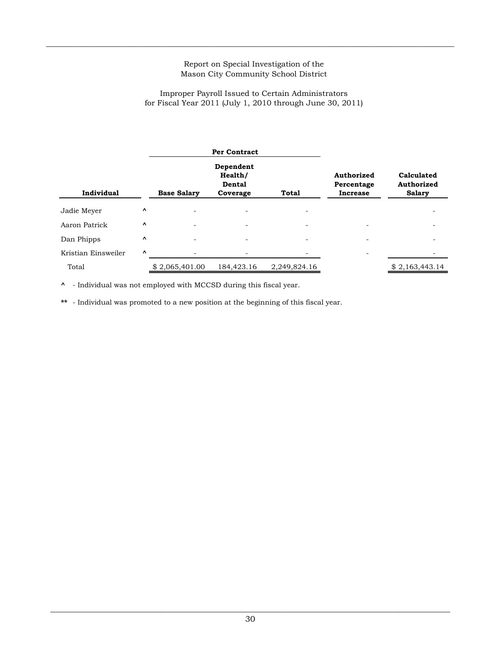$\_$  , and the state of the state of the state of the state of the state of the state of the state of the state of the state of the state of the state of the state of the state of the state of the state of the state of the

### Improper Payroll Issued to Certain Administrators for Fiscal Year 2011 (July 1, 2010 through June 30, 2011)

|                     | <b>Per Contract</b>             |                    |                                            |              |                                             |                                           |
|---------------------|---------------------------------|--------------------|--------------------------------------------|--------------|---------------------------------------------|-------------------------------------------|
| Individual          |                                 | <b>Base Salary</b> | Dependent<br>Health/<br>Dental<br>Coverage | <b>Total</b> | Authorized<br>Percentage<br><b>Increase</b> | Calculated<br>Authorized<br><b>Salary</b> |
| Jadie Meyer         | $\hat{}$                        |                    |                                            |              |                                             |                                           |
| Aaron Patrick       | Λ                               |                    | $\overline{\phantom{0}}$                   | ۰            |                                             |                                           |
| Dan Phipps          | $\boldsymbol{\mathsf{\Lambda}}$ |                    |                                            |              |                                             |                                           |
| Kristian Einsweiler | V                               |                    |                                            |              |                                             |                                           |
| Total               |                                 | \$2,065,401.00     | 184,423.16                                 | 2,249,824.16 |                                             | \$2,163,443.14                            |

**^** - Individual was not employed with MCCSD during this fiscal year.

**\*\*** - Individual was promoted to a new position at the beginning of this fiscal year.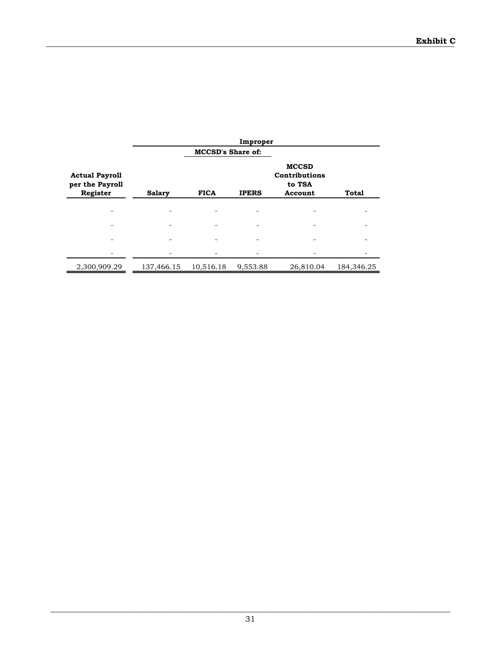|                                                      | Improper      |                          |              |                                                    |              |  |  |
|------------------------------------------------------|---------------|--------------------------|--------------|----------------------------------------------------|--------------|--|--|
|                                                      |               | <b>MCCSD's Share of:</b> |              |                                                    |              |  |  |
| <b>Actual Payroll</b><br>per the Payroll<br>Register | <b>Salary</b> | <b>FICA</b>              | <b>IPERS</b> | <b>MCCSD</b><br>Contributions<br>to TSA<br>Account | <b>Total</b> |  |  |
|                                                      |               |                          |              |                                                    |              |  |  |
|                                                      |               |                          |              |                                                    |              |  |  |
|                                                      |               |                          |              |                                                    |              |  |  |
|                                                      |               |                          |              |                                                    |              |  |  |
|                                                      |               |                          |              |                                                    |              |  |  |
| 2,300,909.29                                         | 137,466.15    | 10,516.18                | 9,553.88     | 26,810.04                                          | 184,346.25   |  |  |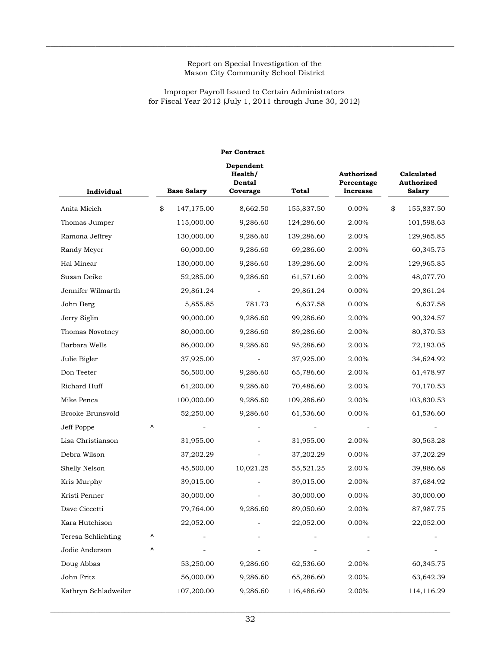$\_$  , and the state of the state of the state of the state of the state of the state of the state of the state of the state of the state of the state of the state of the state of the state of the state of the state of the

### Improper Payroll Issued to Certain Administrators for Fiscal Year 2012 (July 1, 2011 through June 30, 2012)

|                      |    |                    | Per Contract                               |            |                                             |                                           |
|----------------------|----|--------------------|--------------------------------------------|------------|---------------------------------------------|-------------------------------------------|
| Individual           |    | <b>Base Salary</b> | Dependent<br>Health/<br>Dental<br>Coverage | Total      | Authorized<br>Percentage<br><b>Increase</b> | Calculated<br>Authorized<br><b>Salary</b> |
| Anita Micich         | \$ | 147,175.00         | 8,662.50                                   | 155,837.50 | 0.00%                                       | \$<br>155,837.50                          |
| Thomas Jumper        |    | 115,000.00         | 9,286.60                                   | 124,286.60 | 2.00%                                       | 101,598.63                                |
| Ramona Jeffrey       |    | 130,000.00         | 9,286.60                                   | 139,286.60 | 2.00%                                       | 129,965.85                                |
| Randy Meyer          |    | 60,000.00          | 9,286.60                                   | 69,286.60  | 2.00%                                       | 60,345.75                                 |
| Hal Minear           |    | 130,000.00         | 9,286.60                                   | 139,286.60 | 2.00%                                       | 129,965.85                                |
| Susan Deike          |    | 52,285.00          | 9,286.60                                   | 61,571.60  | 2.00%                                       | 48,077.70                                 |
| Jennifer Wilmarth    |    | 29,861.24          |                                            | 29,861.24  | 0.00%                                       | 29,861.24                                 |
| John Berg            |    | 5,855.85           | 781.73                                     | 6,637.58   | 0.00%                                       | 6,637.58                                  |
| Jerry Siglin         |    | 90,000.00          | 9,286.60                                   | 99,286.60  | 2.00%                                       | 90,324.57                                 |
| Thomas Novotney      |    | 80,000.00          | 9,286.60                                   | 89,286.60  | 2.00%                                       | 80,370.53                                 |
| Barbara Wells        |    | 86,000.00          | 9,286.60                                   | 95,286.60  | 2.00%                                       | 72,193.05                                 |
| Julie Bigler         |    | 37,925.00          |                                            | 37,925.00  | 2.00%                                       | 34,624.92                                 |
| Don Teeter           |    | 56,500.00          | 9,286.60                                   | 65,786.60  | 2.00%                                       | 61,478.97                                 |
| Richard Huff         |    | 61,200.00          | 9,286.60                                   | 70,486.60  | 2.00%                                       | 70,170.53                                 |
| Mike Penca           |    | 100,000.00         | 9,286.60                                   | 109,286.60 | 2.00%                                       | 103,830.53                                |
| Brooke Brunsvold     |    | 52,250.00          | 9,286.60                                   | 61,536.60  | 0.00%                                       | 61,536.60                                 |
| Jeff Poppe           | ٨  |                    |                                            |            |                                             |                                           |
| Lisa Christianson    |    | 31,955.00          |                                            | 31,955.00  | 2.00%                                       | 30,563.28                                 |
| Debra Wilson         |    | 37,202.29          |                                            | 37,202.29  | 0.00%                                       | 37,202.29                                 |
| Shelly Nelson        |    | 45,500.00          | 10,021.25                                  | 55,521.25  | 2.00%                                       | 39,886.68                                 |
| Kris Murphy          |    | 39,015.00          |                                            | 39,015.00  | 2.00%                                       | 37,684.92                                 |
| Kristi Penner        |    | 30,000.00          |                                            | 30,000.00  | $0.00\%$                                    | 30,000.00                                 |
| Dave Ciccetti        |    | 79,764.00          | 9,286.60                                   | 89,050.60  | 2.00%                                       | 87,987.75                                 |
| Kara Hutchison       |    | 22,052.00          |                                            | 22,052.00  | $0.00\%$                                    | 22,052.00                                 |
| Teresa Schlichting   | ٨  |                    |                                            |            |                                             |                                           |
| Jodie Anderson       | ٨  |                    |                                            |            |                                             |                                           |
| Doug Abbas           |    | 53,250.00          | 9,286.60                                   | 62,536.60  | $2.00\%$                                    | 60,345.75                                 |
| John Fritz           |    | 56,000.00          | 9,286.60                                   | 65,286.60  | 2.00%                                       | 63,642.39                                 |
| Kathryn Schladweiler |    | 107,200.00         | 9,286.60                                   | 116,486.60 | 2.00%                                       | 114,116.29                                |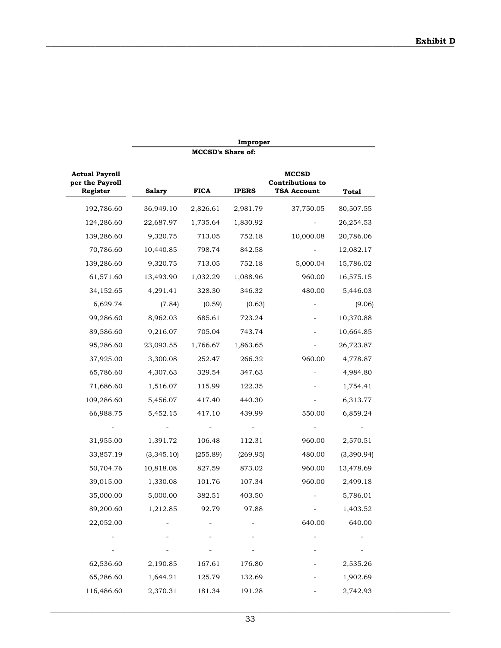|                                                      | Improper<br><b>MCCSD's Share of:</b> |             |              |                                                               |            |  |  |
|------------------------------------------------------|--------------------------------------|-------------|--------------|---------------------------------------------------------------|------------|--|--|
|                                                      |                                      |             |              |                                                               |            |  |  |
| <b>Actual Payroll</b><br>per the Payroll<br>Register | <b>Salary</b>                        | <b>FICA</b> | <b>IPERS</b> | <b>MCCSD</b><br><b>Contributions to</b><br><b>TSA Account</b> | Total      |  |  |
| 192,786.60                                           | 36,949.10                            | 2,826.61    | 2,981.79     | 37,750.05                                                     | 80,507.55  |  |  |
| 124,286.60                                           | 22,687.97                            | 1,735.64    | 1,830.92     |                                                               | 26,254.53  |  |  |
| 139,286.60                                           | 9,320.75                             | 713.05      | 752.18       | 10,000.08                                                     | 20,786.06  |  |  |
| 70,786.60                                            | 10,440.85                            | 798.74      | 842.58       |                                                               | 12,082.17  |  |  |
| 139,286.60                                           | 9,320.75                             | 713.05      | 752.18       | 5,000.04                                                      | 15,786.02  |  |  |
| 61,571.60                                            | 13,493.90                            | 1,032.29    | 1,088.96     | 960.00                                                        | 16,575.15  |  |  |
| 34,152.65                                            | 4,291.41                             | 328.30      | 346.32       | 480.00                                                        | 5,446.03   |  |  |
| 6,629.74                                             | (7.84)                               | (0.59)      | (0.63)       |                                                               | (9.06)     |  |  |
| 99,286.60                                            | 8,962.03                             | 685.61      | 723.24       |                                                               | 10,370.88  |  |  |
| 89,586.60                                            | 9,216.07                             | 705.04      | 743.74       |                                                               | 10,664.85  |  |  |
| 95,286.60                                            | 23,093.55                            | 1,766.67    | 1,863.65     |                                                               | 26,723.87  |  |  |
| 37,925.00                                            | 3,300.08                             | 252.47      | 266.32       | 960.00                                                        | 4,778.87   |  |  |
| 65,786.60                                            | 4,307.63                             | 329.54      | 347.63       |                                                               | 4,984.80   |  |  |
| 71,686.60                                            | 1,516.07                             | 115.99      | 122.35       |                                                               | 1,754.41   |  |  |
| 109,286.60                                           | 5,456.07                             | 417.40      | 440.30       |                                                               | 6,313.77   |  |  |
| 66,988.75                                            | 5,452.15                             | 417.10      | 439.99       | 550.00                                                        | 6,859.24   |  |  |
|                                                      |                                      |             |              |                                                               |            |  |  |
| 31,955.00                                            | 1,391.72                             | 106.48      | 112.31       | 960.00                                                        | 2,570.51   |  |  |
| 33,857.19                                            | (3,345.10)                           | (255.89)    | (269.95)     | 480.00                                                        | (3,390.94) |  |  |
| 50,704.76                                            | 10,818.08                            | 827.59      | 873.02       | 960.00                                                        | 13,478.69  |  |  |
| 39,015.00                                            | 1,330.08                             | 101.76      | 107.34       | 960.00                                                        | 2,499.18   |  |  |
| 35,000.00                                            | 5,000.00                             | 382.51      | 403.50       |                                                               | 5,786.01   |  |  |
| 89,200.60                                            | 1,212.85                             | 92.79       | 97.88        |                                                               | 1,403.52   |  |  |
| 22,052.00                                            |                                      |             |              | 640.00                                                        | 640.00     |  |  |
|                                                      |                                      |             |              |                                                               |            |  |  |
|                                                      |                                      |             |              |                                                               |            |  |  |
| 62,536.60                                            | 2,190.85                             | 167.61      | 176.80       |                                                               | 2,535.26   |  |  |
| 65,286.60                                            | 1,644.21                             | 125.79      | 132.69       |                                                               | 1,902.69   |  |  |
| 116,486.60                                           | 2,370.31                             | 181.34      | 191.28       |                                                               | 2,742.93   |  |  |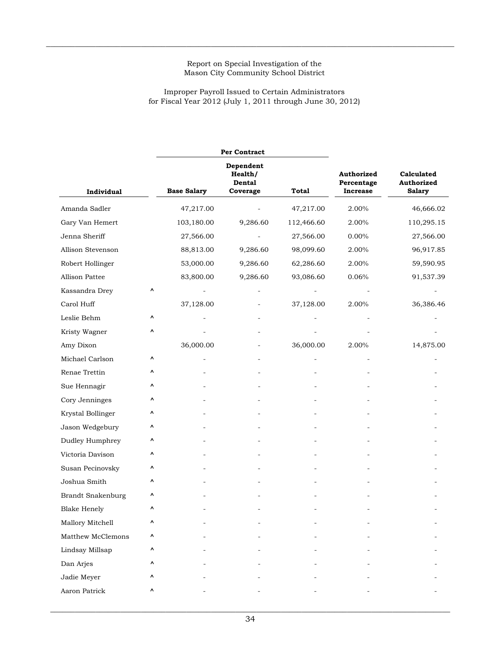$\_$  , and the state of the state of the state of the state of the state of the state of the state of the state of the state of the state of the state of the state of the state of the state of the state of the state of the

### Improper Payroll Issued to Certain Administrators for Fiscal Year 2012 (July 1, 2011 through June 30, 2012)

|                          |   |                    | Per Contract                               |            |                                      |                                                  |
|--------------------------|---|--------------------|--------------------------------------------|------------|--------------------------------------|--------------------------------------------------|
| Individual               |   | <b>Base Salary</b> | Dependent<br>Health/<br>Dental<br>Coverage | Total      | Authorized<br>Percentage<br>Increase | Calculated<br><b>Authorized</b><br><b>Salary</b> |
| Amanda Sadler            |   | 47,217.00          |                                            | 47,217.00  | 2.00%                                | 46,666.02                                        |
| Gary Van Hemert          |   | 103,180.00         | 9,286.60                                   | 112,466.60 | 2.00%                                | 110,295.15                                       |
| Jenna Sheriff            |   | 27,566.00          |                                            | 27,566.00  | $0.00\%$                             | 27,566.00                                        |
| Allison Stevenson        |   | 88,813.00          | 9,286.60                                   | 98,099.60  | 2.00%                                | 96,917.85                                        |
| Robert Hollinger         |   | 53,000.00          | 9,286.60                                   | 62,286.60  | 2.00%                                | 59,590.95                                        |
| Allison Pattee           |   | 83,800.00          | 9,286.60                                   | 93,086.60  | 0.06%                                | 91,537.39                                        |
| Kassandra Drey           | ٨ |                    |                                            |            |                                      |                                                  |
| Carol Huff               |   | 37,128.00          |                                            | 37,128.00  | 2.00%                                | 36,386.46                                        |
| Leslie Behm              | Λ |                    |                                            |            |                                      |                                                  |
| Kristy Wagner            | ٨ |                    |                                            |            |                                      |                                                  |
| Amy Dixon                |   | 36,000.00          |                                            | 36,000.00  | 2.00%                                | 14,875.00                                        |
| Michael Carlson          | ۸ |                    |                                            |            |                                      |                                                  |
| Renae Trettin            | ۸ |                    |                                            |            |                                      |                                                  |
| Sue Hennagir             | ٨ |                    |                                            |            |                                      |                                                  |
| Cory Jenninges           | ۸ |                    |                                            |            |                                      |                                                  |
| Krystal Bollinger        | ٨ |                    |                                            |            |                                      |                                                  |
| Jason Wedgebury          | ۸ |                    |                                            |            |                                      |                                                  |
| Dudley Humphrey          | ٨ |                    |                                            |            |                                      |                                                  |
| Victoria Davison         | ۸ |                    |                                            |            |                                      |                                                  |
| Susan Pecinovsky         | ٨ |                    |                                            |            |                                      |                                                  |
| Joshua Smith             | ٨ |                    |                                            |            |                                      |                                                  |
| <b>Brandt Snakenburg</b> | ٨ |                    |                                            |            |                                      |                                                  |
| <b>Blake Henely</b>      | ٨ |                    |                                            |            |                                      |                                                  |
| Mallory Mitchell         | ٨ |                    |                                            |            |                                      |                                                  |
| Matthew McClemons        | ۸ |                    |                                            |            |                                      |                                                  |
| Lindsay Millsap          | ۸ |                    |                                            |            |                                      |                                                  |
| Dan Arjes                | ۸ |                    |                                            |            |                                      |                                                  |
| Jadie Meyer              | ۸ |                    |                                            |            |                                      |                                                  |
| Aaron Patrick            | ٨ |                    |                                            |            |                                      |                                                  |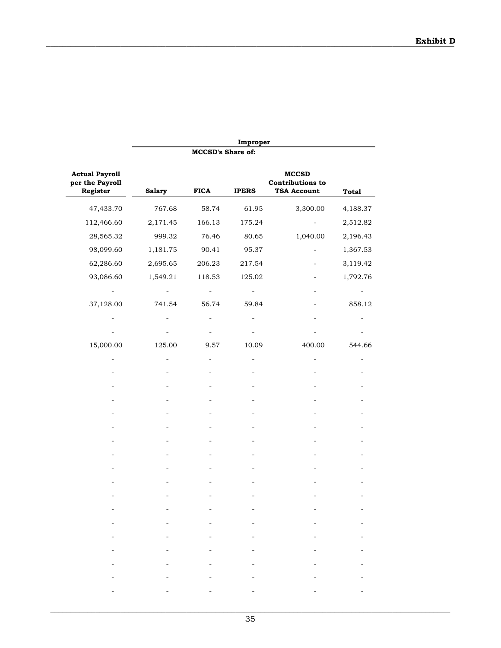| MCCSD's Share of:<br><b>Actual Payroll</b><br><b>MCCSD</b><br>per the Payroll<br><b>Contributions to</b><br>Register<br><b>Salary</b><br><b>FICA</b><br><b>TSA Account</b><br><b>IPERS</b><br><b>Total</b><br>3,300.00<br>47,433.70<br>767.68<br>58.74<br>61.95<br>4,188.37<br>112,466.60<br>2,171.45<br>166.13<br>175.24<br>2,512.82<br>28,565.32<br>76.46<br>999.32<br>80.65<br>1,040.00<br>2,196.43<br>98,099.60<br>1,181.75<br>90.41<br>95.37<br>62,286.60<br>2,695.65<br>206.23<br>217.54<br>93,086.60<br>1,549.21<br>118.53<br>125.02<br>37,128.00<br>56.74<br>741.54<br>59.84<br>15,000.00<br>125.00<br>10.09<br>400.00<br>9.57<br>-<br>$\overline{\phantom{0}}$<br>$\overline{\phantom{0}}$<br><b>Harry Committee</b><br>$\equiv$<br>$\overline{\phantom{a}}$ |  | Improper |          |
|-----------------------------------------------------------------------------------------------------------------------------------------------------------------------------------------------------------------------------------------------------------------------------------------------------------------------------------------------------------------------------------------------------------------------------------------------------------------------------------------------------------------------------------------------------------------------------------------------------------------------------------------------------------------------------------------------------------------------------------------------------------------------|--|----------|----------|
|                                                                                                                                                                                                                                                                                                                                                                                                                                                                                                                                                                                                                                                                                                                                                                       |  |          |          |
|                                                                                                                                                                                                                                                                                                                                                                                                                                                                                                                                                                                                                                                                                                                                                                       |  |          |          |
|                                                                                                                                                                                                                                                                                                                                                                                                                                                                                                                                                                                                                                                                                                                                                                       |  |          |          |
|                                                                                                                                                                                                                                                                                                                                                                                                                                                                                                                                                                                                                                                                                                                                                                       |  |          |          |
|                                                                                                                                                                                                                                                                                                                                                                                                                                                                                                                                                                                                                                                                                                                                                                       |  |          |          |
|                                                                                                                                                                                                                                                                                                                                                                                                                                                                                                                                                                                                                                                                                                                                                                       |  |          | 1,367.53 |
|                                                                                                                                                                                                                                                                                                                                                                                                                                                                                                                                                                                                                                                                                                                                                                       |  |          | 3,119.42 |
|                                                                                                                                                                                                                                                                                                                                                                                                                                                                                                                                                                                                                                                                                                                                                                       |  |          | 1,792.76 |
|                                                                                                                                                                                                                                                                                                                                                                                                                                                                                                                                                                                                                                                                                                                                                                       |  |          |          |
|                                                                                                                                                                                                                                                                                                                                                                                                                                                                                                                                                                                                                                                                                                                                                                       |  |          | 858.12   |
|                                                                                                                                                                                                                                                                                                                                                                                                                                                                                                                                                                                                                                                                                                                                                                       |  |          |          |
|                                                                                                                                                                                                                                                                                                                                                                                                                                                                                                                                                                                                                                                                                                                                                                       |  |          |          |
|                                                                                                                                                                                                                                                                                                                                                                                                                                                                                                                                                                                                                                                                                                                                                                       |  |          | 544.66   |
|                                                                                                                                                                                                                                                                                                                                                                                                                                                                                                                                                                                                                                                                                                                                                                       |  |          |          |
|                                                                                                                                                                                                                                                                                                                                                                                                                                                                                                                                                                                                                                                                                                                                                                       |  |          |          |
|                                                                                                                                                                                                                                                                                                                                                                                                                                                                                                                                                                                                                                                                                                                                                                       |  |          |          |
|                                                                                                                                                                                                                                                                                                                                                                                                                                                                                                                                                                                                                                                                                                                                                                       |  |          |          |
|                                                                                                                                                                                                                                                                                                                                                                                                                                                                                                                                                                                                                                                                                                                                                                       |  |          |          |
|                                                                                                                                                                                                                                                                                                                                                                                                                                                                                                                                                                                                                                                                                                                                                                       |  |          |          |
|                                                                                                                                                                                                                                                                                                                                                                                                                                                                                                                                                                                                                                                                                                                                                                       |  |          |          |
|                                                                                                                                                                                                                                                                                                                                                                                                                                                                                                                                                                                                                                                                                                                                                                       |  |          |          |
|                                                                                                                                                                                                                                                                                                                                                                                                                                                                                                                                                                                                                                                                                                                                                                       |  |          |          |
|                                                                                                                                                                                                                                                                                                                                                                                                                                                                                                                                                                                                                                                                                                                                                                       |  |          |          |
|                                                                                                                                                                                                                                                                                                                                                                                                                                                                                                                                                                                                                                                                                                                                                                       |  |          |          |
|                                                                                                                                                                                                                                                                                                                                                                                                                                                                                                                                                                                                                                                                                                                                                                       |  |          |          |
|                                                                                                                                                                                                                                                                                                                                                                                                                                                                                                                                                                                                                                                                                                                                                                       |  |          |          |
|                                                                                                                                                                                                                                                                                                                                                                                                                                                                                                                                                                                                                                                                                                                                                                       |  |          |          |
|                                                                                                                                                                                                                                                                                                                                                                                                                                                                                                                                                                                                                                                                                                                                                                       |  |          |          |
|                                                                                                                                                                                                                                                                                                                                                                                                                                                                                                                                                                                                                                                                                                                                                                       |  |          |          |
|                                                                                                                                                                                                                                                                                                                                                                                                                                                                                                                                                                                                                                                                                                                                                                       |  |          |          |
|                                                                                                                                                                                                                                                                                                                                                                                                                                                                                                                                                                                                                                                                                                                                                                       |  |          |          |
|                                                                                                                                                                                                                                                                                                                                                                                                                                                                                                                                                                                                                                                                                                                                                                       |  |          |          |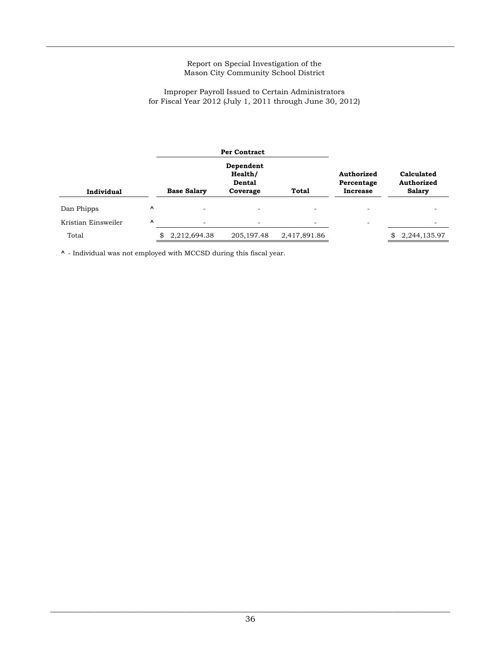$\_$  , and the state of the state of the state of the state of the state of the state of the state of the state of the state of the state of the state of the state of the state of the state of the state of the state of the

# Improper Payroll Issued to Certain Administrators for Fiscal Year 2012 (July 1, 2011 through June 30, 2012)

|                     |           |                    | Per Contract                                      |                          |                                             |                                           |  |  |
|---------------------|-----------|--------------------|---------------------------------------------------|--------------------------|---------------------------------------------|-------------------------------------------|--|--|
| Individual          |           | <b>Base Salary</b> | Dependent<br>Health/<br><b>Dental</b><br>Coverage | Total                    | Authorized<br>Percentage<br><b>Increase</b> | Calculated<br>Authorized<br><b>Salary</b> |  |  |
| Dan Phipps          | $\hat{ }$ |                    |                                                   |                          |                                             |                                           |  |  |
| Kristian Einsweiler | $\hat{ }$ | -                  | $\overline{\phantom{0}}$                          | $\overline{\phantom{a}}$ | $\overline{\phantom{0}}$                    |                                           |  |  |
| Total               |           | 2,212,694.38       | 205, 197. 48                                      | 2,417,891.86             |                                             | 2,244,135.97                              |  |  |

 $\uparrow$  - Individual was not employed with MCCSD during this fiscal year.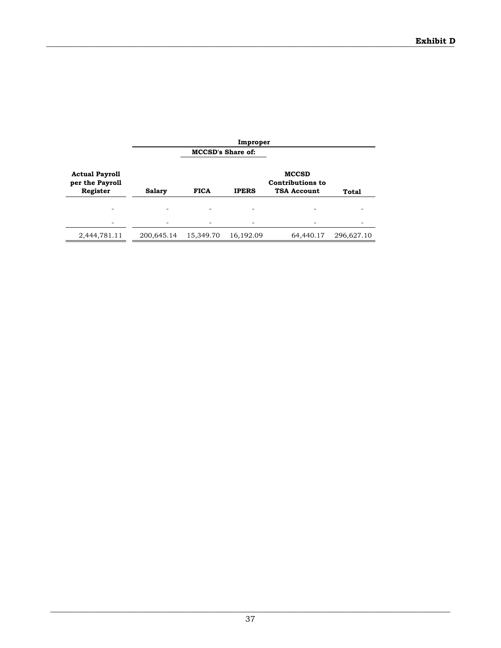|                                                      | Improper      |                          |              |                                                               |            |  |
|------------------------------------------------------|---------------|--------------------------|--------------|---------------------------------------------------------------|------------|--|
|                                                      |               | <b>MCCSD's Share of:</b> |              |                                                               |            |  |
| <b>Actual Payroll</b><br>per the Payroll<br>Register | <b>Salary</b> | <b>FICA</b>              | <b>IPERS</b> | <b>MCCSD</b><br><b>Contributions to</b><br><b>TSA Account</b> | Total      |  |
|                                                      |               |                          |              |                                                               |            |  |
|                                                      |               |                          |              |                                                               |            |  |
| 2,444,781.11                                         | 200,645.14    | 15,349.70                | 16,192.09    | 64,440.17                                                     | 296,627.10 |  |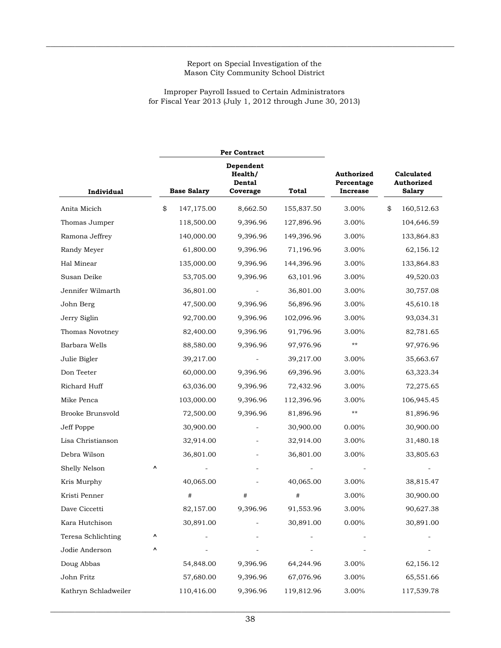$\_$  , and the state of the state of the state of the state of the state of the state of the state of the state of the state of the state of the state of the state of the state of the state of the state of the state of the

## Improper Payroll Issued to Certain Administrators for Fiscal Year 2013 (July 1, 2012 through June 30, 2013)

|                      |    |                    | <b>Per Contract</b>                               |            |                                             |                                                  |
|----------------------|----|--------------------|---------------------------------------------------|------------|---------------------------------------------|--------------------------------------------------|
| Individual           |    | <b>Base Salary</b> | Dependent<br>Health/<br><b>Dental</b><br>Coverage | Total      | Authorized<br>Percentage<br><b>Increase</b> | Calculated<br><b>Authorized</b><br><b>Salary</b> |
| Anita Micich         | \$ | 147,175.00         | 8,662.50                                          | 155,837.50 | 3.00%                                       | \$<br>160,512.63                                 |
| Thomas Jumper        |    | 118,500.00         | 9,396.96                                          | 127,896.96 | 3.00%                                       | 104,646.59                                       |
| Ramona Jeffrey       |    | 140,000.00         | 9,396.96                                          | 149,396.96 | 3.00%                                       | 133,864.83                                       |
| Randy Meyer          |    | 61,800.00          | 9,396.96                                          | 71,196.96  | 3.00%                                       | 62,156.12                                        |
| Hal Minear           |    | 135,000.00         | 9,396.96                                          | 144,396.96 | 3.00%                                       | 133,864.83                                       |
| Susan Deike          |    | 53,705.00          | 9,396.96                                          | 63,101.96  | 3.00%                                       | 49,520.03                                        |
| Jennifer Wilmarth    |    | 36,801.00          |                                                   | 36,801.00  | 3.00%                                       | 30,757.08                                        |
| John Berg            |    | 47,500.00          | 9,396.96                                          | 56,896.96  | 3.00%                                       | 45,610.18                                        |
| Jerry Siglin         |    | 92,700.00          | 9,396.96                                          | 102,096.96 | 3.00%                                       | 93,034.31                                        |
| Thomas Novotney      |    | 82,400.00          | 9,396.96                                          | 91,796.96  | 3.00%                                       | 82,781.65                                        |
| Barbara Wells        |    | 88,580.00          | 9,396.96                                          | 97,976.96  | $***$                                       | 97,976.96                                        |
| Julie Bigler         |    | 39,217.00          |                                                   | 39,217.00  | 3.00%                                       | 35,663.67                                        |
| Don Teeter           |    | 60,000.00          | 9,396.96                                          | 69,396.96  | 3.00%                                       | 63,323.34                                        |
| Richard Huff         |    | 63,036.00          | 9,396.96                                          | 72,432.96  | 3.00%                                       | 72,275.65                                        |
| Mike Penca           |    | 103,000.00         | 9,396.96                                          | 112,396.96 | 3.00%                                       | 106,945.45                                       |
| Brooke Brunsvold     |    | 72,500.00          | 9,396.96                                          | 81,896.96  | $***$                                       | 81,896.96                                        |
| Jeff Poppe           |    | 30,900.00          |                                                   | 30,900.00  | 0.00%                                       | 30,900.00                                        |
| Lisa Christianson    |    | 32,914.00          |                                                   | 32,914.00  | 3.00%                                       | 31,480.18                                        |
| Debra Wilson         |    | 36,801.00          |                                                   | 36,801.00  | 3.00%                                       | 33,805.63                                        |
| Shelly Nelson        | ۸  |                    |                                                   |            |                                             |                                                  |
| Kris Murphy          |    | 40,065.00          |                                                   | 40,065.00  | 3.00%                                       | 38,815.47                                        |
| Kristi Penner        |    | #                  | #                                                 | #          | 3.00%                                       | 30,900.00                                        |
| Dave Ciccetti        |    | 82,157.00          | 9,396.96                                          | 91,553.96  | 3.00%                                       | 90,627.38                                        |
| Kara Hutchison       |    | 30,891.00          |                                                   | 30,891.00  | $0.00\%$                                    | 30,891.00                                        |
| Teresa Schlichting   | ۸  |                    |                                                   |            |                                             |                                                  |
| Jodie Anderson       | ۸  |                    |                                                   |            |                                             |                                                  |
| Doug Abbas           |    | 54,848.00          | 9,396.96                                          | 64,244.96  | 3.00%                                       | 62,156.12                                        |
| John Fritz           |    | 57,680.00          | 9,396.96                                          | 67,076.96  | 3.00%                                       | 65,551.66                                        |
| Kathryn Schladweiler |    | 110,416.00         | 9,396.96                                          | 119,812.96 | 3.00%                                       | 117,539.78                                       |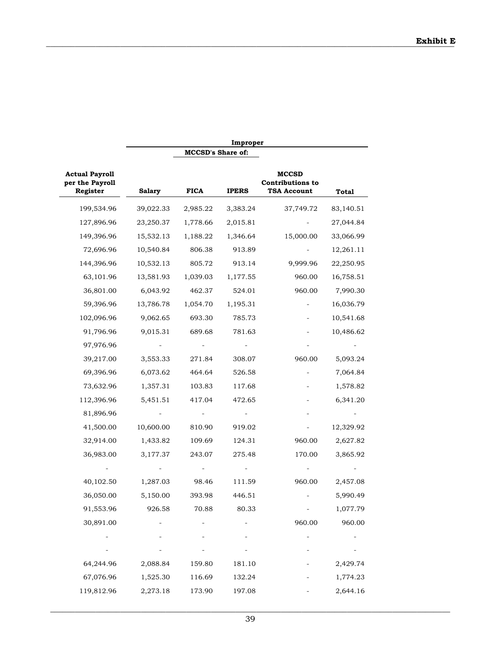|                                                      |               |                          | Improper     |                                                        |           |
|------------------------------------------------------|---------------|--------------------------|--------------|--------------------------------------------------------|-----------|
|                                                      |               | <b>MCCSD's Share of:</b> |              |                                                        |           |
| <b>Actual Payroll</b><br>per the Payroll<br>Register | <b>Salary</b> | <b>FICA</b>              | <b>IPERS</b> | <b>MCCSD</b><br><b>Contributions to</b><br>TSA Account | Total     |
| 199,534.96                                           | 39,022.33     | 2,985.22                 | 3,383.24     | 37,749.72                                              | 83,140.51 |
| 127,896.96                                           | 23,250.37     | 1,778.66                 | 2,015.81     |                                                        | 27,044.84 |
| 149,396.96                                           | 15,532.13     | 1,188.22                 | 1,346.64     | 15,000.00                                              | 33,066.99 |
| 72,696.96                                            | 10,540.84     | 806.38                   | 913.89       |                                                        | 12,261.11 |
| 144,396.96                                           | 10,532.13     | 805.72                   | 913.14       | 9,999.96                                               | 22,250.95 |
| 63,101.96                                            | 13,581.93     | 1,039.03                 | 1,177.55     | 960.00                                                 | 16,758.51 |
| 36,801.00                                            | 6,043.92      | 462.37                   | 524.01       | 960.00                                                 | 7,990.30  |
| 59,396.96                                            | 13,786.78     | 1,054.70                 | 1,195.31     |                                                        | 16,036.79 |
| 102,096.96                                           | 9,062.65      | 693.30                   | 785.73       |                                                        | 10,541.68 |
| 91,796.96                                            | 9,015.31      | 689.68                   | 781.63       |                                                        | 10,486.62 |
| 97,976.96                                            |               |                          |              |                                                        |           |
| 39,217.00                                            | 3,553.33      | 271.84                   | 308.07       | 960.00                                                 | 5,093.24  |
| 69,396.96                                            | 6,073.62      | 464.64                   | 526.58       |                                                        | 7,064.84  |
| 73,632.96                                            | 1,357.31      | 103.83                   | 117.68       |                                                        | 1,578.82  |
| 112,396.96                                           | 5,451.51      | 417.04                   | 472.65       |                                                        | 6,341.20  |
| 81,896.96                                            |               |                          |              |                                                        |           |
| 41,500.00                                            | 10,600.00     | 810.90                   | 919.02       |                                                        | 12,329.92 |
| 32,914.00                                            | 1,433.82      | 109.69                   | 124.31       | 960.00                                                 | 2,627.82  |
| 36,983.00                                            | 3,177.37      | 243.07                   | 275.48       | 170.00                                                 | 3,865.92  |
|                                                      |               |                          |              |                                                        |           |
| 40,102.50                                            | 1,287.03      | 98.46                    | 111.59       | 960.00                                                 | 2,457.08  |
| 36,050.00                                            | 5,150.00      | 393.98                   | 446.51       |                                                        | 5,990.49  |
| 91,553.96                                            | 926.58        | 70.88                    | 80.33        |                                                        | 1,077.79  |
| 30,891.00                                            |               |                          |              | 960.00                                                 | 960.00    |
|                                                      |               |                          |              |                                                        |           |
|                                                      |               |                          |              |                                                        |           |
| 64,244.96                                            | 2,088.84      | 159.80                   | 181.10       |                                                        | 2,429.74  |
| 67,076.96                                            | 1,525.30      | 116.69                   | 132.24       |                                                        | 1,774.23  |
| 119,812.96                                           | 2,273.18      | 173.90                   | 197.08       |                                                        | 2,644.16  |
|                                                      |               |                          |              |                                                        |           |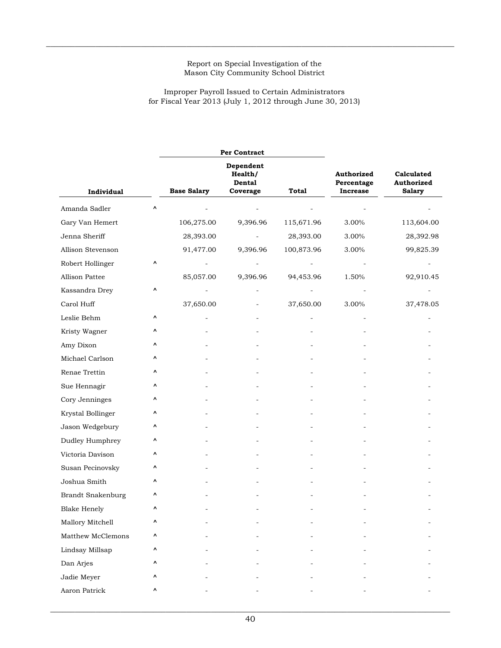$\_$  , and the state of the state of the state of the state of the state of the state of the state of the state of the state of the state of the state of the state of the state of the state of the state of the state of the

## Improper Payroll Issued to Certain Administrators for Fiscal Year 2013 (July 1, 2012 through June 30, 2013)

|                          |   |                    | Per Contract                               |              |                                                    |                                           |
|--------------------------|---|--------------------|--------------------------------------------|--------------|----------------------------------------------------|-------------------------------------------|
| Individual               |   | <b>Base Salary</b> | Dependent<br>Health/<br>Dental<br>Coverage | <b>Total</b> | <b>Authorized</b><br>Percentage<br><b>Increase</b> | Calculated<br>Authorized<br><b>Salary</b> |
| Amanda Sadler            | ۸ |                    |                                            |              |                                                    |                                           |
| Gary Van Hemert          |   | 106,275.00         | 9,396.96                                   | 115,671.96   | 3.00%                                              | 113,604.00                                |
| Jenna Sheriff            |   | 28,393.00          |                                            | 28,393.00    | 3.00%                                              | 28,392.98                                 |
| Allison Stevenson        |   | 91,477.00          | 9,396.96                                   | 100,873.96   | 3.00%                                              | 99,825.39                                 |
| Robert Hollinger         | ۸ |                    |                                            |              |                                                    |                                           |
| Allison Pattee           |   | 85,057.00          | 9,396.96                                   | 94,453.96    | 1.50%                                              | 92,910.45                                 |
| Kassandra Drey           | ۸ |                    |                                            |              |                                                    |                                           |
| Carol Huff               |   | 37,650.00          |                                            | 37,650.00    | 3.00%                                              | 37,478.05                                 |
| Leslie Behm              | ۸ |                    |                                            |              |                                                    |                                           |
| Kristy Wagner            | ۸ |                    |                                            |              |                                                    |                                           |
| Amy Dixon                | ٨ |                    |                                            |              |                                                    |                                           |
| Michael Carlson          | ٨ |                    |                                            |              |                                                    |                                           |
| Renae Trettin            | ۸ |                    |                                            |              |                                                    |                                           |
| Sue Hennagir             | ۸ |                    |                                            |              |                                                    |                                           |
| Cory Jenninges           | ۸ |                    |                                            |              |                                                    |                                           |
| Krystal Bollinger        | ۸ |                    |                                            |              |                                                    |                                           |
| Jason Wedgebury          | ۸ |                    |                                            |              |                                                    |                                           |
| Dudley Humphrey          | ۸ |                    |                                            |              |                                                    |                                           |
| Victoria Davison         | ۸ |                    |                                            |              |                                                    |                                           |
| Susan Pecinovsky         | ۸ |                    |                                            |              |                                                    |                                           |
| Joshua Smith             | ٨ |                    |                                            |              |                                                    |                                           |
| <b>Brandt Snakenburg</b> | ٨ |                    |                                            |              |                                                    |                                           |
| <b>Blake Henely</b>      | ۸ |                    |                                            |              |                                                    |                                           |
| Mallory Mitchell         | ۸ |                    |                                            |              |                                                    |                                           |
| Matthew McClemons        | ۸ |                    |                                            |              |                                                    |                                           |
| Lindsay Millsap          | ۸ |                    |                                            |              |                                                    |                                           |
| Dan Arjes                | ۸ |                    |                                            |              |                                                    |                                           |
| Jadie Meyer              | ۸ |                    |                                            |              |                                                    |                                           |
| Aaron Patrick            | ۸ |                    |                                            |              |                                                    |                                           |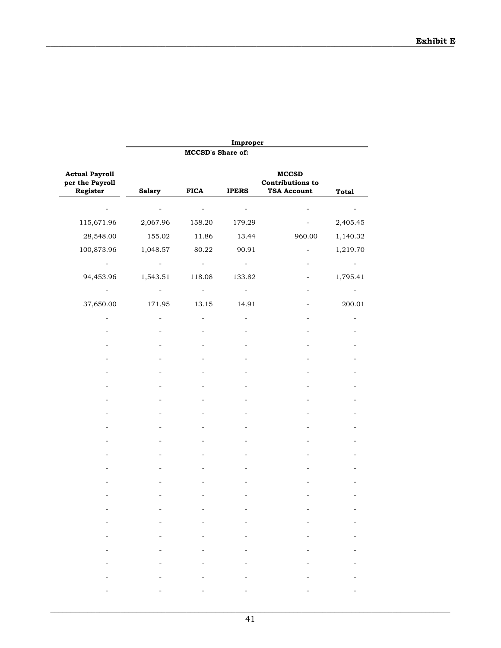|                                                      |                                                       |                          | Improper                                                                                                                                                                                                                                                 |                                                               |              |
|------------------------------------------------------|-------------------------------------------------------|--------------------------|----------------------------------------------------------------------------------------------------------------------------------------------------------------------------------------------------------------------------------------------------------|---------------------------------------------------------------|--------------|
|                                                      |                                                       | MCCSD's Share of:        |                                                                                                                                                                                                                                                          |                                                               |              |
| <b>Actual Payroll</b><br>per the Payroll<br>Register | <b>Salary</b>                                         | <b>FICA</b>              | <b>IPERS</b>                                                                                                                                                                                                                                             | <b>MCCSD</b><br><b>Contributions to</b><br><b>TSA Account</b> | <b>Total</b> |
|                                                      |                                                       |                          |                                                                                                                                                                                                                                                          |                                                               |              |
| 115,671.96                                           | 2,067.96                                              | 158.20                   | 179.29                                                                                                                                                                                                                                                   |                                                               | 2,405.45     |
| 28,548.00                                            | 155.02                                                | 11.86                    | 13.44                                                                                                                                                                                                                                                    | 960.00                                                        | 1,140.32     |
| 100,873.96                                           | 1,048.57                                              | 80.22                    | 90.91                                                                                                                                                                                                                                                    |                                                               | 1,219.70     |
|                                                      |                                                       |                          |                                                                                                                                                                                                                                                          |                                                               |              |
| 94,453.96                                            | 1,543.51                                              | 118.08                   | 133.82                                                                                                                                                                                                                                                   |                                                               | 1,795.41     |
|                                                      |                                                       |                          | $\overline{\phantom{a}}$                                                                                                                                                                                                                                 |                                                               |              |
| 37,650.00                                            | 171.95                                                | 13.15                    | 14.91                                                                                                                                                                                                                                                    |                                                               | 200.01       |
|                                                      |                                                       |                          |                                                                                                                                                                                                                                                          |                                                               |              |
|                                                      |                                                       |                          |                                                                                                                                                                                                                                                          |                                                               |              |
|                                                      |                                                       |                          |                                                                                                                                                                                                                                                          |                                                               |              |
|                                                      |                                                       |                          |                                                                                                                                                                                                                                                          |                                                               |              |
|                                                      |                                                       |                          |                                                                                                                                                                                                                                                          |                                                               |              |
|                                                      |                                                       |                          |                                                                                                                                                                                                                                                          |                                                               |              |
|                                                      |                                                       |                          |                                                                                                                                                                                                                                                          |                                                               |              |
|                                                      |                                                       |                          |                                                                                                                                                                                                                                                          |                                                               |              |
|                                                      |                                                       |                          |                                                                                                                                                                                                                                                          |                                                               |              |
|                                                      |                                                       |                          |                                                                                                                                                                                                                                                          |                                                               |              |
|                                                      |                                                       |                          |                                                                                                                                                                                                                                                          |                                                               |              |
|                                                      |                                                       |                          |                                                                                                                                                                                                                                                          |                                                               |              |
|                                                      |                                                       |                          |                                                                                                                                                                                                                                                          |                                                               |              |
|                                                      |                                                       |                          |                                                                                                                                                                                                                                                          |                                                               |              |
|                                                      |                                                       |                          |                                                                                                                                                                                                                                                          |                                                               |              |
|                                                      | $\overline{\phantom{a}}$                              | $\overline{\phantom{a}}$ | Ξ.                                                                                                                                                                                                                                                       |                                                               |              |
| $\equiv$                                             | $\frac{1}{2}$ , and $\frac{1}{2}$ , and $\frac{1}{2}$ |                          | $\frac{1}{2}$ , and the set of the set of the set of the set of the set of the set of the set of the set of the set of the set of the set of the set of the set of the set of the set of the set of the set of the set of the set<br><b>Harry Common</b> | $\overline{\phantom{a}}$                                      |              |
|                                                      |                                                       |                          | -                                                                                                                                                                                                                                                        |                                                               |              |
|                                                      | $\overline{\phantom{a}}$                              |                          | $\overline{\phantom{a}}$                                                                                                                                                                                                                                 |                                                               |              |
|                                                      |                                                       |                          | $\overline{\phantom{a}}$                                                                                                                                                                                                                                 |                                                               |              |
|                                                      |                                                       |                          |                                                                                                                                                                                                                                                          |                                                               |              |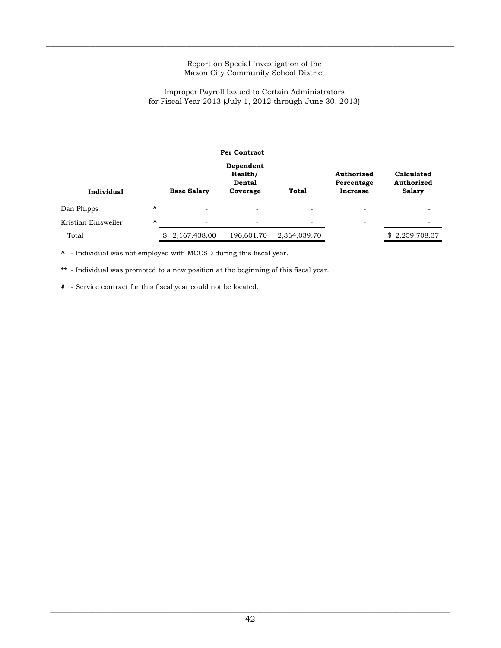$\_$  , and the state of the state of the state of the state of the state of the state of the state of the state of the state of the state of the state of the state of the state of the state of the state of the state of the

#### Improper Payroll Issued to Certain Administrators for Fiscal Year 2013 (July 1, 2012 through June 30, 2013)

|                     |          |                          | <b>Per Contract</b>                        |              |                                      |                                           |  |
|---------------------|----------|--------------------------|--------------------------------------------|--------------|--------------------------------------|-------------------------------------------|--|
| Individual          |          | <b>Base Salary</b>       | Dependent<br>Health/<br>Dental<br>Coverage | <b>Total</b> | Authorized<br>Percentage<br>Increase | Calculated<br>Authorized<br><b>Salary</b> |  |
| Dan Phipps          | $\hat{}$ | $\overline{\phantom{0}}$ | $\overline{\phantom{a}}$                   |              | $\overline{\phantom{0}}$             |                                           |  |
| Kristian Einsweiler | Λ        | $\overline{\phantom{a}}$ | $\overline{\phantom{a}}$                   |              | $\overline{\phantom{0}}$             |                                           |  |
| Total               |          | \$<br>2,167,438.00       | 196,601.70                                 | 2,364,039.70 |                                      | \$2,259,708.37                            |  |

**^** - Individual was not employed with MCCSD during this fiscal year.

**\*\*** - Individual was promoted to a new position at the beginning of this fiscal year.

**#** - Service contract for this fiscal year could not be located.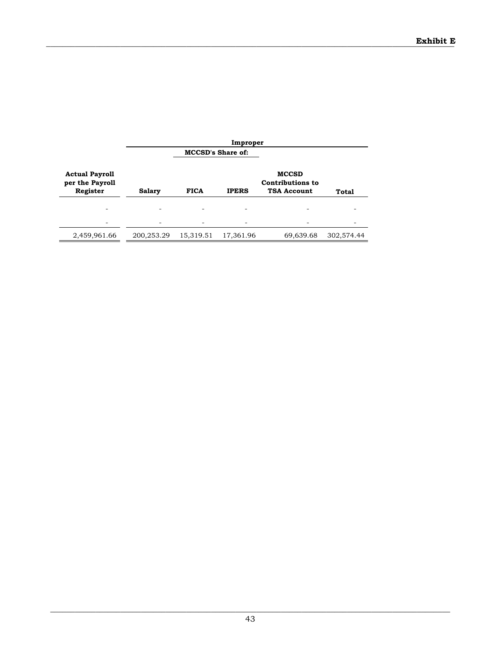|                                                      | Improper      |                          |              |                                                               |              |  |
|------------------------------------------------------|---------------|--------------------------|--------------|---------------------------------------------------------------|--------------|--|
|                                                      |               | <b>MCCSD's Share of:</b> |              |                                                               |              |  |
| <b>Actual Payroll</b><br>per the Payroll<br>Register | <b>Salary</b> | <b>FICA</b>              | <b>IPERS</b> | <b>MCCSD</b><br><b>Contributions to</b><br><b>TSA Account</b> | <b>Total</b> |  |
|                                                      |               |                          |              |                                                               |              |  |
|                                                      |               |                          |              |                                                               |              |  |
| 2,459,961.66                                         | 200,253.29    | 15,319.51                | 17,361.96    | 69,639.68                                                     | 302,574.44   |  |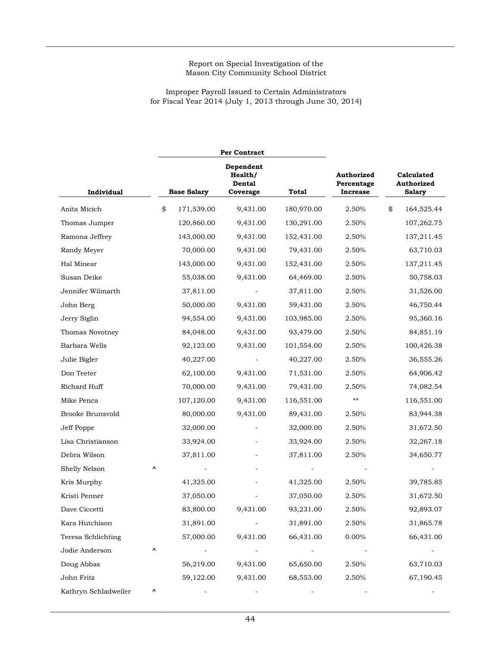$\_$  , and the state of the state of the state of the state of the state of the state of the state of the state of the state of the state of the state of the state of the state of the state of the state of the state of the

## Improper Payroll Issued to Certain Administrators for Fiscal Year 2014 (July 1, 2013 through June 30, 2014)

|                      |    |                    | Per Contract                                        |            |                                             |                                           |            |
|----------------------|----|--------------------|-----------------------------------------------------|------------|---------------------------------------------|-------------------------------------------|------------|
| Individual           |    | <b>Base Salary</b> | Dependent<br>Health/<br>Dental<br>Total<br>Coverage |            | Authorized<br>Percentage<br><b>Increase</b> | Calculated<br>Authorized<br><b>Salary</b> |            |
| Anita Micich         | \$ | 171,539.00         | 9,431.00                                            | 180,970.00 | 2.50%                                       | \$                                        | 164,525.44 |
| Thomas Jumper        |    | 120,860.00         | 9,431.00                                            | 130,291.00 | 2.50%                                       |                                           | 107,262.75 |
| Ramona Jeffrey       |    | 143,000.00         | 9,431.00                                            | 152,431.00 | 2.50%                                       |                                           | 137,211.45 |
| Randy Meyer          |    | 70,000.00          | 9,431.00                                            | 79,431.00  | 2.50%                                       |                                           | 63,710.03  |
| Hal Minear           |    | 143,000.00         | 9,431.00                                            | 152,431.00 | 2.50%                                       |                                           | 137,211.45 |
| Susan Deike          |    | 55,038.00          | 9,431.00                                            | 64,469.00  | 2.50%                                       |                                           | 50,758.03  |
| Jennifer Wilmarth    |    | 37,811.00          |                                                     | 37,811.00  | 2.50%                                       |                                           | 31,526.00  |
| John Berg            |    | 50,000.00          | 9,431.00                                            | 59,431.00  | 2.50%                                       |                                           | 46,750.44  |
| Jerry Siglin         |    | 94,554.00          | 9,431.00                                            | 103,985.00 | 2.50%                                       |                                           | 95,360.16  |
| Thomas Novotney      |    | 84,048.00          | 9,431.00                                            | 93,479.00  | 2.50%                                       |                                           | 84,851.19  |
| Barbara Wells        |    | 92,123.00          | 9,431.00                                            | 101,554.00 | 2.50%                                       |                                           | 100,426.38 |
| Julie Bigler         |    | 40,227.00          |                                                     | 40,227.00  | 2.50%                                       |                                           | 36,555.26  |
| Don Teeter           |    | 62,100.00          | 9,431.00                                            | 71,531.00  | 2.50%                                       |                                           | 64,906.42  |
| Richard Huff         |    | 70,000.00          | 9,431.00                                            | 79,431.00  | 2.50%                                       |                                           | 74,082.54  |
| Mike Penca           |    | 107,120.00         | 9,431.00                                            | 116,551.00 | **                                          |                                           | 116,551.00 |
| Brooke Brunsvold     |    | 80,000.00          | 9,431.00                                            | 89,431.00  | 2.50%                                       |                                           | 83,944.38  |
| Jeff Poppe           |    | 32,000.00          |                                                     | 32,000.00  | 2.50%                                       |                                           | 31,672.50  |
| Lisa Christianson    |    | 33,924.00          |                                                     | 33,924.00  | 2.50%                                       |                                           | 32,267.18  |
| Debra Wilson         |    | 37,811.00          |                                                     | 37,811.00  | 2.50%                                       |                                           | 34,650.77  |
| Shelly Nelson        | ٨  |                    |                                                     |            |                                             |                                           |            |
| Kris Murphy          |    | 41,325.00          |                                                     | 41,325.00  | 2.50%                                       |                                           | 39,785.85  |
| Kristi Penner        |    | 37,050.00          |                                                     | 37,050.00  | 2.50%                                       |                                           | 31,672.50  |
| Dave Ciccetti        |    | 83,800.00          | 9,431.00                                            | 93,231.00  | 2.50%                                       |                                           | 92,893.07  |
| Kara Hutchison       |    | 31,891.00          |                                                     | 31,891.00  | 2.50%                                       |                                           | 31,865.78  |
| Teresa Schlichting   |    | 57,000.00          | 9,431.00                                            | 66,431.00  | 0.00%                                       |                                           | 66,431.00  |
| Jodie Anderson       | ۸  |                    |                                                     |            |                                             |                                           |            |
| Doug Abbas           |    | 56,219.00          | 9,431.00                                            | 65,650.00  | 2.50%                                       |                                           | 63,710.03  |
| John Fritz           |    | 59,122.00          | 9,431.00                                            | 68,553.00  | 2.50%                                       |                                           | 67,190.45  |
| Kathryn Schladweiler | ۸  |                    |                                                     |            |                                             |                                           |            |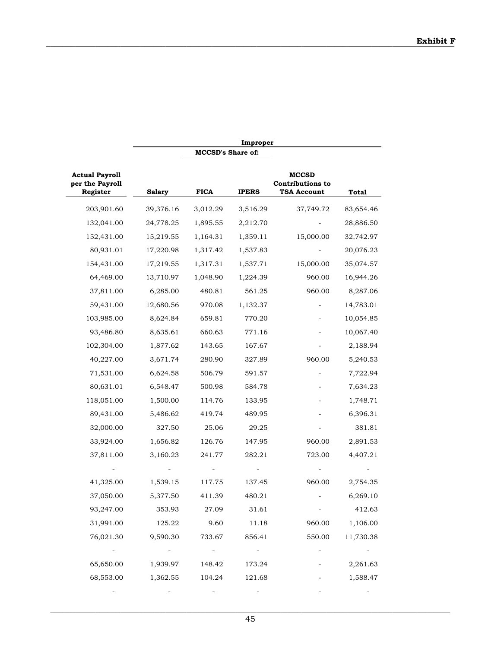|                                                      |               |                          | Improper     |                                                               |           |
|------------------------------------------------------|---------------|--------------------------|--------------|---------------------------------------------------------------|-----------|
|                                                      |               | <b>MCCSD's Share of:</b> |              |                                                               |           |
| <b>Actual Payroll</b><br>per the Payroll<br>Register | <b>Salary</b> | <b>FICA</b>              | <b>IPERS</b> | <b>MCCSD</b><br><b>Contributions to</b><br><b>TSA Account</b> | Total     |
| 203,901.60                                           | 39,376.16     | 3,012.29                 | 3,516.29     | 37,749.72                                                     | 83,654.46 |
| 132,041.00                                           | 24,778.25     | 1,895.55                 | 2,212.70     |                                                               | 28,886.50 |
| 152,431.00                                           | 15,219.55     | 1,164.31                 | 1,359.11     | 15,000.00                                                     | 32,742.97 |
| 80,931.01                                            | 17,220.98     | 1,317.42                 | 1,537.83     |                                                               | 20,076.23 |
| 154,431.00                                           | 17,219.55     | 1,317.31                 | 1,537.71     | 15,000.00                                                     | 35,074.57 |
| 64,469.00                                            | 13,710.97     | 1,048.90                 | 1,224.39     | 960.00                                                        | 16,944.26 |
| 37,811.00                                            | 6,285.00      | 480.81                   | 561.25       | 960.00                                                        | 8,287.06  |
| 59,431.00                                            | 12,680.56     | 970.08                   | 1,132.37     |                                                               | 14,783.01 |
| 103,985.00                                           | 8,624.84      | 659.81                   | 770.20       |                                                               | 10,054.85 |
| 93,486.80                                            | 8,635.61      | 660.63                   | 771.16       |                                                               | 10,067.40 |
| 102,304.00                                           | 1,877.62      | 143.65                   | 167.67       |                                                               | 2,188.94  |
| 40,227.00                                            | 3,671.74      | 280.90                   | 327.89       | 960.00                                                        | 5,240.53  |
| 71,531.00                                            | 6,624.58      | 506.79                   | 591.57       |                                                               | 7,722.94  |
| 80,631.01                                            | 6,548.47      | 500.98                   | 584.78       |                                                               | 7,634.23  |
| 118,051.00                                           | 1,500.00      | 114.76                   | 133.95       |                                                               | 1,748.71  |
| 89,431.00                                            | 5,486.62      | 419.74                   | 489.95       |                                                               | 6,396.31  |
| 32,000.00                                            | 327.50        | 25.06                    | 29.25        |                                                               | 381.81    |
| 33,924.00                                            | 1,656.82      | 126.76                   | 147.95       | 960.00                                                        | 2,891.53  |
| 37,811.00                                            | 3,160.23      | 241.77                   | 282.21       | 723.00                                                        | 4,407.21  |
|                                                      |               |                          |              |                                                               |           |
| 41,325.00                                            | 1,539.15      | 117.75                   | 137.45       | 960.00                                                        | 2,754.35  |
| 37,050.00                                            | 5,377.50      | 411.39                   | 480.21       |                                                               | 6,269.10  |
| 93,247.00                                            | 353.93        | 27.09                    | 31.61        |                                                               | 412.63    |
| 31,991.00                                            | 125.22        | 9.60                     | 11.18        | 960.00                                                        | 1,106.00  |
| 76,021.30                                            | 9,590.30      | 733.67                   | 856.41       | 550.00                                                        | 11,730.38 |
|                                                      |               |                          |              |                                                               |           |
| 65,650.00                                            | 1,939.97      | 148.42                   | 173.24       |                                                               | 2,261.63  |
| 68,553.00                                            | 1,362.55      | 104.24                   | 121.68       |                                                               | 1,588.47  |
|                                                      |               |                          |              |                                                               |           |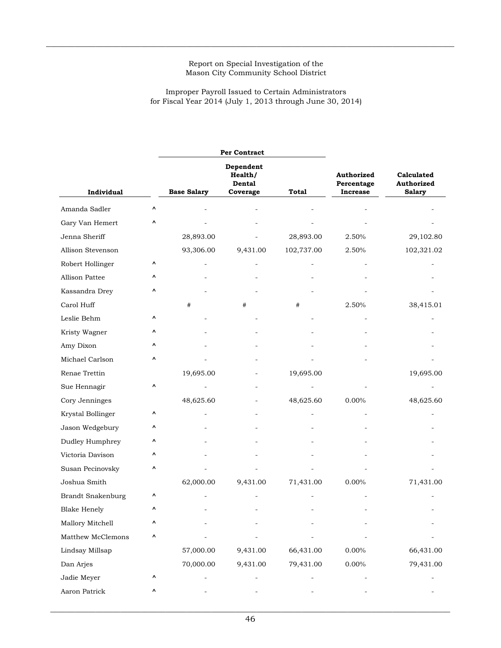$\_$  , and the state of the state of the state of the state of the state of the state of the state of the state of the state of the state of the state of the state of the state of the state of the state of the state of the

## Improper Payroll Issued to Certain Administrators for Fiscal Year 2014 (July 1, 2013 through June 30, 2014)

|                          |   |                    | Per Contract                                      |              |                                                    |                                           |
|--------------------------|---|--------------------|---------------------------------------------------|--------------|----------------------------------------------------|-------------------------------------------|
| Individual               |   | <b>Base Salary</b> | Dependent<br>Health/<br><b>Dental</b><br>Coverage | <b>Total</b> | <b>Authorized</b><br>Percentage<br><b>Increase</b> | Calculated<br>Authorized<br><b>Salary</b> |
|                          | ۸ |                    |                                                   |              |                                                    |                                           |
| Amanda Sadler            |   |                    |                                                   |              |                                                    |                                           |
| Gary Van Hemert          | ٨ |                    |                                                   |              |                                                    |                                           |
| Jenna Sheriff            |   | 28,893.00          |                                                   | 28,893.00    | 2.50%                                              | 29,102.80                                 |
| Allison Stevenson        |   | 93,306.00          | 9,431.00                                          | 102,737.00   | 2.50%                                              | 102,321.02                                |
| Robert Hollinger         | ٨ |                    |                                                   |              |                                                    |                                           |
| Allison Pattee           | Λ |                    |                                                   |              |                                                    |                                           |
| Kassandra Drey           | ۸ |                    |                                                   |              |                                                    |                                           |
| Carol Huff               |   | #                  | #                                                 | #            | 2.50%                                              | 38,415.01                                 |
| Leslie Behm              | ^ |                    |                                                   |              |                                                    |                                           |
| Kristy Wagner            | ٨ |                    |                                                   |              |                                                    |                                           |
| Amy Dixon                | Λ |                    |                                                   |              |                                                    |                                           |
| Michael Carlson          | ۸ |                    |                                                   |              |                                                    |                                           |
| Renae Trettin            |   | 19,695.00          |                                                   | 19,695.00    |                                                    | 19,695.00                                 |
| Sue Hennagir             | ۸ |                    |                                                   |              |                                                    |                                           |
| Cory Jenninges           |   | 48,625.60          |                                                   | 48,625.60    | 0.00%                                              | 48,625.60                                 |
| Krystal Bollinger        | ٨ |                    |                                                   |              |                                                    |                                           |
| Jason Wedgebury          | Λ |                    |                                                   |              |                                                    |                                           |
| Dudley Humphrey          | ۸ |                    |                                                   |              |                                                    |                                           |
| Victoria Davison         | ٨ |                    |                                                   |              |                                                    |                                           |
| Susan Pecinovsky         | ۸ |                    |                                                   |              |                                                    |                                           |
| Joshua Smith             |   | 62,000.00          | 9,431.00                                          | 71,431.00    | 0.00%                                              | 71,431.00                                 |
| <b>Brandt Snakenburg</b> | Λ |                    |                                                   |              |                                                    |                                           |
| <b>Blake Henely</b>      | ٨ |                    |                                                   |              |                                                    |                                           |
| Mallory Mitchell         | ۸ |                    |                                                   |              |                                                    |                                           |
| Matthew McClemons        | ۸ |                    |                                                   |              |                                                    |                                           |
| Lindsay Millsap          |   | 57,000.00          | 9,431.00                                          | 66,431.00    | $0.00\%$                                           | 66,431.00                                 |
| Dan Arjes                |   | 70,000.00          | 9,431.00                                          | 79,431.00    | 0.00%                                              | 79,431.00                                 |
| Jadie Meyer              | ۸ |                    |                                                   |              |                                                    |                                           |
| Aaron Patrick            | ۸ |                    |                                                   |              |                                                    |                                           |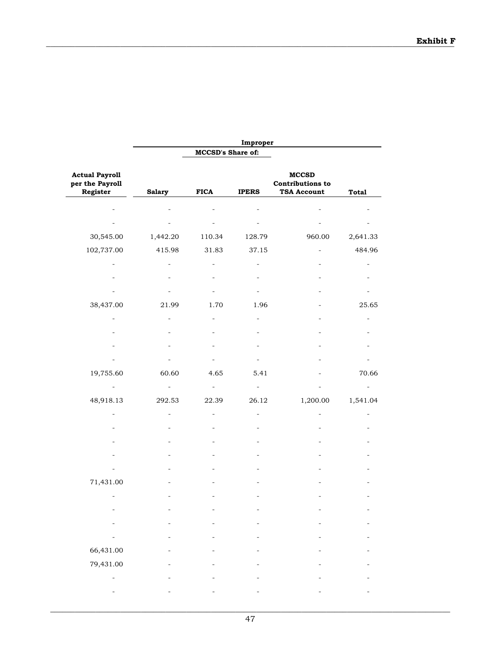|                                                      |                |                          | Improper     |                                                               |              |
|------------------------------------------------------|----------------|--------------------------|--------------|---------------------------------------------------------------|--------------|
|                                                      |                | <b>MCCSD's Share of:</b> |              |                                                               |              |
| <b>Actual Payroll</b><br>per the Payroll<br>Register | <b>Salary</b>  | <b>FICA</b>              | <b>IPERS</b> | <b>MCCSD</b><br><b>Contributions to</b><br><b>TSA Account</b> | <b>Total</b> |
|                                                      |                |                          |              |                                                               |              |
|                                                      |                |                          |              | $\overline{a}$                                                |              |
| 30,545.00                                            | 1,442.20       | 110.34                   | 128.79       | 960.00                                                        | 2,641.33     |
| 102,737.00                                           | 415.98         | 31.83                    | 37.15        | $\overline{\phantom{0}}$                                      | 484.96       |
|                                                      |                |                          |              |                                                               |              |
|                                                      |                |                          |              |                                                               |              |
|                                                      |                |                          |              |                                                               |              |
| 38,437.00                                            | 21.99          | 1.70                     | 1.96         |                                                               | 25.65        |
|                                                      |                |                          |              |                                                               |              |
|                                                      |                |                          |              |                                                               |              |
|                                                      |                |                          |              |                                                               |              |
|                                                      |                |                          |              |                                                               |              |
| 19,755.60                                            | 60.60          | 4.65                     | 5.41         |                                                               | 70.66        |
|                                                      |                |                          |              |                                                               |              |
| 48,918.13                                            | 292.53         | 22.39                    | 26.12        | 1,200.00                                                      | 1,541.04     |
|                                                      | $\overline{a}$ |                          |              |                                                               |              |
|                                                      |                |                          |              |                                                               |              |
|                                                      |                |                          |              |                                                               |              |
|                                                      |                |                          |              |                                                               |              |
|                                                      |                |                          |              |                                                               |              |
| 71,431.00                                            |                |                          |              |                                                               |              |
|                                                      |                |                          |              |                                                               |              |
|                                                      |                |                          |              |                                                               |              |
|                                                      |                |                          |              |                                                               |              |
|                                                      |                |                          |              |                                                               |              |
| 66,431.00                                            |                |                          |              |                                                               |              |
| 79,431.00                                            |                |                          |              |                                                               |              |
|                                                      |                |                          |              |                                                               |              |
|                                                      |                |                          |              |                                                               |              |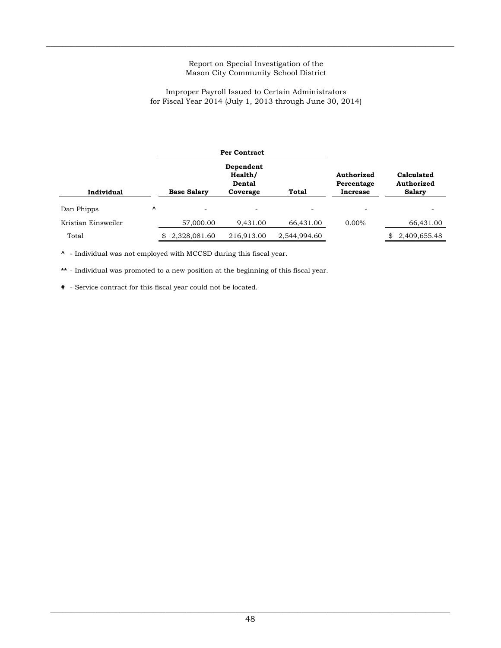$\_$  , and the state of the state of the state of the state of the state of the state of the state of the state of the state of the state of the state of the state of the state of the state of the state of the state of the

### Improper Payroll Issued to Certain Administrators for Fiscal Year 2014 (July 1, 2013 through June 30, 2014)

|                     |           |                          | <b>Per Contract</b>                               |              |                                      |                                           |
|---------------------|-----------|--------------------------|---------------------------------------------------|--------------|--------------------------------------|-------------------------------------------|
| Individual          |           | <b>Base Salary</b>       | Dependent<br>Health/<br><b>Dental</b><br>Coverage | Total        | Authorized<br>Percentage<br>Increase | Calculated<br>Authorized<br><b>Salary</b> |
| Dan Phipps          | $\lambda$ | $\overline{\phantom{0}}$ | $\overline{\phantom{0}}$                          |              | ۰                                    |                                           |
| Kristian Einsweiler |           | 57,000.00                | 9,431.00                                          | 66,431.00    | $0.00\%$                             | 66,431.00                                 |
| Total               |           | 2,328,081.60             | 216,913.00                                        | 2,544,994.60 |                                      | 2,409,655.48                              |

**^** - Individual was not employed with MCCSD during this fiscal year.

**\*\*** - Individual was promoted to a new position at the beginning of this fiscal year.

**#** - Service contract for this fiscal year could not be located.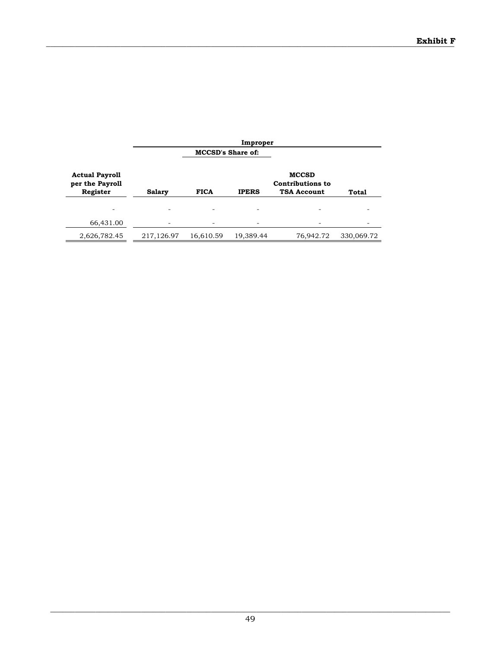|                                                      |               |                          | Improper     |                                                               |            |
|------------------------------------------------------|---------------|--------------------------|--------------|---------------------------------------------------------------|------------|
|                                                      |               | <b>MCCSD's Share of:</b> |              |                                                               |            |
| <b>Actual Payroll</b><br>per the Payroll<br>Register | <b>Salary</b> | <b>FICA</b>              | <b>IPERS</b> | <b>MCCSD</b><br><b>Contributions to</b><br><b>TSA Account</b> | Total      |
|                                                      |               |                          |              |                                                               |            |
| 66,431.00                                            |               |                          |              |                                                               |            |
| 2,626,782.45                                         | 217,126.97    | 16,610.59                | 19,389.44    | 76,942.72                                                     | 330,069.72 |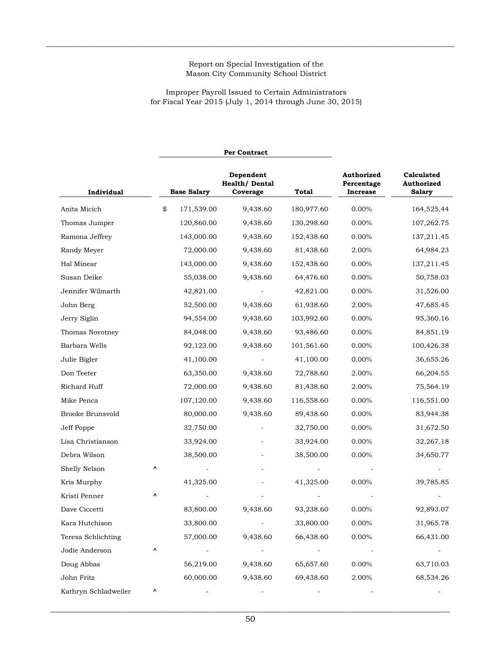$\_$  , and the state of the state of the state of the state of the state of the state of the state of the state of the state of the state of the state of the state of the state of the state of the state of the state of the

for Fiscal Year 2015 (July 1, 2014 through June 30, 2015) Improper Payroll Issued to Certain Administrators

|                      |    |                    | Per Contract                                    |            |                                             |                                           |  |
|----------------------|----|--------------------|-------------------------------------------------|------------|---------------------------------------------|-------------------------------------------|--|
| Individual           |    | <b>Base Salary</b> | Dependent<br>Health/Dental<br>Total<br>Coverage |            | Authorized<br>Percentage<br><b>Increase</b> | Calculated<br>Authorized<br><b>Salary</b> |  |
| Anita Micich         | \$ | 171,539.00         | 9,438.60                                        | 180,977.60 | 0.00%                                       | 164,525.44                                |  |
| Thomas Jumper        |    | 120,860.00         | 9,438.60                                        | 130,298.60 | 0.00%                                       | 107,262.75                                |  |
| Ramona Jeffrey       |    | 143,000.00         | 9,438.60                                        | 152,438.60 | 0.00%                                       | 137,211.45                                |  |
| Randy Meyer          |    | 72,000.00          | 9,438.60                                        | 81,438.60  | 2.00%                                       | 64,984.23                                 |  |
| Hal Minear           |    | 143,000.00         | 9,438.60                                        | 152,438.60 | 0.00%                                       | 137,211.45                                |  |
| Susan Deike          |    | 55,038.00          | 9,438.60                                        | 64,476.60  | 0.00%                                       | 50,758.03                                 |  |
| Jennifer Wilmarth    |    | 42,821.00          |                                                 | 42,821.00  | 0.00%                                       | 31,526.00                                 |  |
| John Berg            |    | 52,500.00          | 9,438.60                                        | 61,938.60  | 2.00%                                       | 47,685.45                                 |  |
| Jerry Siglin         |    | 94,554.00          | 9,438.60                                        | 103,992.60 | 0.00%                                       | 95,360.16                                 |  |
| Thomas Novotney      |    | 84,048.00          | 9,438.60                                        | 93,486.60  | 0.00%                                       | 84,851.19                                 |  |
| Barbara Wells        |    | 92,123.00          | 9,438.60                                        | 101,561.60 | 0.00%                                       | 100,426.38                                |  |
| Julie Bigler         |    | 41,100.00          |                                                 | 41,100.00  | $0.00\%$                                    | 36,655.26                                 |  |
| Don Teeter           |    | 63,350.00          | 9,438.60                                        | 72,788.60  | 2.00%                                       | 66,204.55                                 |  |
| Richard Huff         |    | 72,000.00          | 9,438.60                                        | 81,438.60  | 2.00%                                       | 75,564.19                                 |  |
| Mike Penca           |    | 107,120.00         | 9,438.60                                        | 116,558.60 | 0.00%                                       | 116,551.00                                |  |
| Brooke Brunsvold     |    | 80,000.00          | 9,438.60                                        | 89,438.60  | 0.00%                                       | 83,944.38                                 |  |
| Jeff Poppe           |    | 32,750.00          |                                                 | 32,750.00  | 0.00%                                       | 31,672.50                                 |  |
| Lisa Christianson    |    | 33,924.00          |                                                 | 33,924.00  | 0.00%                                       | 32,267.18                                 |  |
| Debra Wilson         |    | 38,500.00          |                                                 | 38,500.00  | 0.00%                                       | 34,650.77                                 |  |
| Shelly Nelson        | ۸  |                    |                                                 |            |                                             |                                           |  |
| Kris Murphy          |    | 41,325.00          |                                                 | 41,325.00  | $0.00\%$                                    | 39,785.85                                 |  |
| Kristi Penner        | ۸  |                    |                                                 |            |                                             |                                           |  |
| Dave Ciccetti        |    | 83,800.00          | 9,438.60                                        | 93,238.60  | 0.00%                                       | 92,893.07                                 |  |
| Kara Hutchison       |    | 33,800.00          |                                                 | 33,800.00  | $0.00\%$                                    | 31,965.78                                 |  |
| Teresa Schlichting   |    | 57,000.00          | 9,438.60                                        | 66,438.60  | 0.00%                                       | 66,431.00                                 |  |
| Jodie Anderson       | ۸  |                    |                                                 |            |                                             |                                           |  |
| Doug Abbas           |    | 56,219.00          | 9,438.60                                        | 65,657.60  | 0.00%                                       | 63,710.03                                 |  |
| John Fritz           |    | 60,000.00          | 9,438.60                                        | 69,438.60  | 2.00%                                       | 68,534.26                                 |  |
| Kathryn Schladweiler | ۸  |                    |                                                 |            |                                             |                                           |  |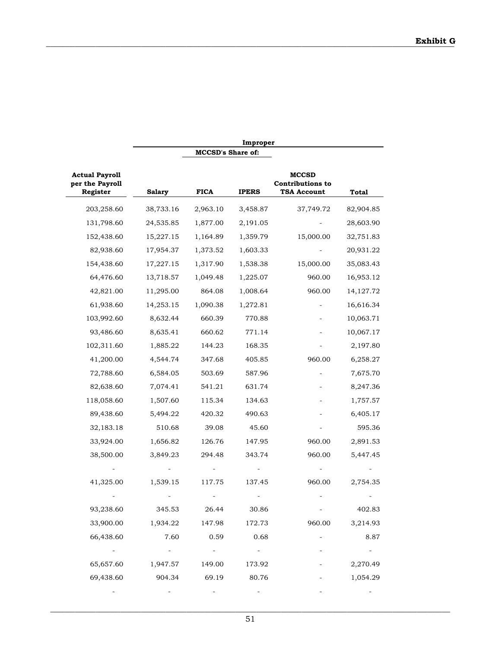|                                                      | Improper      |                          |              |                                                               |              |  |  |
|------------------------------------------------------|---------------|--------------------------|--------------|---------------------------------------------------------------|--------------|--|--|
|                                                      |               | <b>MCCSD's Share of:</b> |              |                                                               |              |  |  |
| <b>Actual Payroll</b><br>per the Payroll<br>Register | <b>Salary</b> | <b>FICA</b>              | <b>IPERS</b> | <b>MCCSD</b><br><b>Contributions to</b><br><b>TSA Account</b> | <b>Total</b> |  |  |
| 203,258.60                                           | 38,733.16     | 2,963.10                 | 3,458.87     | 37,749.72                                                     | 82,904.85    |  |  |
| 131,798.60                                           | 24,535.85     | 1,877.00                 | 2,191.05     |                                                               | 28,603.90    |  |  |
| 152,438.60                                           | 15,227.15     | 1,164.89                 | 1,359.79     | 15,000.00                                                     | 32,751.83    |  |  |
| 82,938.60                                            | 17,954.37     | 1,373.52                 | 1,603.33     |                                                               | 20,931.22    |  |  |
| 154,438.60                                           | 17,227.15     | 1,317.90                 | 1,538.38     | 15,000.00                                                     | 35,083.43    |  |  |
| 64,476.60                                            | 13,718.57     | 1,049.48                 | 1,225.07     | 960.00                                                        | 16,953.12    |  |  |
| 42,821.00                                            | 11,295.00     | 864.08                   | 1,008.64     | 960.00                                                        | 14, 127. 72  |  |  |
| 61,938.60                                            | 14,253.15     | 1,090.38                 | 1,272.81     |                                                               | 16,616.34    |  |  |
| 103,992.60                                           | 8,632.44      | 660.39                   | 770.88       |                                                               | 10,063.71    |  |  |
| 93,486.60                                            | 8,635.41      | 660.62                   | 771.14       |                                                               | 10,067.17    |  |  |
| 102,311.60                                           | 1,885.22      | 144.23                   | 168.35       |                                                               | 2,197.80     |  |  |
| 41,200.00                                            | 4,544.74      | 347.68                   | 405.85       | 960.00                                                        | 6,258.27     |  |  |
| 72,788.60                                            | 6,584.05      | 503.69                   | 587.96       |                                                               | 7,675.70     |  |  |
| 82,638.60                                            | 7,074.41      | 541.21                   | 631.74       |                                                               | 8,247.36     |  |  |
| 118,058.60                                           | 1,507.60      | 115.34                   | 134.63       |                                                               | 1,757.57     |  |  |
| 89,438.60                                            | 5,494.22      | 420.32                   | 490.63       |                                                               | 6,405.17     |  |  |
| 32,183.18                                            | 510.68        | 39.08                    | 45.60        |                                                               | 595.36       |  |  |
| 33,924.00                                            | 1,656.82      | 126.76                   | 147.95       | 960.00                                                        | 2,891.53     |  |  |
| 38,500.00                                            | 3,849.23      | 294.48                   | 343.74       | 960.00                                                        | 5,447.45     |  |  |
|                                                      |               |                          |              |                                                               |              |  |  |
| 41,325.00                                            | 1,539.15      | 117.75                   | 137.45       | 960.00                                                        | 2,754.35     |  |  |
|                                                      |               |                          |              |                                                               |              |  |  |
| 93,238.60                                            | 345.53        | 26.44                    | 30.86        |                                                               | 402.83       |  |  |
| 33,900.00                                            | 1,934.22      | 147.98                   | 172.73       | 960.00                                                        | 3,214.93     |  |  |
| 66,438.60                                            | 7.60          | 0.59                     | 0.68         |                                                               | 8.87         |  |  |
|                                                      |               |                          |              |                                                               |              |  |  |
| 65,657.60                                            | 1,947.57      | 149.00                   | 173.92       |                                                               | 2,270.49     |  |  |
| 69,438.60                                            | 904.34        | 69.19                    | 80.76        |                                                               | 1,054.29     |  |  |
|                                                      |               |                          |              |                                                               |              |  |  |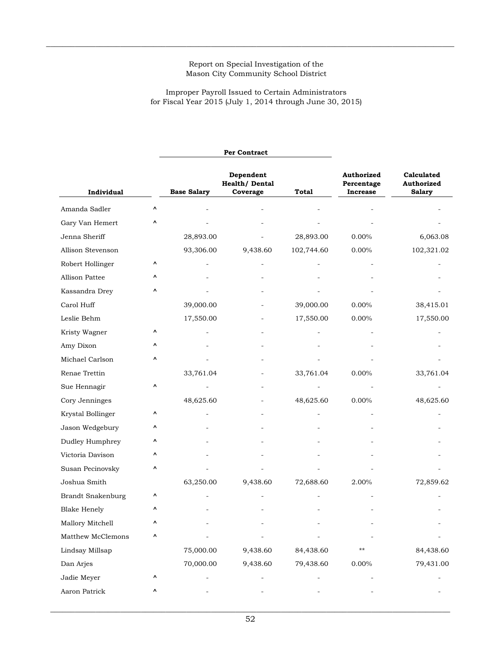$\_$  , and the state of the state of the state of the state of the state of the state of the state of the state of the state of the state of the state of the state of the state of the state of the state of the state of the

for Fiscal Year 2015 (July 1, 2014 through June 30, 2015) Improper Payroll Issued to Certain Administrators

|                          |   |                    | Per Contract                           |                                             |                                           |            |
|--------------------------|---|--------------------|----------------------------------------|---------------------------------------------|-------------------------------------------|------------|
| Individual               |   | <b>Base Salary</b> | Dependent<br>Health/Dental<br>Coverage | Authorized<br>Percentage<br><b>Increase</b> | Calculated<br>Authorized<br><b>Salary</b> |            |
| Amanda Sadler            | ۸ |                    |                                        |                                             |                                           |            |
| Gary Van Hemert          | Λ |                    |                                        |                                             |                                           |            |
| Jenna Sheriff            |   | 28,893.00          |                                        | 28,893.00                                   | 0.00%                                     | 6,063.08   |
| Allison Stevenson        |   | 93,306.00          | 9,438.60                               | 102,744.60                                  | 0.00%                                     | 102,321.02 |
| Robert Hollinger         | ۸ |                    |                                        |                                             |                                           |            |
| Allison Pattee           | ۸ |                    |                                        |                                             |                                           |            |
| Kassandra Drey           | ۸ |                    |                                        |                                             |                                           |            |
| Carol Huff               |   | 39,000.00          |                                        | 39,000.00                                   | $0.00\%$                                  | 38,415.01  |
| Leslie Behm              |   | 17,550.00          |                                        | 17,550.00                                   | 0.00%                                     | 17,550.00  |
| Kristy Wagner            | ٨ |                    |                                        |                                             |                                           |            |
| Amy Dixon                | ۸ |                    |                                        |                                             |                                           |            |
| Michael Carlson          | ۸ |                    |                                        |                                             |                                           |            |
| Renae Trettin            |   | 33,761.04          |                                        | 33,761.04                                   | $0.00\%$                                  | 33,761.04  |
| Sue Hennagir             | Λ |                    |                                        |                                             |                                           |            |
| Cory Jenninges           |   | 48,625.60          |                                        | 48,625.60                                   | $0.00\%$                                  | 48,625.60  |
| Krystal Bollinger        | ۸ |                    |                                        |                                             |                                           |            |
| Jason Wedgebury          | ۸ |                    |                                        |                                             |                                           |            |
| Dudley Humphrey          | ۸ |                    |                                        |                                             |                                           |            |
| Victoria Davison         | Λ |                    |                                        |                                             |                                           |            |
| Susan Pecinovsky         | ۸ |                    |                                        |                                             |                                           |            |
| Joshua Smith             |   | 63,250.00          | 9,438.60                               | 72,688.60                                   | 2.00%                                     | 72,859.62  |
| <b>Brandt Snakenburg</b> | ۸ |                    |                                        |                                             |                                           |            |
| <b>Blake Henely</b>      | Λ |                    |                                        |                                             |                                           |            |
| Mallory Mitchell         | ۸ |                    |                                        |                                             |                                           |            |
| Matthew McClemons        | ^ |                    |                                        |                                             |                                           |            |
| Lindsay Millsap          |   | 75,000.00          | 9,438.60                               | 84,438.60                                   | $***$                                     | 84,438.60  |
| Dan Arjes                |   | 70,000.00          | 9,438.60                               | 79,438.60                                   | 0.00%                                     | 79,431.00  |
| Jadie Meyer              | ٨ |                    |                                        |                                             |                                           |            |
| Aaron Patrick            | ٨ |                    |                                        |                                             |                                           |            |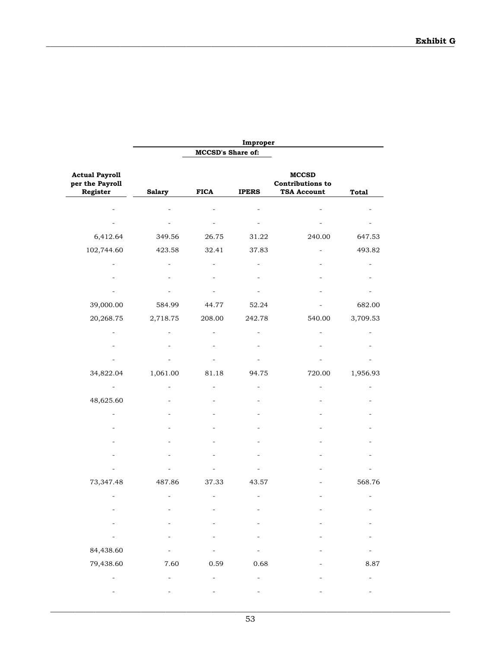|                                                      |               |                   | Improper     |                                                               |              |
|------------------------------------------------------|---------------|-------------------|--------------|---------------------------------------------------------------|--------------|
|                                                      |               | MCCSD's Share of: |              |                                                               |              |
| <b>Actual Payroll</b><br>per the Payroll<br>Register | <b>Salary</b> | <b>FICA</b>       | <b>IPERS</b> | <b>MCCSD</b><br><b>Contributions to</b><br><b>TSA Account</b> | <b>Total</b> |
|                                                      |               |                   |              |                                                               |              |
|                                                      |               |                   |              |                                                               |              |
| 6,412.64                                             | 349.56        | 26.75             | 31.22        | 240.00                                                        | 647.53       |
| 102,744.60                                           | 423.58        | 32.41             | 37.83        |                                                               | 493.82       |
|                                                      |               |                   |              |                                                               |              |
|                                                      |               |                   |              |                                                               |              |
|                                                      |               |                   |              |                                                               |              |
| 39,000.00                                            | 584.99        | 44.77             | 52.24        |                                                               | 682.00       |
| 20,268.75                                            | 2,718.75      | 208.00            | 242.78       | 540.00                                                        | 3,709.53     |
|                                                      |               |                   |              |                                                               |              |
|                                                      |               |                   |              |                                                               |              |
|                                                      |               |                   |              |                                                               |              |
| 34,822.04                                            | 1,061.00      | 81.18             | 94.75        | 720.00                                                        | 1,956.93     |
|                                                      |               |                   |              |                                                               |              |
| 48,625.60                                            |               |                   |              |                                                               |              |
|                                                      |               |                   |              |                                                               |              |
|                                                      |               |                   |              |                                                               |              |
|                                                      |               |                   |              |                                                               |              |
|                                                      |               |                   |              |                                                               |              |
|                                                      |               |                   |              |                                                               |              |
| 73,347.48                                            | 487.86        | 37.33             | 43.57        |                                                               | 568.76       |
|                                                      |               |                   |              |                                                               |              |
|                                                      |               |                   |              |                                                               |              |
|                                                      |               |                   |              |                                                               |              |
|                                                      |               |                   |              |                                                               |              |
| $\overline{\phantom{0}}$<br>84,438.60                |               |                   |              |                                                               |              |
| 79,438.60                                            | 7.60          |                   | 0.68         |                                                               |              |
|                                                      |               | 0.59              |              |                                                               | 8.87         |
|                                                      |               |                   |              |                                                               |              |
|                                                      |               |                   |              |                                                               |              |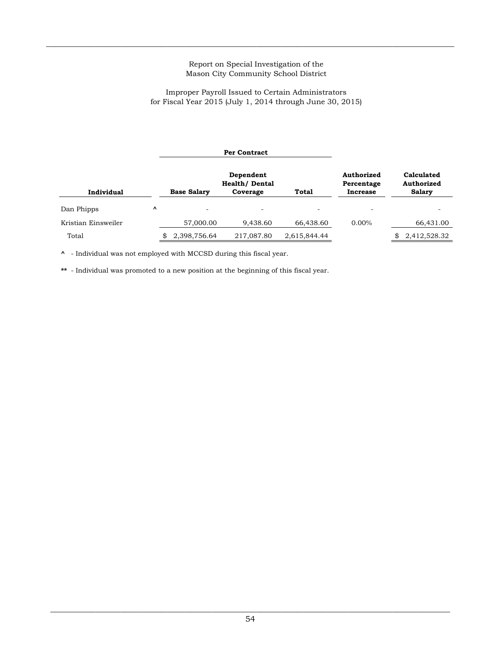$\_$  , and the state of the state of the state of the state of the state of the state of the state of the state of the state of the state of the state of the state of the state of the state of the state of the state of the

## for Fiscal Year 2015 (July 1, 2014 through June 30, 2015) Improper Payroll Issued to Certain Administrators

|                     |   |                    | <b>Per Contract</b>                |              |                          |                          |  |
|---------------------|---|--------------------|------------------------------------|--------------|--------------------------|--------------------------|--|
|                     |   |                    | Dependent<br><b>Health/ Dental</b> |              | Authorized<br>Percentage | Calculated<br>Authorized |  |
| Individual          |   | <b>Base Salary</b> | Coverage                           | <b>Total</b> | <b>Increase</b>          | <b>Salary</b>            |  |
| Dan Phipps          | V |                    | -                                  |              | -                        |                          |  |
| Kristian Einsweiler |   | 57,000.00          | 9,438.60                           | 66,438.60    | $0.00\%$                 | 66,431.00                |  |
| Total               |   | 2,398,756.64       | 217,087.80                         | 2,615,844.44 |                          | 2,412,528.32             |  |

**^** - Individual was not employed with MCCSD during this fiscal year.

**\*\*** - Individual was promoted to a new position at the beginning of this fiscal year.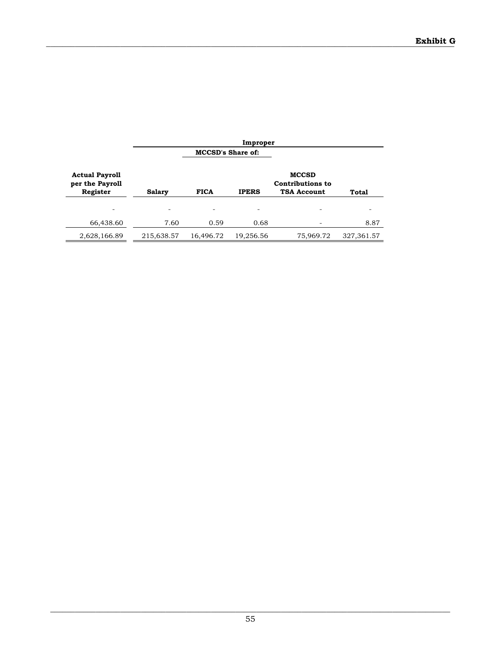|                                                      |               |                          | Improper     |                                                               |            |
|------------------------------------------------------|---------------|--------------------------|--------------|---------------------------------------------------------------|------------|
|                                                      |               | <b>MCCSD's Share of:</b> |              |                                                               |            |
| <b>Actual Payroll</b><br>per the Payroll<br>Register | <b>Salary</b> | <b>FICA</b>              | <b>IPERS</b> | <b>MCCSD</b><br><b>Contributions to</b><br><b>TSA Account</b> | Total      |
|                                                      |               |                          |              |                                                               |            |
| 66,438.60                                            | 7.60          | 0.59                     | 0.68         |                                                               | 8.87       |
| 2,628,166.89                                         | 215,638.57    | 16,496.72                | 19,256.56    | 75,969.72                                                     | 327,361.57 |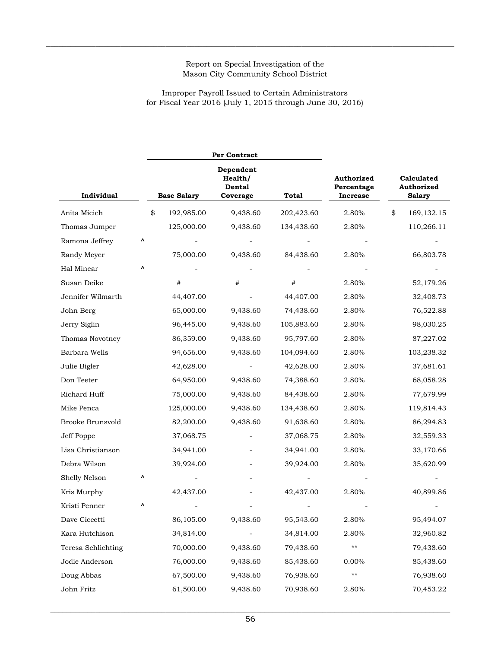$\_$  , and the state of the state of the state of the state of the state of the state of the state of the state of the state of the state of the state of the state of the state of the state of the state of the state of the

# for Fiscal Year 2016 (July 1, 2015 through June 30, 2016) Improper Payroll Issued to Certain Administrators

|                    |   |                    | <b>Per Contract</b>                        |              |                                             |                                           |
|--------------------|---|--------------------|--------------------------------------------|--------------|---------------------------------------------|-------------------------------------------|
| Individual         |   | <b>Base Salary</b> | Dependent<br>Health/<br>Dental<br>Coverage | <b>Total</b> | Authorized<br>Percentage<br><b>Increase</b> | Calculated<br>Authorized<br><b>Salary</b> |
| Anita Micich       |   | \$<br>192,985.00   | 9,438.60                                   | 202,423.60   | 2.80%                                       | \$<br>169, 132. 15                        |
| Thomas Jumper      |   | 125,000.00         | 9,438.60                                   | 134,438.60   | 2.80%                                       | 110,266.11                                |
| Ramona Jeffrey     | Λ |                    |                                            |              |                                             |                                           |
| Randy Meyer        |   | 75,000.00          | 9,438.60                                   | 84,438.60    | 2.80%                                       | 66,803.78                                 |
| Hal Minear         | ۸ |                    |                                            |              |                                             |                                           |
| Susan Deike        |   | #                  | #                                          | #            | 2.80%                                       | 52,179.26                                 |
| Jennifer Wilmarth  |   | 44,407.00          |                                            | 44,407.00    | 2.80%                                       | 32,408.73                                 |
| John Berg          |   | 65,000.00          | 9,438.60                                   | 74,438.60    | 2.80%                                       | 76,522.88                                 |
| Jerry Siglin       |   | 96,445.00          | 9,438.60                                   | 105,883.60   | 2.80%                                       | 98,030.25                                 |
| Thomas Novotney    |   | 86,359.00          | 9,438.60                                   | 95,797.60    | 2.80%                                       | 87,227.02                                 |
| Barbara Wells      |   | 94,656.00          | 9,438.60                                   | 104,094.60   | 2.80%                                       | 103,238.32                                |
| Julie Bigler       |   | 42,628.00          |                                            | 42,628.00    | 2.80%                                       | 37,681.61                                 |
| Don Teeter         |   | 64,950.00          | 9,438.60                                   | 74,388.60    | 2.80%                                       | 68,058.28                                 |
| Richard Huff       |   | 75,000.00          | 9,438.60                                   | 84,438.60    | 2.80%                                       | 77,679.99                                 |
| Mike Penca         |   | 125,000.00         | 9,438.60                                   | 134,438.60   | 2.80%                                       | 119,814.43                                |
| Brooke Brunsvold   |   | 82,200.00          | 9,438.60                                   | 91,638.60    | 2.80%                                       | 86,294.83                                 |
| Jeff Poppe         |   | 37,068.75          |                                            | 37,068.75    | 2.80%                                       | 32,559.33                                 |
| Lisa Christianson  |   | 34,941.00          |                                            | 34,941.00    | 2.80%                                       | 33,170.66                                 |
| Debra Wilson       |   | 39,924.00          |                                            | 39,924.00    | 2.80%                                       | 35,620.99                                 |
| Shelly Nelson      | ۸ |                    |                                            |              |                                             |                                           |
| Kris Murphy        |   | 42,437.00          |                                            | 42,437.00    | 2.80%                                       | 40,899.86                                 |
| Kristi Penner      |   |                    |                                            |              |                                             |                                           |
| Dave Ciccetti      |   | 86,105.00          | 9,438.60                                   | 95,543.60    | 2.80%                                       | 95,494.07                                 |
| Kara Hutchison     |   | 34,814.00          |                                            | 34,814.00    | 2.80%                                       | 32,960.82                                 |
| Teresa Schlichting |   | 70,000.00          | 9,438.60                                   | 79,438.60    | $***$                                       | 79,438.60                                 |
| Jodie Anderson     |   | 76,000.00          | 9,438.60                                   | 85,438.60    | 0.00%                                       | 85,438.60                                 |
| Doug Abbas         |   | 67,500.00          | 9,438.60                                   | 76,938.60    | $***$                                       | 76,938.60                                 |
| John Fritz         |   | 61,500.00          | 9,438.60                                   | 70,938.60    | 2.80%                                       | 70,453.22                                 |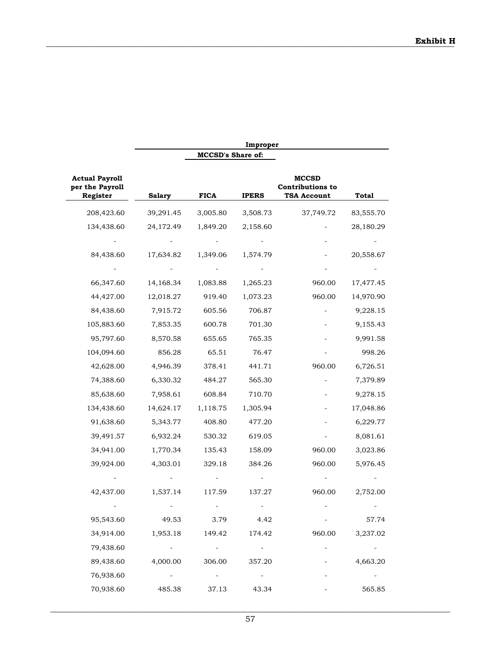|                                                      |               |                          | Improper        |                                                               |           |
|------------------------------------------------------|---------------|--------------------------|-----------------|---------------------------------------------------------------|-----------|
|                                                      |               | <b>MCCSD's Share of:</b> |                 |                                                               |           |
| <b>Actual Payroll</b><br>per the Payroll<br>Register | <b>Salary</b> | <b>FICA</b>              | <b>IPERS</b>    | <b>MCCSD</b><br><b>Contributions to</b><br><b>TSA Account</b> | Total     |
| 208,423.60                                           | 39,291.45     | 3,005.80                 | 3,508.73        | 37,749.72                                                     | 83,555.70 |
| 134,438.60                                           | 24,172.49     | 1,849.20                 | 2,158.60        |                                                               | 28,180.29 |
|                                                      |               |                          |                 |                                                               |           |
| 84,438.60                                            | 17,634.82     | 1,349.06                 | 1,574.79        |                                                               | 20,558.67 |
|                                                      |               |                          |                 |                                                               |           |
| 66,347.60                                            | 14,168.34     | 1,083.88                 | 1,265.23        | 960.00                                                        | 17,477.45 |
| 44,427.00                                            | 12,018.27     | 919.40                   | 1,073.23        | 960.00                                                        | 14,970.90 |
| 84,438.60                                            | 7,915.72      | 605.56                   | 706.87          |                                                               | 9,228.15  |
| 105,883.60                                           | 7,853.35      | 600.78                   | 701.30          |                                                               | 9,155.43  |
| 95,797.60                                            | 8,570.58      | 655.65                   | 765.35          |                                                               | 9,991.58  |
| 104,094.60                                           | 856.28        | 65.51                    | 76.47           |                                                               | 998.26    |
| 42,628.00                                            | 4,946.39      | 378.41                   | 441.71          | 960.00                                                        | 6,726.51  |
| 74,388.60                                            | 6,330.32      | 484.27                   | 565.30          |                                                               | 7,379.89  |
| 85,638.60                                            | 7,958.61      | 608.84                   | 710.70          |                                                               | 9,278.15  |
| 134,438.60                                           | 14,624.17     | 1,118.75                 | 1,305.94        |                                                               | 17,048.86 |
| 91,638.60                                            | 5,343.77      | 408.80                   | 477.20          |                                                               | 6,229.77  |
| 39,491.57                                            | 6,932.24      | 530.32                   | 619.05          |                                                               | 8,081.61  |
| 34,941.00                                            | 1,770.34      | 135.43                   | 158.09          | 960.00                                                        | 3,023.86  |
| 39,924.00                                            | 4,303.01      | 329.18                   | 384.26          | 960.00                                                        | 5,976.45  |
|                                                      |               |                          |                 |                                                               |           |
| 42,437.00                                            | 1,537.14      | 117.59                   | 137.27          | 960.00                                                        | 2,752.00  |
|                                                      |               |                          |                 |                                                               |           |
| 95,543.60                                            | 49.53         | 3.79                     | 4.42            |                                                               | 57.74     |
| 34,914.00                                            | 1,953.18      | 149.42                   | 174.42          | 960.00                                                        | 3,237.02  |
| 79,438.60                                            | $\sim 100$    | <b>Contract Contract</b> | $\frac{1}{2}$ . |                                                               | $\equiv$  |
| 89,438.60                                            | 4,000.00      | 306.00                   | 357.20          |                                                               | 4,663.20  |
| 76,938.60                                            | $\sim$        | $\sim$ $ \sim$           | $\sim$ $ \sim$  |                                                               |           |
| 70,938.60                                            | 485.38        | 37.13                    | 43.34           |                                                               | 565.85    |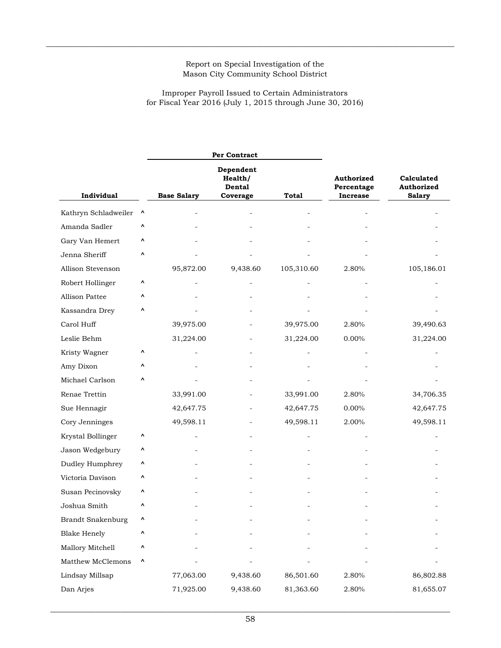$\_$  , and the state of the state of the state of the state of the state of the state of the state of the state of the state of the state of the state of the state of the state of the state of the state of the state of the

for Fiscal Year 2016 (July 1, 2015 through June 30, 2016) Improper Payroll Issued to Certain Administrators

|                          |           |                                                               | Per Contract |            |                                             |                                           |
|--------------------------|-----------|---------------------------------------------------------------|--------------|------------|---------------------------------------------|-------------------------------------------|
|                          |           | Dependent<br>Health/<br>Dental<br><b>Base Salary</b><br>Total |              |            | Authorized<br>Percentage<br><b>Increase</b> | Calculated<br>Authorized<br><b>Salary</b> |
| Individual               |           |                                                               | Coverage     |            |                                             |                                           |
| Kathryn Schladweiler     | $\lambda$ |                                                               |              |            |                                             |                                           |
| Amanda Sadler            | ۸         |                                                               |              |            |                                             |                                           |
| Gary Van Hemert          | ۸         |                                                               |              |            |                                             |                                           |
| Jenna Sheriff            | ۸         |                                                               |              |            |                                             |                                           |
| Allison Stevenson        |           | 95,872.00                                                     | 9,438.60     | 105,310.60 | 2.80%                                       | 105,186.01                                |
| Robert Hollinger         | ٨         |                                                               |              |            |                                             |                                           |
| Allison Pattee           | ٨         |                                                               |              |            |                                             |                                           |
| Kassandra Drey           | ۸         |                                                               |              |            |                                             |                                           |
| Carol Huff               |           | 39,975.00                                                     |              | 39,975.00  | 2.80%                                       | 39,490.63                                 |
| Leslie Behm              |           | 31,224.00                                                     |              | 31,224.00  | 0.00%                                       | 31,224.00                                 |
| Kristy Wagner            | ۸         |                                                               |              |            |                                             |                                           |
| Amy Dixon                | Λ         |                                                               |              |            |                                             |                                           |
| Michael Carlson          | ۸         |                                                               |              |            |                                             |                                           |
| Renae Trettin            |           | 33,991.00                                                     |              | 33,991.00  | 2.80%                                       | 34,706.35                                 |
| Sue Hennagir             |           | 42,647.75                                                     |              | 42,647.75  | $0.00\%$                                    | 42,647.75                                 |
| Cory Jenninges           |           | 49,598.11                                                     |              | 49,598.11  | 2.00%                                       | 49,598.11                                 |
| Krystal Bollinger        | ۸         |                                                               |              |            |                                             |                                           |
| Jason Wedgebury          | ۸         |                                                               |              |            |                                             |                                           |
| Dudley Humphrey          | ۸         |                                                               |              |            |                                             |                                           |
| Victoria Davison         | ۸         |                                                               |              |            |                                             |                                           |
| Susan Pecinovsky         | ۸         |                                                               |              |            |                                             |                                           |
| Joshua Smith             | ۸         |                                                               |              |            |                                             |                                           |
| <b>Brandt Snakenburg</b> |           |                                                               |              |            |                                             |                                           |
| <b>Blake Henely</b>      | ۸         |                                                               |              |            |                                             |                                           |
| Mallory Mitchell         | ۸         |                                                               |              |            |                                             |                                           |
| Matthew McClemons        | ٨         |                                                               |              |            |                                             |                                           |
| Lindsay Millsap          |           | 77,063.00                                                     | 9,438.60     | 86,501.60  | 2.80%                                       | 86,802.88                                 |
| Dan Arjes                |           | 71,925.00                                                     | 9,438.60     | 81,363.60  | 2.80%                                       | 81,655.07                                 |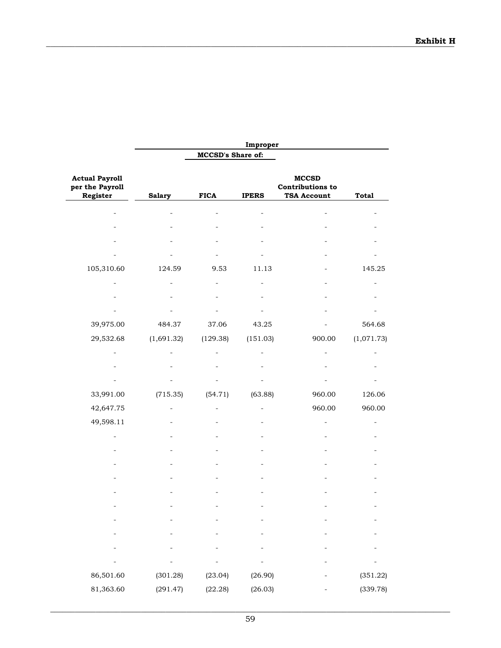|                                                      |               |                          | Improper     |                                                               |              |
|------------------------------------------------------|---------------|--------------------------|--------------|---------------------------------------------------------------|--------------|
|                                                      |               | <b>MCCSD's Share of:</b> |              |                                                               |              |
| <b>Actual Payroll</b><br>per the Payroll<br>Register | <b>Salary</b> | <b>FICA</b>              | <b>IPERS</b> | <b>MCCSD</b><br><b>Contributions to</b><br><b>TSA Account</b> | <b>Total</b> |
|                                                      |               |                          |              |                                                               |              |
|                                                      |               |                          |              |                                                               |              |
|                                                      |               |                          |              |                                                               |              |
|                                                      |               |                          |              |                                                               |              |
| 105,310.60                                           | 124.59        | 9.53                     | 11.13        |                                                               | 145.25       |
|                                                      |               |                          |              |                                                               |              |
|                                                      |               |                          |              |                                                               |              |
|                                                      |               |                          |              |                                                               |              |
| 39,975.00                                            | 484.37        | 37.06                    | 43.25        |                                                               | 564.68       |
| 29,532.68                                            | (1,691.32)    | (129.38)                 | (151.03)     | 900.00                                                        | (1,071.73)   |
|                                                      |               |                          |              |                                                               |              |
|                                                      |               |                          |              |                                                               |              |
|                                                      |               |                          |              |                                                               |              |
| 33,991.00                                            | (715.35)      | (54.71)                  | (63.88)      | 960.00                                                        | 126.06       |
| 42,647.75                                            |               |                          |              | 960.00                                                        | 960.00       |
| 49,598.11                                            |               |                          |              |                                                               |              |
|                                                      |               |                          |              |                                                               |              |
|                                                      |               |                          |              |                                                               |              |
|                                                      |               |                          |              |                                                               |              |
|                                                      |               |                          |              |                                                               |              |
|                                                      |               |                          |              |                                                               |              |
|                                                      |               |                          |              |                                                               |              |
|                                                      |               |                          |              |                                                               |              |
|                                                      |               |                          |              |                                                               |              |
|                                                      |               |                          |              |                                                               |              |
|                                                      |               |                          |              |                                                               |              |
| 86,501.60                                            | (301.28)      | (23.04)                  | (26.90)      |                                                               | (351.22)     |
| 81,363.60                                            | (291.47)      | (22.28)                  | (26.03)      |                                                               | (339.78)     |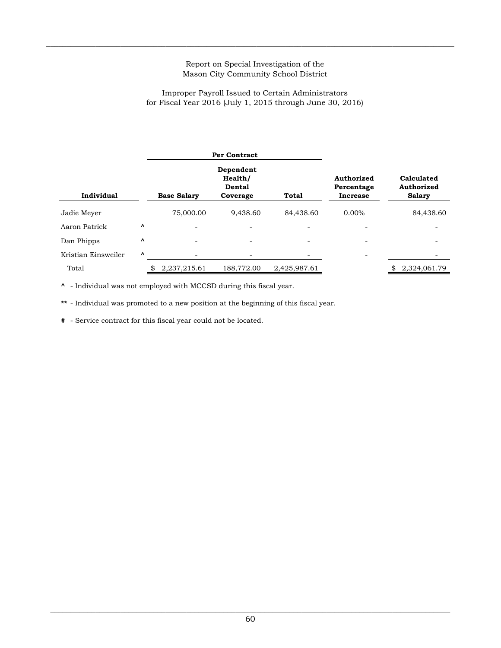$\_$  , and the state of the state of the state of the state of the state of the state of the state of the state of the state of the state of the state of the state of the state of the state of the state of the state of the

#### for Fiscal Year 2016 (July 1, 2015 through June 30, 2016) Improper Payroll Issued to Certain Administrators

|                     | <b>Per Contract</b> |                          |                                            |              |                                             |                                           |  |
|---------------------|---------------------|--------------------------|--------------------------------------------|--------------|---------------------------------------------|-------------------------------------------|--|
| Individual          |                     | <b>Base Salary</b>       | Dependent<br>Health/<br>Dental<br>Coverage | <b>Total</b> | <b>Authorized</b><br>Percentage<br>Increase | Calculated<br>Authorized<br><b>Salary</b> |  |
| Jadie Meyer         |                     | 75,000.00                | 9,438.60                                   | 84,438.60    | $0.00\%$                                    | 84,438.60                                 |  |
| Aaron Patrick       | $\lambda$           | $\overline{\phantom{0}}$ |                                            |              |                                             |                                           |  |
| Dan Phipps          | Λ                   |                          |                                            |              |                                             |                                           |  |
| Kristian Einsweiler | $\hat{\phantom{a}}$ |                          |                                            |              |                                             |                                           |  |
| Total               |                     | 2,237,215.61             | 188,772.00                                 | 2,425,987.61 |                                             | 2,324,061.79                              |  |

**^** - Individual was not employed with MCCSD during this fiscal year.

**\*\*** - Individual was promoted to a new position at the beginning of this fiscal year.

**#** - Service contract for this fiscal year could not be located.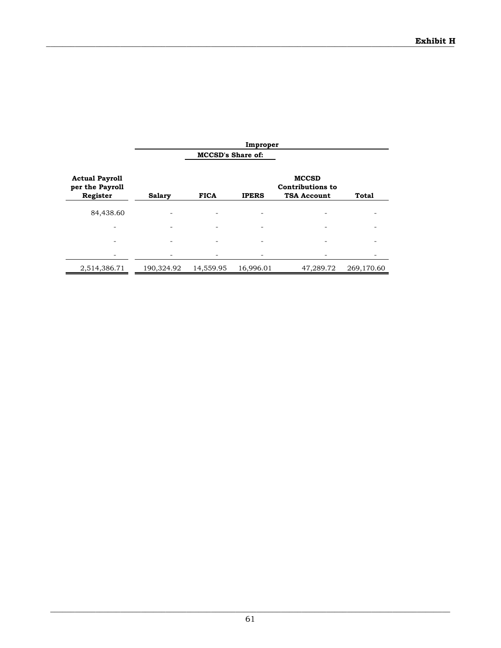|                                                      | Improper      |                          |              |                                                               |              |  |
|------------------------------------------------------|---------------|--------------------------|--------------|---------------------------------------------------------------|--------------|--|
|                                                      |               | <b>MCCSD's Share of:</b> |              |                                                               |              |  |
| <b>Actual Payroll</b><br>per the Payroll<br>Register | <b>Salary</b> | <b>FICA</b>              | <b>IPERS</b> | <b>MCCSD</b><br><b>Contributions to</b><br><b>TSA Account</b> | <b>Total</b> |  |
| 84,438.60                                            |               |                          |              |                                                               |              |  |
|                                                      |               |                          |              |                                                               |              |  |
|                                                      |               |                          |              |                                                               |              |  |
|                                                      |               |                          |              |                                                               |              |  |
| 2,514,386.71                                         | 190,324.92    | 14,559.95                | 16,996.01    | 47,289.72                                                     | 269,170.60   |  |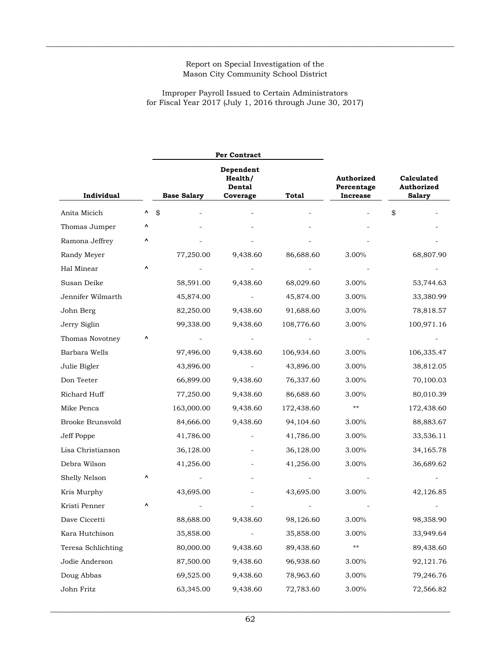$\_$  , and the state of the state of the state of the state of the state of the state of the state of the state of the state of the state of the state of the state of the state of the state of the state of the state of the

# Improper Payroll Issued to Certain Administrators for Fiscal Year 2017 (July 1, 2016 through June 30, 2017)

|                         |   |                    | Per Contract                               |              |                                                                                          |            |
|-------------------------|---|--------------------|--------------------------------------------|--------------|------------------------------------------------------------------------------------------|------------|
| Individual              |   | <b>Base Salary</b> | Dependent<br>Health/<br>Dental<br>Coverage | <b>Total</b> | Calculated<br>Authorized<br>Authorized<br>Percentage<br><b>Increase</b><br><b>Salary</b> |            |
| Anita Micich            | ۸ | \$                 |                                            |              |                                                                                          | \$         |
| Thomas Jumper           | ۸ |                    |                                            |              |                                                                                          |            |
| Ramona Jeffrey          |   |                    |                                            |              |                                                                                          |            |
| Randy Meyer             |   | 77,250.00          | 9,438.60                                   | 86,688.60    | 3.00%                                                                                    | 68,807.90  |
| Hal Minear              | ۸ |                    |                                            |              |                                                                                          |            |
| Susan Deike             |   | 58,591.00          | 9,438.60                                   | 68,029.60    | 3.00%                                                                                    | 53,744.63  |
| Jennifer Wilmarth       |   | 45,874.00          |                                            | 45,874.00    | 3.00%                                                                                    | 33,380.99  |
| John Berg               |   | 82,250.00          | 9,438.60                                   | 91,688.60    | 3.00%                                                                                    | 78,818.57  |
| Jerry Siglin            |   | 99,338.00          | 9,438.60                                   | 108,776.60   | 3.00%                                                                                    | 100,971.16 |
| Thomas Novotney         | Λ |                    |                                            |              |                                                                                          |            |
| Barbara Wells           |   | 97,496.00          | 9,438.60                                   | 106,934.60   | 3.00%                                                                                    | 106,335.47 |
| Julie Bigler            |   | 43,896.00          |                                            | 43,896.00    | 3.00%                                                                                    | 38,812.05  |
| Don Teeter              |   | 66,899.00          | 9,438.60                                   | 76,337.60    | 3.00%                                                                                    | 70,100.03  |
| Richard Huff            |   | 77,250.00          | 9,438.60                                   | 86,688.60    | 3.00%                                                                                    | 80,010.39  |
| Mike Penca              |   | 163,000.00         | 9,438.60                                   | 172,438.60   | **                                                                                       | 172,438.60 |
| <b>Brooke Brunsvold</b> |   | 84,666.00          | 9,438.60                                   | 94,104.60    | 3.00%                                                                                    | 88,883.67  |
| Jeff Poppe              |   | 41,786.00          |                                            | 41,786.00    | 3.00%                                                                                    | 33,536.11  |
| Lisa Christianson       |   | 36,128.00          |                                            | 36,128.00    | 3.00%                                                                                    | 34,165.78  |
| Debra Wilson            |   | 41,256.00          |                                            | 41,256.00    | 3.00%                                                                                    | 36,689.62  |
| Shelly Nelson           | ^ |                    |                                            |              |                                                                                          |            |
| Kris Murphy             |   | 43,695.00          |                                            | 43,695.00    | 3.00%                                                                                    | 42,126.85  |
| Kristi Penner           |   |                    |                                            |              |                                                                                          |            |
| Dave Ciccetti           |   | 88,688.00          | 9,438.60                                   | 98,126.60    | 3.00%                                                                                    | 98,358.90  |
| Kara Hutchison          |   | 35,858.00          |                                            | 35,858.00    | 3.00%                                                                                    | 33,949.64  |
| Teresa Schlichting      |   | 80,000.00          | 9,438.60                                   | 89,438.60    | **                                                                                       | 89,438.60  |
| Jodie Anderson          |   | 87,500.00          | 9,438.60                                   | 96,938.60    | 3.00%                                                                                    | 92,121.76  |
| Doug Abbas              |   | 69,525.00          | 9,438.60                                   | 78,963.60    | 3.00%                                                                                    | 79,246.76  |
| John Fritz              |   | 63,345.00          | 9,438.60                                   | 72,783.60    | 3.00%                                                                                    | 72,566.82  |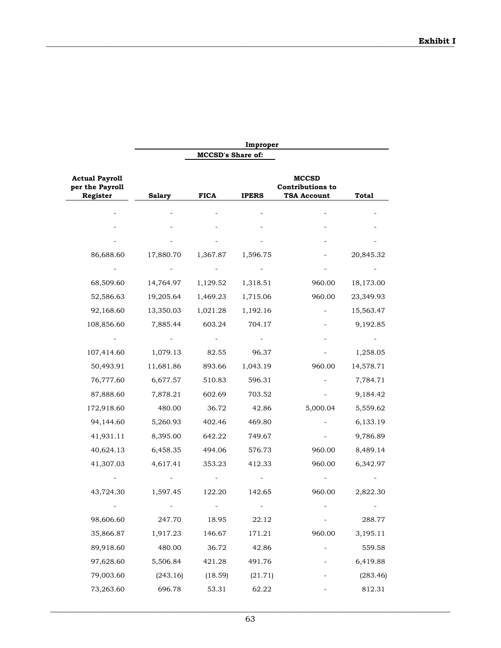|                                                      |               |                          | Improper     |                                                               |              |
|------------------------------------------------------|---------------|--------------------------|--------------|---------------------------------------------------------------|--------------|
|                                                      |               | <b>MCCSD's Share of:</b> |              |                                                               |              |
| <b>Actual Payroll</b><br>per the Payroll<br>Register | <b>Salary</b> | <b>FICA</b>              | <b>IPERS</b> | <b>MCCSD</b><br><b>Contributions to</b><br><b>TSA Account</b> | <b>Total</b> |
|                                                      |               |                          |              |                                                               |              |
|                                                      |               |                          |              |                                                               |              |
|                                                      |               |                          |              |                                                               |              |
| 86,688.60                                            | 17,880.70     | 1,367.87                 | 1,596.75     |                                                               | 20,845.32    |
|                                                      |               |                          |              |                                                               |              |
| 68,509.60                                            | 14,764.97     | 1,129.52                 | 1,318.51     | 960.00                                                        | 18,173.00    |
| 52,586.63                                            | 19,205.64     | 1,469.23                 | 1,715.06     | 960.00                                                        | 23,349.93    |
| 92,168.60                                            | 13,350.03     | 1,021.28                 | 1,192.16     |                                                               | 15,563.47    |
| 108,856.60                                           | 7,885.44      | 603.24                   | 704.17       |                                                               | 9,192.85     |
|                                                      |               |                          |              |                                                               |              |
| 107,414.60                                           | 1,079.13      | 82.55                    | 96.37        |                                                               | 1,258.05     |
| 50,493.91                                            | 11,681.86     | 893.66                   | 1,043.19     | 960.00                                                        | 14,578.71    |
| 76,777.60                                            | 6,677.57      | 510.83                   | 596.31       |                                                               | 7,784.71     |
| 87,888.60                                            | 7,878.21      | 602.69                   | 703.52       |                                                               | 9,184.42     |
| 172,918.60                                           | 480.00        | 36.72                    | 42.86        | 5,000.04                                                      | 5,559.62     |
| 94,144.60                                            | 5,260.93      | 402.46                   | 469.80       |                                                               | 6,133.19     |
| 41,931.11                                            | 8,395.00      | 642.22                   | 749.67       |                                                               | 9,786.89     |
| 40,624.13                                            | 6,458.35      | 494.06                   | 576.73       | 960.00                                                        | 8,489.14     |
| 41,307.03                                            | 4,617.41      | 353.23                   | 412.33       | 960.00                                                        | 6,342.97     |
|                                                      |               |                          |              |                                                               |              |
| 43,724.30                                            | 1,597.45      | 122.20                   | 142.65       | 960.00                                                        | 2,822.30     |
|                                                      |               |                          |              |                                                               |              |
| 98,606.60                                            | 247.70        | 18.95                    | 22.12        |                                                               | 288.77       |
| 35,866.87                                            | 1,917.23      | 146.67                   | 171.21       | 960.00                                                        | 3,195.11     |
| 89,918.60                                            | 480.00        | 36.72                    | 42.86        |                                                               | 559.58       |
| 97,628.60                                            | 5,506.84      | 421.28                   | 491.76       |                                                               | 6,419.88     |
| 79,003.60                                            | (243.16)      | (18.59)                  | (21.71)      |                                                               | (283.46)     |
| 73,263.60                                            | 696.78        | 53.31                    | 62.22        |                                                               | 812.31       |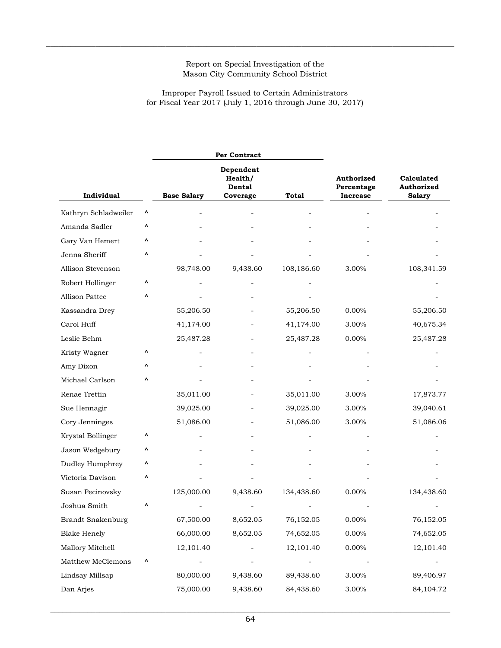$\_$  , and the state of the state of the state of the state of the state of the state of the state of the state of the state of the state of the state of the state of the state of the state of the state of the state of the

Improper Payroll Issued to Certain Administrators for Fiscal Year 2017 (July 1, 2016 through June 30, 2017)

|                          |   |                    | <b>Per Contract</b>                        |              |                                             |            |
|--------------------------|---|--------------------|--------------------------------------------|--------------|---------------------------------------------|------------|
| Individual               |   | <b>Base Salary</b> | Dependent<br>Health/<br>Dental<br>Coverage | <b>Total</b> | Authorized<br>Percentage<br><b>Increase</b> |            |
| Kathryn Schladweiler     | ۸ |                    |                                            |              |                                             |            |
| Amanda Sadler            | ۸ |                    |                                            |              |                                             |            |
| Gary Van Hemert          | ۸ |                    |                                            |              |                                             |            |
| Jenna Sheriff            | ۸ |                    |                                            |              |                                             |            |
| Allison Stevenson        |   | 98,748.00          | 9,438.60                                   | 108,186.60   | 3.00%                                       | 108,341.59 |
| Robert Hollinger         | ۸ |                    |                                            |              |                                             |            |
| Allison Pattee           | ۸ |                    |                                            |              |                                             |            |
| Kassandra Drey           |   | 55,206.50          |                                            | 55,206.50    | $0.00\%$                                    | 55,206.50  |
| Carol Huff               |   | 41,174.00          |                                            | 41,174.00    | 3.00%                                       | 40,675.34  |
| Leslie Behm              |   | 25,487.28          |                                            | 25,487.28    | 0.00%                                       | 25,487.28  |
| Kristy Wagner            | ۸ |                    |                                            |              |                                             |            |
| Amy Dixon                | ۸ |                    |                                            |              |                                             |            |
| Michael Carlson          | ۸ |                    |                                            |              |                                             |            |
| Renae Trettin            |   | 35,011.00          |                                            | 35,011.00    | 3.00%                                       | 17,873.77  |
| Sue Hennagir             |   | 39,025.00          |                                            | 39,025.00    | 3.00%                                       | 39,040.61  |
| Cory Jenninges           |   | 51,086.00          |                                            | 51,086.00    | 3.00%                                       | 51,086.06  |
| Krystal Bollinger        | ۸ |                    |                                            |              |                                             |            |
| Jason Wedgebury          | ۸ |                    |                                            |              |                                             |            |
| Dudley Humphrey          | ۸ |                    |                                            |              |                                             |            |
| Victoria Davison         | ۸ |                    |                                            |              |                                             |            |
| Susan Pecinovsky         |   | 125,000.00         | 9,438.60                                   | 134,438.60   | 0.00%                                       | 134,438.60 |
| Joshua Smith             |   |                    |                                            |              |                                             |            |
| <b>Brandt Snakenburg</b> |   | 67,500.00          | 8,652.05                                   | 76,152.05    | $0.00\%$                                    | 76,152.05  |
| <b>Blake Henely</b>      |   | 66,000.00          | 8,652.05                                   | 74,652.05    | $0.00\%$                                    | 74,652.05  |
| Mallory Mitchell         |   | 12,101.40          |                                            | 12,101.40    | $0.00\%$                                    | 12,101.40  |
| Matthew McClemons        | ۸ |                    | $\qquad \qquad -$                          |              |                                             |            |
| Lindsay Millsap          |   | 80,000.00          | 9,438.60                                   | 89,438.60    | 3.00%                                       | 89,406.97  |
| Dan Arjes                |   | 75,000.00          | 9,438.60                                   | 84,438.60    | 3.00%                                       | 84,104.72  |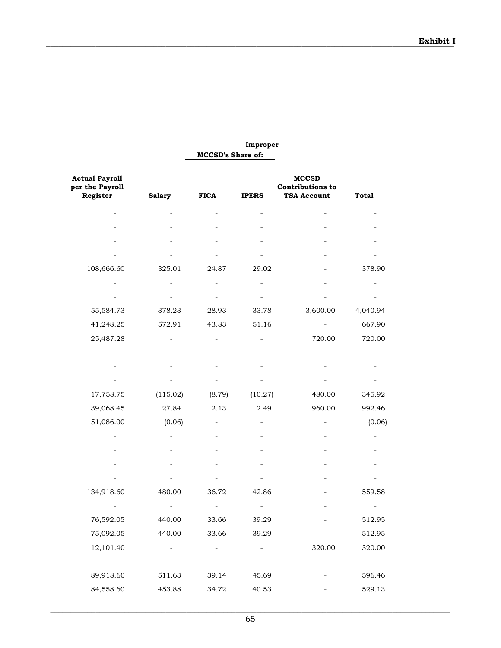|                                                                     |                          |                          | Improper                 |                                                               |                 |
|---------------------------------------------------------------------|--------------------------|--------------------------|--------------------------|---------------------------------------------------------------|-----------------|
|                                                                     |                          | <b>MCCSD's Share of:</b> |                          |                                                               |                 |
| <b>Actual Payroll</b><br>per the Payroll<br>Register                | <b>Salary</b>            | <b>FICA</b>              | <b>IPERS</b>             | <b>MCCSD</b><br><b>Contributions to</b><br><b>TSA Account</b> | <b>Total</b>    |
|                                                                     |                          |                          |                          |                                                               |                 |
|                                                                     |                          |                          |                          |                                                               |                 |
|                                                                     |                          |                          |                          |                                                               |                 |
|                                                                     |                          |                          |                          |                                                               |                 |
| 108,666.60                                                          | 325.01                   | 24.87                    | 29.02                    |                                                               | 378.90          |
|                                                                     |                          |                          |                          |                                                               |                 |
|                                                                     |                          |                          |                          |                                                               |                 |
| 55,584.73                                                           | 378.23                   | 28.93                    | 33.78                    | 3,600.00                                                      | 4,040.94        |
| 41,248.25                                                           | 572.91                   | 43.83                    | 51.16                    |                                                               | 667.90          |
| 25,487.28                                                           |                          |                          |                          | 720.00                                                        | 720.00          |
|                                                                     |                          |                          |                          |                                                               |                 |
|                                                                     |                          |                          |                          |                                                               |                 |
|                                                                     |                          |                          |                          |                                                               |                 |
| 17,758.75                                                           | (115.02)                 | (8.79)                   | (10.27)                  | 480.00                                                        | 345.92          |
| 39,068.45                                                           | 27.84                    | 2.13                     | 2.49                     | 960.00                                                        | 992.46          |
| 51,086.00                                                           | (0.06)                   |                          |                          |                                                               | (0.06)          |
|                                                                     |                          |                          |                          |                                                               |                 |
|                                                                     |                          |                          |                          |                                                               |                 |
|                                                                     |                          |                          |                          |                                                               |                 |
|                                                                     |                          |                          |                          |                                                               |                 |
| 134,918.60                                                          | 480.00                   | 36.72                    | 42.86                    |                                                               | 559.58          |
|                                                                     |                          |                          |                          |                                                               |                 |
| 76,592.05                                                           | 440.00                   | 33.66                    | 39.29                    |                                                               | 512.95          |
| 75,092.05                                                           | 440.00                   | 33.66                    | 39.29                    |                                                               | 512.95          |
| 12,101.40                                                           | $\overline{\phantom{a}}$ | $\overline{\phantom{a}}$ | $\overline{\phantom{0}}$ | 320.00                                                        | 320.00          |
| $\mathcal{L}^{\mathcal{L}}(\mathcal{L}^{\mathcal{L}}(\mathcal{L}))$ |                          |                          | $\frac{1}{2}$            |                                                               | $\sim 10^{-10}$ |
| 89,918.60                                                           | 511.63                   | 39.14                    | 45.69                    |                                                               | 596.46          |
| 84,558.60                                                           | 453.88                   | 34.72                    | 40.53                    |                                                               | 529.13          |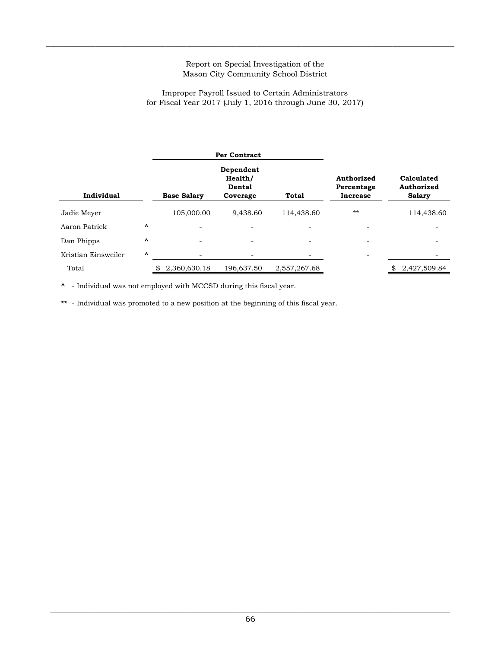$\_$  , and the state of the state of the state of the state of the state of the state of the state of the state of the state of the state of the state of the state of the state of the state of the state of the state of the

#### Improper Payroll Issued to Certain Administrators for Fiscal Year 2017 (July 1, 2016 through June 30, 2017)

|                     |          |                    | <b>Per Contract</b>                        |              |                                             |                                           |
|---------------------|----------|--------------------|--------------------------------------------|--------------|---------------------------------------------|-------------------------------------------|
| Individual          |          | <b>Base Salary</b> | Dependent<br>Health/<br>Dental<br>Coverage | Total        | Authorized<br>Percentage<br><b>Increase</b> | Calculated<br>Authorized<br><b>Salary</b> |
| Jadie Meyer         |          | 105,000.00         | 9.438.60                                   | 114,438.60   | $**$                                        | 114,438.60                                |
| Aaron Patrick       | $\hat{}$ | -                  |                                            |              |                                             |                                           |
| Dan Phipps          | Λ        |                    | $\overline{\phantom{0}}$                   |              |                                             |                                           |
| Kristian Einsweiler | ۸        |                    |                                            |              |                                             |                                           |
| Total               |          | 2,360,630.18       | 196,637.50                                 | 2,557,267.68 |                                             | 2,427,509.84                              |

**^** - Individual was not employed with MCCSD during this fiscal year.

**\*\*** - Individual was promoted to a new position at the beginning of this fiscal year.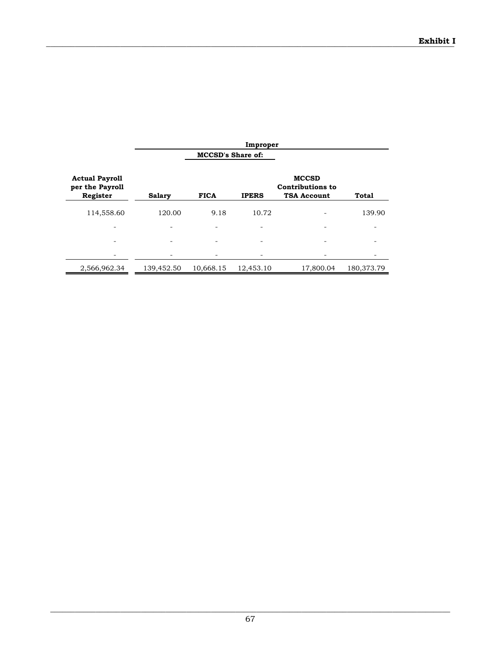|                                                      |               |                          | Improper     |                                                               |            |
|------------------------------------------------------|---------------|--------------------------|--------------|---------------------------------------------------------------|------------|
|                                                      |               | <b>MCCSD's Share of:</b> |              |                                                               |            |
| <b>Actual Payroll</b><br>per the Payroll<br>Register | <b>Salary</b> | <b>FICA</b>              | <b>IPERS</b> | <b>MCCSD</b><br><b>Contributions to</b><br><b>TSA Account</b> | Total      |
| 114,558.60                                           | 120.00        | 9.18                     | 10.72        |                                                               | 139.90     |
|                                                      |               |                          |              |                                                               |            |
|                                                      |               |                          |              |                                                               |            |
|                                                      |               |                          |              |                                                               |            |
| 2,566,962.34                                         | 139,452.50    | 10,668.15                | 12,453.10    | 17,800.04                                                     | 180,373.79 |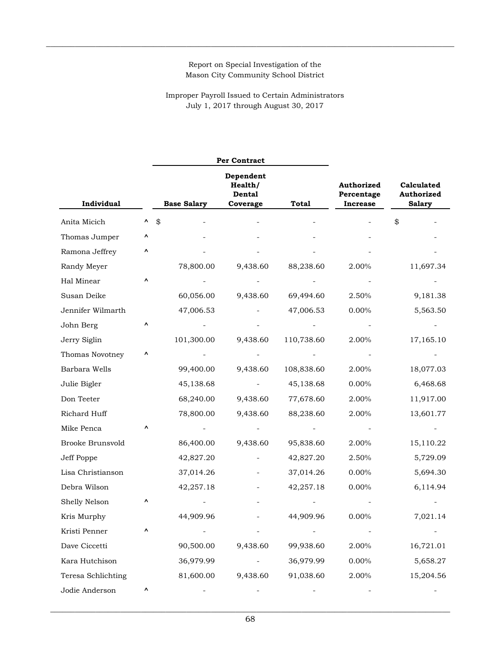$\_$  , and the state of the state of the state of the state of the state of the state of the state of the state of the state of the state of the state of the state of the state of the state of the state of the state of the

Improper Payroll Issued to Certain Administrators July 1, 2017 through August 30, 2017

|                    |   |                                                                  | Per Contract |              |                                                    |                                           |  |
|--------------------|---|------------------------------------------------------------------|--------------|--------------|----------------------------------------------------|-------------------------------------------|--|
| <b>Individual</b>  |   | Dependent<br>Health/<br>Dental<br><b>Base Salary</b><br>Coverage |              | <b>Total</b> | <b>Authorized</b><br>Percentage<br><b>Increase</b> | Calculated<br>Authorized<br><b>Salary</b> |  |
| Anita Micich       | ۸ | \$                                                               |              |              |                                                    | \$                                        |  |
| Thomas Jumper      | ٨ |                                                                  |              |              |                                                    |                                           |  |
| Ramona Jeffrey     | ۸ |                                                                  |              |              |                                                    |                                           |  |
| Randy Meyer        |   | 78,800.00                                                        | 9,438.60     | 88,238.60    | 2.00%                                              | 11,697.34                                 |  |
| Hal Minear         | ۸ |                                                                  |              |              |                                                    |                                           |  |
| Susan Deike        |   | 60,056.00                                                        | 9,438.60     | 69,494.60    | 2.50%                                              | 9,181.38                                  |  |
| Jennifer Wilmarth  |   | 47,006.53                                                        |              | 47,006.53    | 0.00%                                              | 5,563.50                                  |  |
| John Berg          | ۸ |                                                                  |              |              |                                                    |                                           |  |
| Jerry Siglin       |   | 101,300.00                                                       | 9,438.60     | 110,738.60   | 2.00%                                              | 17,165.10                                 |  |
| Thomas Novotney    | Λ |                                                                  |              |              |                                                    |                                           |  |
| Barbara Wells      |   | 99,400.00                                                        | 9,438.60     | 108,838.60   | 2.00%                                              | 18,077.03                                 |  |
| Julie Bigler       |   | 45,138.68                                                        |              | 45,138.68    | 0.00%                                              | 6,468.68                                  |  |
| Don Teeter         |   | 68,240.00                                                        | 9,438.60     | 77,678.60    | 2.00%                                              | 11,917.00                                 |  |
| Richard Huff       |   | 78,800.00                                                        | 9,438.60     | 88,238.60    | 2.00%                                              | 13,601.77                                 |  |
| Mike Penca         | ۸ |                                                                  |              |              |                                                    |                                           |  |
| Brooke Brunsvold   |   | 86,400.00                                                        | 9,438.60     | 95,838.60    | 2.00%                                              | 15,110.22                                 |  |
| Jeff Poppe         |   | 42,827.20                                                        |              | 42,827.20    | 2.50%                                              | 5,729.09                                  |  |
| Lisa Christianson  |   | 37,014.26                                                        |              | 37,014.26    | 0.00%                                              | 5,694.30                                  |  |
| Debra Wilson       |   | 42,257.18                                                        |              | 42,257.18    | $0.00\%$                                           | 6,114.94                                  |  |
| Shelly Nelson      | ۸ |                                                                  |              |              |                                                    |                                           |  |
| Kris Murphy        |   | 44,909.96                                                        |              | 44,909.96    | 0.00%                                              | 7,021.14                                  |  |
| Kristi Penner      | Λ |                                                                  |              |              |                                                    |                                           |  |
| Dave Ciccetti      |   | 90,500.00                                                        | 9,438.60     | 99,938.60    | 2.00%                                              | 16,721.01                                 |  |
| Kara Hutchison     |   | 36,979.99                                                        |              | 36,979.99    | $0.00\%$                                           | 5,658.27                                  |  |
| Teresa Schlichting |   | 81,600.00                                                        | 9,438.60     | 91,038.60    | 2.00%                                              | 15,204.56                                 |  |
| Jodie Anderson     | ۸ |                                                                  |              |              |                                                    |                                           |  |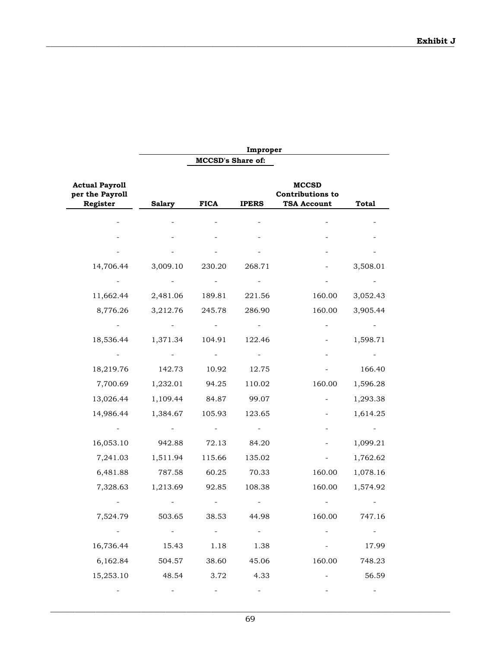|                                                      |                          |                          | Improper                 |                                                               |                          |
|------------------------------------------------------|--------------------------|--------------------------|--------------------------|---------------------------------------------------------------|--------------------------|
|                                                      |                          | <b>MCCSD's Share of:</b> |                          |                                                               |                          |
| <b>Actual Payroll</b><br>per the Payroll<br>Register | <b>Salary</b>            | <b>FICA</b>              | <b>IPERS</b>             | <b>MCCSD</b><br><b>Contributions to</b><br><b>TSA Account</b> | <b>Total</b>             |
|                                                      |                          |                          |                          |                                                               |                          |
|                                                      |                          |                          |                          |                                                               |                          |
|                                                      |                          |                          |                          |                                                               |                          |
| 14,706.44                                            | 3,009.10                 | 230.20                   | 268.71                   |                                                               | 3,508.01                 |
|                                                      |                          |                          |                          |                                                               |                          |
| 11,662.44                                            | 2,481.06                 | 189.81                   | 221.56                   | 160.00                                                        | 3,052.43                 |
| 8,776.26                                             | 3,212.76                 | 245.78                   | 286.90                   | 160.00                                                        | 3,905.44                 |
|                                                      |                          |                          |                          |                                                               |                          |
| 18,536.44                                            | 1,371.34                 | 104.91                   | 122.46                   |                                                               | 1,598.71                 |
|                                                      |                          |                          |                          |                                                               |                          |
| 18,219.76                                            | 142.73                   | 10.92                    | 12.75                    |                                                               | 166.40                   |
| 7,700.69                                             | 1,232.01                 | 94.25                    | 110.02                   | 160.00                                                        | 1,596.28                 |
| 13,026.44                                            | 1,109.44                 | 84.87                    | 99.07                    |                                                               | 1,293.38                 |
| 14,986.44                                            | 1,384.67                 | 105.93                   | 123.65                   |                                                               | 1,614.25                 |
|                                                      |                          |                          |                          |                                                               |                          |
| 16,053.10                                            | 942.88                   | 72.13                    | 84.20                    |                                                               | 1,099.21                 |
| 7,241.03                                             | 1,511.94                 | 115.66                   | 135.02                   |                                                               | 1,762.62                 |
| 6,481.88                                             | 787.58                   | 60.25                    | 70.33                    | 160.00                                                        | 1,078.16                 |
| 7,328.63                                             | 1,213.69                 | 92.85                    | 108.38                   | 160.00                                                        | 1,574.92                 |
|                                                      |                          |                          |                          |                                                               |                          |
| 7,524.79                                             | 503.65                   | 38.53                    | 44.98                    | 160.00                                                        | 747.16                   |
| $\sim 100$                                           | $\sim 1000$ km s $^{-1}$ | $\sim 100$               | $\sim 100$               |                                                               | $\sigma_{\rm{max}}$      |
| 16,736.44                                            | 15.43                    | 1.18                     | 1.38                     |                                                               | 17.99                    |
| 6,162.84                                             | 504.57                   | 38.60                    | 45.06                    | 160.00                                                        | 748.23                   |
| 15,253.10                                            | 48.54                    | 3.72                     | 4.33                     | $\sim 100$                                                    | 56.59                    |
| $\overline{\phantom{a}}$                             |                          |                          | $\overline{\phantom{a}}$ |                                                               | $\overline{\phantom{a}}$ |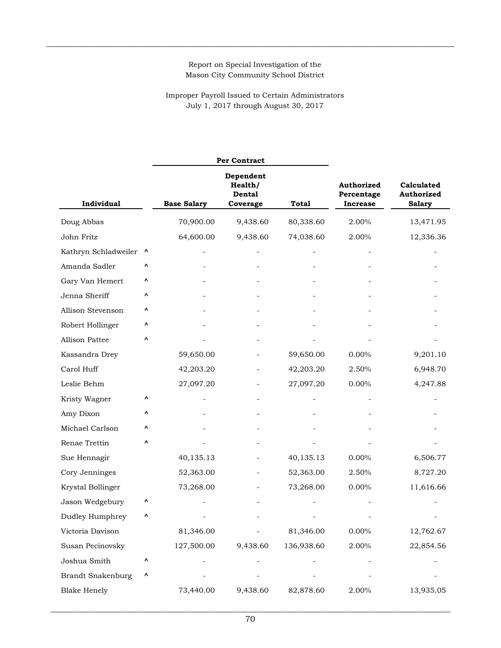$\_$  , and the state of the state of the state of the state of the state of the state of the state of the state of the state of the state of the state of the state of the state of the state of the state of the state of the

Improper Payroll Issued to Certain Administrators July 1, 2017 through August 30, 2017

|                          |           |                                                                                  | <b>Per Contract</b> |            |                                             |                                           |  |
|--------------------------|-----------|----------------------------------------------------------------------------------|---------------------|------------|---------------------------------------------|-------------------------------------------|--|
| <b>Individual</b>        |           | Dependent<br>Health/<br>Dental<br><b>Base Salary</b><br>Coverage<br><b>Total</b> |                     |            | Authorized<br>Percentage<br><b>Increase</b> | Calculated<br>Authorized<br><b>Salary</b> |  |
| Doug Abbas               |           | 70,900.00                                                                        | 9,438.60            | 80,338.60  | 2.00%                                       | 13,471.95                                 |  |
| John Fritz               |           | 64,600.00                                                                        | 9,438.60            | 74,038.60  | 2.00%                                       | 12,336.36                                 |  |
| Kathryn Schladweiler     | $\lambda$ |                                                                                  |                     |            |                                             |                                           |  |
| Amanda Sadler            | ۸         |                                                                                  |                     |            |                                             |                                           |  |
| Gary Van Hemert          | ۸         |                                                                                  |                     |            |                                             |                                           |  |
| Jenna Sheriff            | ٨         |                                                                                  |                     |            |                                             |                                           |  |
| Allison Stevenson        | ۸         |                                                                                  |                     |            |                                             |                                           |  |
| Robert Hollinger         | ٨         |                                                                                  |                     |            |                                             |                                           |  |
| Allison Pattee           | ۸         |                                                                                  |                     |            |                                             |                                           |  |
| Kassandra Drey           |           | 59,650.00                                                                        |                     | 59,650.00  | 0.00%                                       | 9,201.10                                  |  |
| Carol Huff               |           | 42,203.20                                                                        |                     | 42,203.20  | 2.50%                                       | 6,948.70                                  |  |
| Leslie Behm              |           | 27,097.20                                                                        |                     | 27,097.20  | 0.00%                                       | 4,247.88                                  |  |
| Kristy Wagner            | ۸         |                                                                                  |                     |            |                                             |                                           |  |
| Amy Dixon                | ۸         |                                                                                  |                     |            |                                             |                                           |  |
| Michael Carlson          | ۸         |                                                                                  |                     |            |                                             |                                           |  |
| Renae Trettin            | ۸         |                                                                                  |                     |            |                                             |                                           |  |
| Sue Hennagir             |           | 40,135.13                                                                        |                     | 40,135.13  | 0.00%                                       | 6,506.77                                  |  |
| Cory Jenninges           |           | 52,363.00                                                                        |                     | 52,363.00  | 2.50%                                       | 8,727.20                                  |  |
| Krystal Bollinger        |           | 73,268.00                                                                        |                     | 73,268.00  | 0.00%                                       | 11,616.66                                 |  |
| Jason Wedgebury          | ٨         |                                                                                  |                     |            |                                             |                                           |  |
| Dudley Humphrey          | Λ         |                                                                                  |                     |            |                                             |                                           |  |
| Victoria Davison         |           | 81,346.00                                                                        |                     | 81,346.00  | 0.00%                                       | 12,762.67                                 |  |
| Susan Pecinovsky         |           | 127,500.00                                                                       | 9,438.60            | 136,938.60 | 2.00%                                       | 22,854.56                                 |  |
| Joshua Smith             | ٨         |                                                                                  |                     |            |                                             |                                           |  |
| <b>Brandt Snakenburg</b> | ۸         |                                                                                  |                     |            |                                             |                                           |  |
| <b>Blake Henely</b>      |           | 73,440.00                                                                        | 9,438.60            | 82,878.60  | 2.00%                                       | 13,935.05                                 |  |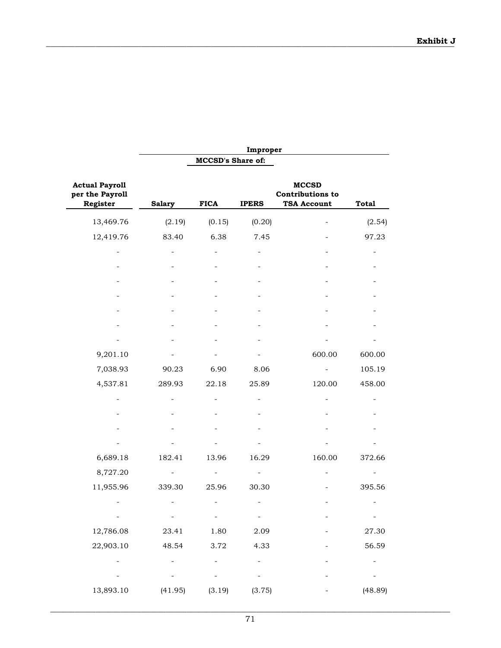|                                                      | Improper                 |                          |                          |                                                               |                          |  |  |
|------------------------------------------------------|--------------------------|--------------------------|--------------------------|---------------------------------------------------------------|--------------------------|--|--|
|                                                      |                          | <b>MCCSD's Share of:</b> |                          |                                                               |                          |  |  |
| <b>Actual Payroll</b><br>per the Payroll<br>Register | <b>Salary</b>            | <b>FICA</b>              | <b>IPERS</b>             | <b>MCCSD</b><br><b>Contributions to</b><br><b>TSA Account</b> | <b>Total</b>             |  |  |
| 13,469.76                                            | (2.19)                   | (0.15)                   | (0.20)                   |                                                               | (2.54)                   |  |  |
| 12,419.76                                            | 83.40                    | 6.38                     | 7.45                     |                                                               | 97.23                    |  |  |
|                                                      |                          |                          |                          |                                                               |                          |  |  |
|                                                      |                          |                          |                          |                                                               |                          |  |  |
|                                                      |                          |                          |                          |                                                               |                          |  |  |
|                                                      |                          |                          |                          |                                                               |                          |  |  |
|                                                      |                          |                          |                          |                                                               |                          |  |  |
|                                                      |                          |                          |                          |                                                               |                          |  |  |
|                                                      |                          |                          |                          |                                                               |                          |  |  |
| 9,201.10                                             |                          |                          |                          | 600.00                                                        | 600.00                   |  |  |
| 7,038.93                                             | 90.23                    | 6.90                     | 8.06                     |                                                               | 105.19                   |  |  |
| 4,537.81                                             | 289.93                   | 22.18                    | 25.89                    | 120.00                                                        | 458.00                   |  |  |
|                                                      |                          |                          |                          |                                                               |                          |  |  |
|                                                      |                          |                          |                          |                                                               |                          |  |  |
|                                                      |                          |                          |                          |                                                               |                          |  |  |
|                                                      |                          |                          |                          |                                                               |                          |  |  |
| 6,689.18                                             | 182.41                   | 13.96                    | 16.29                    | 160.00                                                        | 372.66                   |  |  |
| 8,727.20                                             |                          |                          | -                        |                                                               |                          |  |  |
| 11,955.96                                            | 339.30                   | 25.96                    | 30.30                    |                                                               | 395.56                   |  |  |
|                                                      |                          |                          |                          |                                                               |                          |  |  |
| $\sim 100$                                           | $\sim$                   | $\sim$                   | $\frac{1}{2}$            |                                                               | $\sim$                   |  |  |
| 12,786.08                                            | 23.41                    | 1.80                     | 2.09                     |                                                               | 27.30                    |  |  |
| 22,903.10                                            | 48.54                    | 3.72                     | 4.33                     |                                                               | 56.59                    |  |  |
| ÷,                                                   | $\overline{\phantom{0}}$ |                          | $\blacksquare$           |                                                               | $\overline{\phantom{0}}$ |  |  |
|                                                      |                          |                          | $\overline{\phantom{0}}$ |                                                               |                          |  |  |
| 13,893.10                                            | (41.95)                  | (3.19)                   | (3.75)                   |                                                               | (48.89)                  |  |  |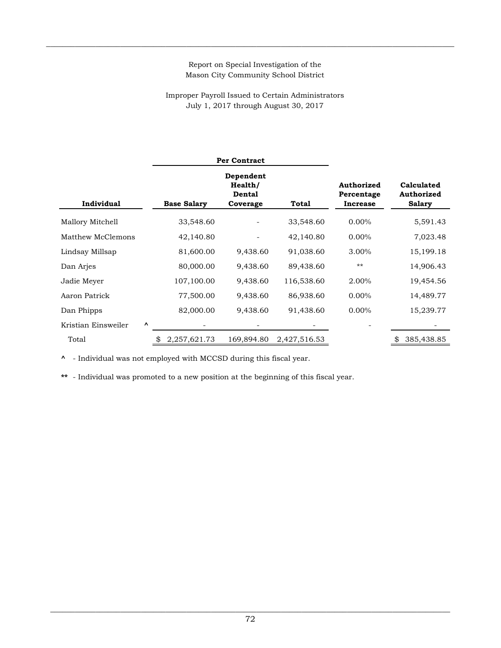## Report on Special Investigation of the Mason City Community School District

 $\_$  , and the set of the set of the set of the set of the set of the set of the set of the set of the set of the set of the set of the set of the set of the set of the set of the set of the set of the set of the set of th

## Improper Payroll Issued to Certain Administrators July 1, 2017 through August 30, 2017

|                     |                                 |                    | <b>Per Contract</b>                               |              |                                      |                                           |
|---------------------|---------------------------------|--------------------|---------------------------------------------------|--------------|--------------------------------------|-------------------------------------------|
| Individual          |                                 | <b>Base Salary</b> | Dependent<br>Health/<br><b>Dental</b><br>Coverage | Total        | Authorized<br>Percentage<br>Increase | Calculated<br>Authorized<br><b>Salary</b> |
| Mallory Mitchell    |                                 | 33,548.60          |                                                   | 33,548.60    | $0.00\%$                             | 5,591.43                                  |
| Matthew McClemons   |                                 | 42,140.80          |                                                   | 42,140.80    | $0.00\%$                             | 7,023.48                                  |
| Lindsay Millsap     |                                 | 81,600.00          | 9,438.60                                          | 91,038.60    | 3.00%                                | 15,199.18                                 |
| Dan Arjes           |                                 | 80,000.00          | 9,438.60                                          | 89,438.60    | $***$                                | 14,906.43                                 |
| Jadie Meyer         |                                 | 107,100.00         | 9,438.60                                          | 116,538.60   | 2.00%                                | 19,454.56                                 |
| Aaron Patrick       |                                 | 77,500.00          | 9,438.60                                          | 86,938.60    | 0.00%                                | 14,489.77                                 |
| Dan Phipps          |                                 | 82,000.00          | 9,438.60                                          | 91,438.60    | $0.00\%$                             | 15,239.77                                 |
| Kristian Einsweiler | $\boldsymbol{\mathsf{\Lambda}}$ |                    |                                                   |              |                                      |                                           |
| Total               |                                 | 2,257,621.73       | 169,894.80                                        | 2,427,516.53 |                                      | 385,438.85<br>S                           |

**^** - Individual was not employed with MCCSD during this fiscal year.

**\*\*** - Individual was promoted to a new position at the beginning of this fiscal year.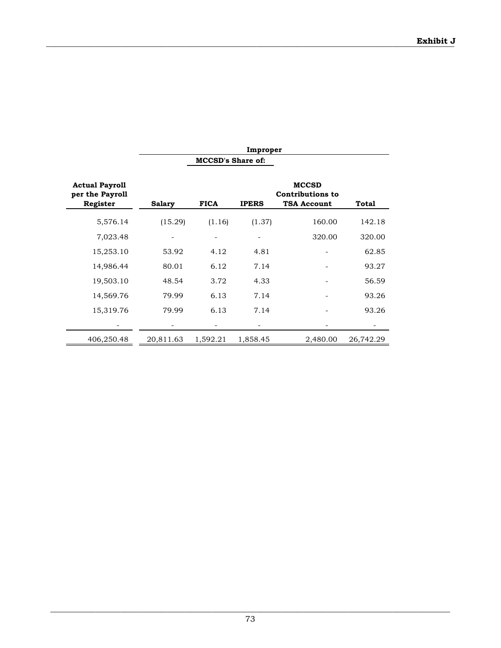|                                                      | Improper      |                          |              |                                                               |           |  |  |
|------------------------------------------------------|---------------|--------------------------|--------------|---------------------------------------------------------------|-----------|--|--|
|                                                      |               | <b>MCCSD's Share of:</b> |              |                                                               |           |  |  |
| <b>Actual Payroll</b><br>per the Payroll<br>Register | <b>Salary</b> | <b>FICA</b>              | <b>IPERS</b> | <b>MCCSD</b><br><b>Contributions to</b><br><b>TSA Account</b> | Total     |  |  |
| 5,576.14                                             | (15.29)       | (1.16)                   | (1.37)       | 160.00                                                        | 142.18    |  |  |
| 7,023.48                                             |               |                          |              | 320.00                                                        | 320.00    |  |  |
| 15,253.10                                            | 53.92         | 4.12                     | 4.81         |                                                               | 62.85     |  |  |
| 14,986.44                                            | 80.01         | 6.12                     | 7.14         |                                                               | 93.27     |  |  |
| 19,503.10                                            | 48.54         | 3.72                     | 4.33         |                                                               | 56.59     |  |  |
| 14,569.76                                            | 79.99         | 6.13                     | 7.14         |                                                               | 93.26     |  |  |
| 15,319.76                                            | 79.99         | 6.13                     | 7.14         |                                                               | 93.26     |  |  |
|                                                      |               |                          |              |                                                               |           |  |  |
| 406,250.48                                           | 20,811.63     | 1,592.21                 | 1,858.45     | 2,480.00                                                      | 26,742.29 |  |  |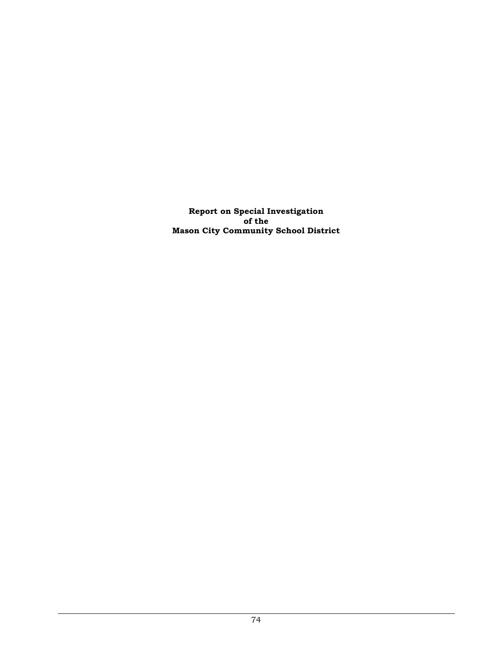**Report on Special Investigation of the Mason City Community School District**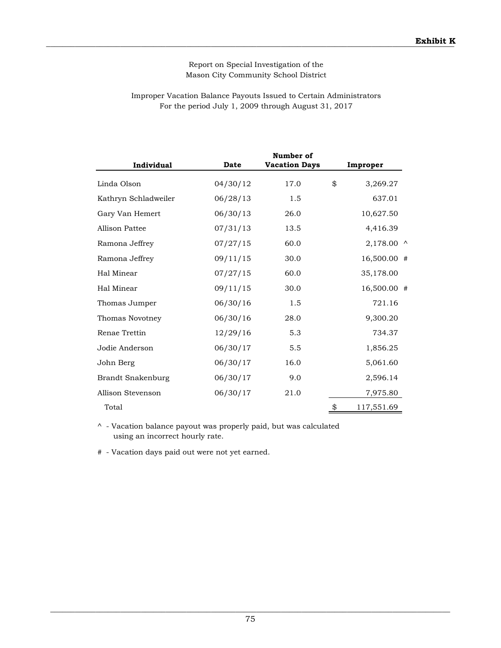## Report on Special Investigation of the Mason City Community School District

## For the period July 1, 2009 through August 31, 2017 Improper Vacation Balance Payouts Issued to Certain Administrators

| Individual           | <b>Date</b> | Number of<br><b>Vacation Days</b> | Improper |             |  |
|----------------------|-------------|-----------------------------------|----------|-------------|--|
| Linda Olson          | 04/30/12    | 17.0                              | \$       | 3,269.27    |  |
| Kathryn Schladweiler | 06/28/13    | 1.5                               |          | 637.01      |  |
| Gary Van Hemert      | 06/30/13    | 26.0                              |          | 10,627.50   |  |
| Allison Pattee       | 07/31/13    | 13.5                              |          | 4,416.39    |  |
| Ramona Jeffrey       | 07/27/15    | 60.0                              |          | 2,178.00 ^  |  |
| Ramona Jeffrey       | 09/11/15    | 30.0                              |          | 16,500.00 # |  |
| Hal Minear           | 07/27/15    | 60.0                              |          | 35,178.00   |  |
| Hal Minear           | 09/11/15    | 30.0                              |          | 16,500.00 # |  |
| Thomas Jumper        | 06/30/16    | 1.5                               |          | 721.16      |  |
| Thomas Novotney      | 06/30/16    | 28.0                              |          | 9,300.20    |  |
| Renae Trettin        | 12/29/16    | 5.3                               |          | 734.37      |  |
| Jodie Anderson       | 06/30/17    | 5.5                               |          | 1,856.25    |  |
| John Berg            | 06/30/17    | 16.0                              |          | 5,061.60    |  |
| Brandt Snakenburg    | 06/30/17    | 9.0                               |          | 2,596.14    |  |
| Allison Stevenson    | 06/30/17    | 21.0                              |          | 7,975.80    |  |
| Total                |             |                                   | \$       | 117,551.69  |  |

^ - Vacation balance payout was properly paid, but was calculated using an incorrect hourly rate.

# - Vacation days paid out were not yet earned.